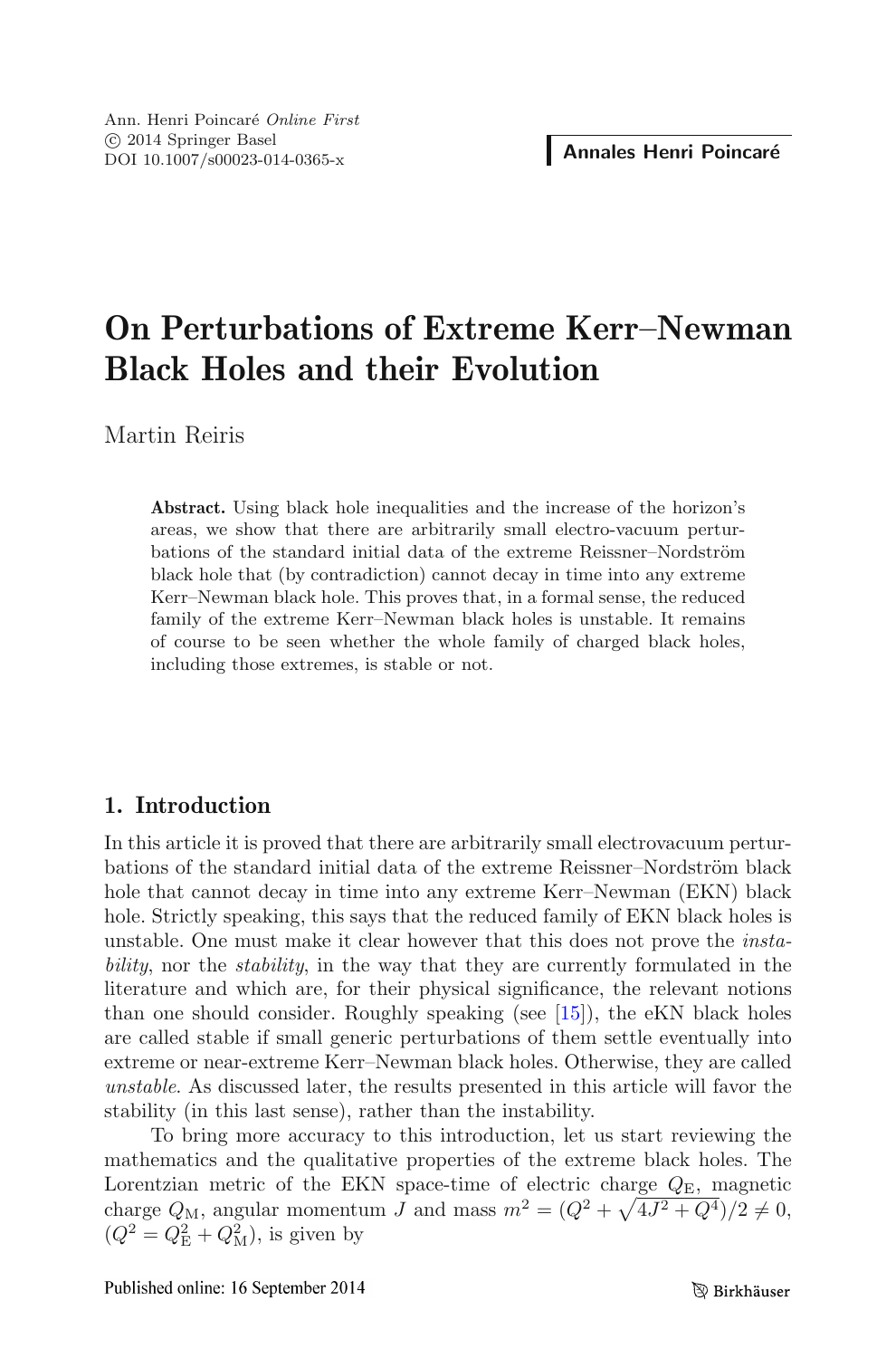# On Perturbations of Extreme Kerr–Newman Black Holes and their Evolution

Martin Reiris

Abstract. Using black hole inequalities and the increase of the horizon's areas, we show that there are arbitrarily small electro-vacuum perturbations of the standard initial data of the extreme Reissner–Nordström black hole that (by contradiction) cannot decay in time into any extreme Kerr–Newman black hole. This proves that, in a formal sense, the reduced family of the extreme Kerr–Newman black holes is unstable. It remains of course to be seen whether the whole family of charged black holes, including those extremes, is stable or not.

# 1. Introduction

In this article it is proved that there are arbitrarily small electrovacuum perturbations of the standard initial data of the extreme Reissner–Nordström black hole that cannot decay in time into any extreme Kerr–Newman (EKN) black hole. Strictly speaking, this says that the reduced family of EKN black holes is unstable. One must make it clear however that this does not prove the instability, nor the *stability*, in the way that they are currently formulated in the literature and which are, for their physical significance, the relevant notions than one should consider. Roughly speaking (see [\[15\]](#page-30-0)), the eKN black holes are called stable if small generic perturbations of them settle eventually into extreme or near-extreme Kerr–Newman black holes. Otherwise, they are called unstable. As discussed later, the results presented in this article will favor the stability (in this last sense), rather than the instability.

To bring more accuracy to this introduction, let us start reviewing the mathematics and the qualitative properties of the extreme black holes. The Lorentzian metric of the EKN space-time of electric charge  $Q_{\rm E}$ , magnetic charge  $Q_M$ , angular momentum J and mass  $m^2 = (Q^2 + \sqrt{4J^2 + Q^4})/2 \neq 0$ ,  $(Q^2 = Q_{\rm E}^2 + Q_{\rm M}^2)$ , is given by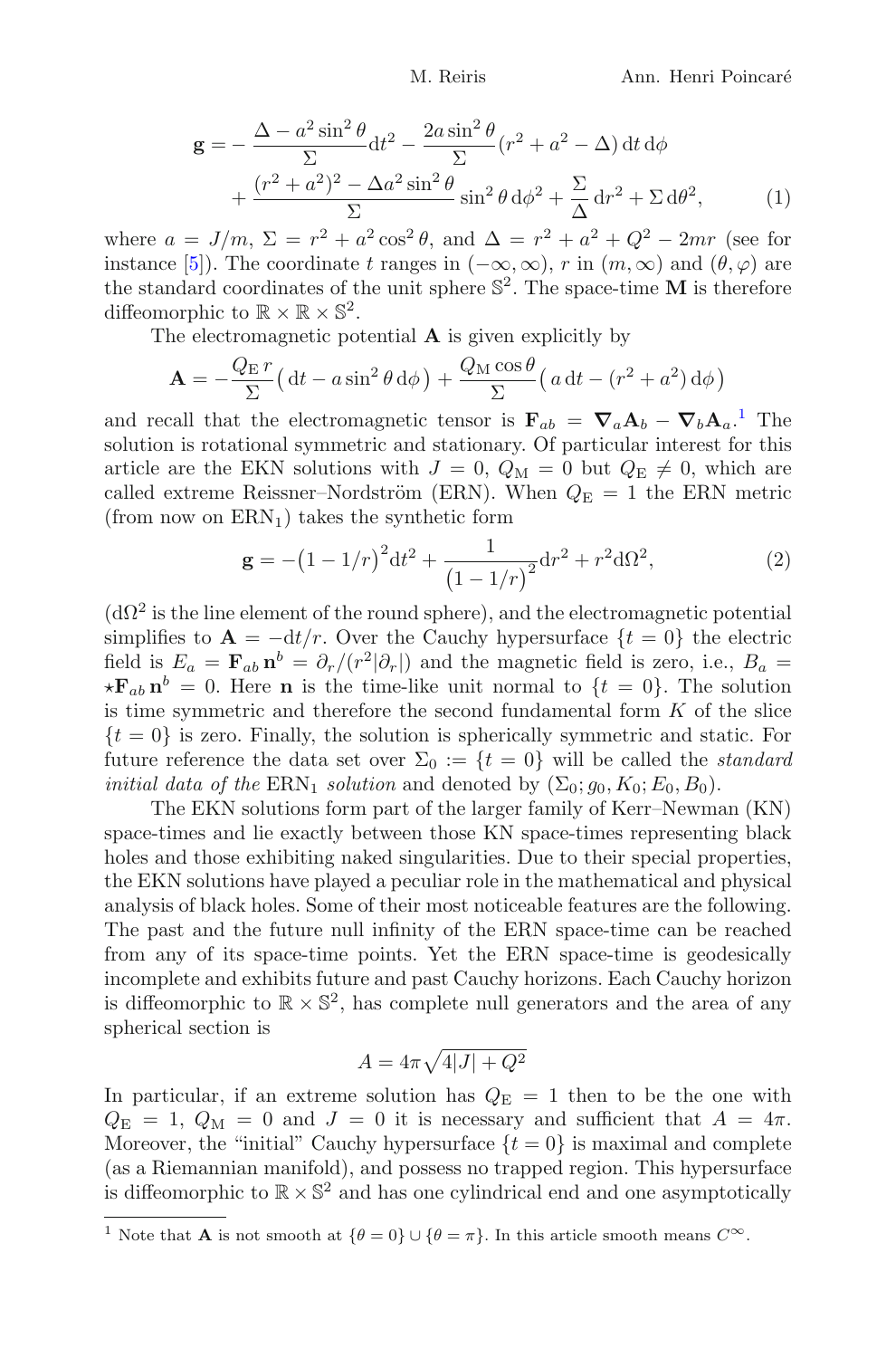<span id="page-1-2"></span>
$$
\mathbf{g} = -\frac{\Delta - a^2 \sin^2 \theta}{\Sigma} dt^2 - \frac{2a \sin^2 \theta}{\Sigma} (r^2 + a^2 - \Delta) dt d\phi
$$

$$
+ \frac{(r^2 + a^2)^2 - \Delta a^2 \sin^2 \theta}{\Sigma} \sin^2 \theta d\phi^2 + \frac{\Sigma}{\Delta} dr^2 + \Sigma d\theta^2, \tag{1}
$$

where  $a = J/m$ ,  $\Sigma = r^2 + a^2 \cos^2 \theta$ , and  $\Delta = r^2 + a^2 + Q^2 - 2mr$  (see for instance [\[5\]](#page-29-0)). The coordinate t ranges in  $(-\infty,\infty)$ , r in  $(m,\infty)$  and  $(\theta,\varphi)$  are the standard coordinates of the unit sphere  $\mathbb{S}^2$ . The space-time M is therefore diffeomorphic to  $\mathbb{R} \times \mathbb{R} \times \mathbb{S}^2$ .

The electromagnetic potential  $A$  is given explicitly by

$$
\mathbf{A} = -\frac{Q_{\rm E}r}{\Sigma} \left( \mathrm{d}t - a\sin^2\theta \,\mathrm{d}\phi \right) + \frac{Q_{\rm M}\cos\theta}{\Sigma} \left( a\,\mathrm{d}t - \left( r^2 + a^2 \right) \mathrm{d}\phi \right)
$$

and recall that the electromagnetic tensor is  $\mathbf{F}_{ab} = \nabla_a \mathbf{A}_b - \nabla_b \mathbf{A}_a$ . The solution is rotational symmetric and stationary. Of particular interest for this article are the EKN solutions with  $J = 0$ ,  $Q_M = 0$  but  $Q_E \neq 0$ , which are called extreme Reissner–Nordström (ERN). When  $Q_{\rm E} = 1$  the ERN metric (from now on  $\text{ERN}_1$ ) takes the synthetic form

<span id="page-1-1"></span>
$$
\mathbf{g} = -\left(1 - 1/r\right)^2 dt^2 + \frac{1}{\left(1 - 1/r\right)^2} dr^2 + r^2 d\Omega^2,
$$
 (2)

 $(d\Omega^2)$  is the line element of the round sphere), and the electromagnetic potential simplifies to  $\mathbf{A} = -dt/r$ . Over the Cauchy hypersurface  $\{t = 0\}$  the electric field is  $E_a = \mathbf{F}_{ab} \mathbf{n}^b = \partial_r/(r^2|\partial_r|)$  and the magnetic field is zero, i.e.,  $B_a =$  $\star \mathbf{F}_{ab} \mathbf{n}^b = 0$ . Here **n** is the time-like unit normal to  $\{t = 0\}$ . The solution is time symmetric and therefore the second fundamental form  $K$  of the slice  $\{t = 0\}$  is zero. Finally, the solution is spherically symmetric and static. For future reference the data set over  $\Sigma_0 := \{t = 0\}$  will be called the *standard initial data of the*  $\text{ERN}_1$  *solution* and denoted by  $(\Sigma_0; g_0, K_0; E_0, B_0)$ .

The EKN solutions form part of the larger family of Kerr–Newman (KN) space-times and lie exactly between those KN space-times representing black holes and those exhibiting naked singularities. Due to their special properties, the EKN solutions have played a peculiar role in the mathematical and physical analysis of black holes. Some of their most noticeable features are the following. The past and the future null infinity of the ERN space-time can be reached from any of its space-time points. Yet the ERN space-time is geodesically incomplete and exhibits future and past Cauchy horizons. Each Cauchy horizon is diffeomorphic to  $\mathbb{R} \times \mathbb{S}^2$ , has complete null generators and the area of any spherical section is

$$
A = 4\pi\sqrt{4|J| + Q^2}
$$

In particular, if an extreme solution has  $Q_{\rm E} = 1$  then to be the one with  $Q_{\rm E} = 1, Q_{\rm M} = 0$  and  $J = 0$  it is necessary and sufficient that  $A = 4\pi$ . Moreover, the "initial" Cauchy hypersurface  $\{t = 0\}$  is maximal and complete (as a Riemannian manifold), and possess no trapped region. This hypersurface is diffeomorphic to  $\mathbb{R} \times \mathbb{S}^2$  and has one cylindrical end and one asymptotically

<span id="page-1-0"></span><sup>&</sup>lt;sup>1</sup> Note that **A** is not smooth at  $\{\theta = 0\} \cup \{\theta = \pi\}$ . In this article smooth means  $C^{\infty}$ .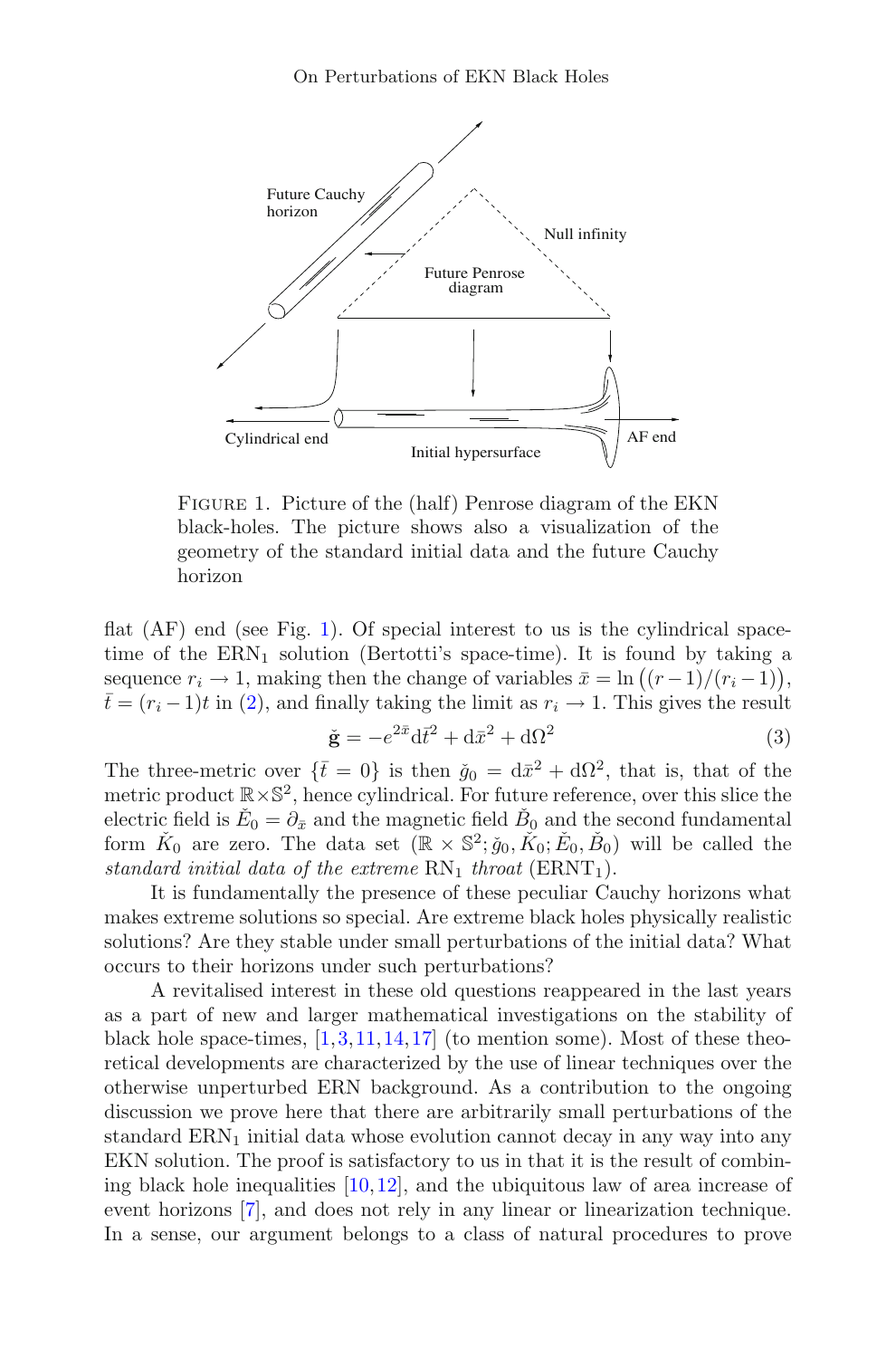

<span id="page-2-0"></span>FIGURE 1. Picture of the (half) Penrose diagram of the EKN black-holes. The picture shows also a visualization of the geometry of the standard initial data and the future Cauchy horizon

flat (AF) end (see Fig. [1\)](#page-2-0). Of special interest to us is the cylindrical spacetime of the  $\text{ERN}_1$  solution (Bertotti's space-time). It is found by taking a sequence  $r_i \to 1$ , making then the change of variables  $\bar{x} = \ln((r-1)/(r_i-1)),$  $\bar{t} = (r_i - 1)t$  in [\(2\)](#page-1-1), and finally taking the limit as  $r_i \to 1$ . This gives the result

$$
\check{\mathbf{g}} = -e^{2\bar{x}} \mathrm{d}\bar{t}^2 + \mathrm{d}\bar{x}^2 + \mathrm{d}\Omega^2 \tag{3}
$$

<span id="page-2-1"></span>The three-metric over  $\{\bar{t} = 0\}$  is then  $\check{g}_0 = d\bar{x}^2 + d\Omega^2$ , that is, that of the metric product  $\mathbb{R} \times \mathbb{S}^2$ , hence cylindrical. For future reference, over this slice the electric field is  $\check{E}_0 = \partial_{\bar{x}}$  and the magnetic field  $\check{B}_0$  and the second fundamental form  $\check{K}_0$  are zero. The data set  $(\mathbb{R} \times \mathbb{S}^2; \check{g}_0, \check{K}_0; \check{E}_0, \check{B}_0)$  will be called the standard initial data of the extreme  $RN_1$  throat  $(ERNT_1)$ .

It is fundamentally the presence of these peculiar Cauchy horizons what makes extreme solutions so special. Are extreme black holes physically realistic solutions? Are they stable under small perturbations of the initial data? What occurs to their horizons under such perturbations?

A revitalised interest in these old questions reappeared in the last years as a part of new and larger mathematical investigations on the stability of black hole space-times,  $[1,3,11,14,17]$  $[1,3,11,14,17]$  $[1,3,11,14,17]$  $[1,3,11,14,17]$  $[1,3,11,14,17]$  $[1,3,11,14,17]$  $[1,3,11,14,17]$  (to mention some). Most of these theoretical developments are characterized by the use of linear techniques over the otherwise unperturbed ERN background. As a contribution to the ongoing discussion we prove here that there are arbitrarily small perturbations of the standard  $\text{ERN}_1$  initial data whose evolution cannot decay in any way into any EKN solution. The proof is satisfactory to us in that it is the result of combining black hole inequalities [\[10](#page-30-4),[12\]](#page-30-5), and the ubiquitous law of area increase of event horizons [\[7](#page-29-3)], and does not rely in any linear or linearization technique. In a sense, our argument belongs to a class of natural procedures to prove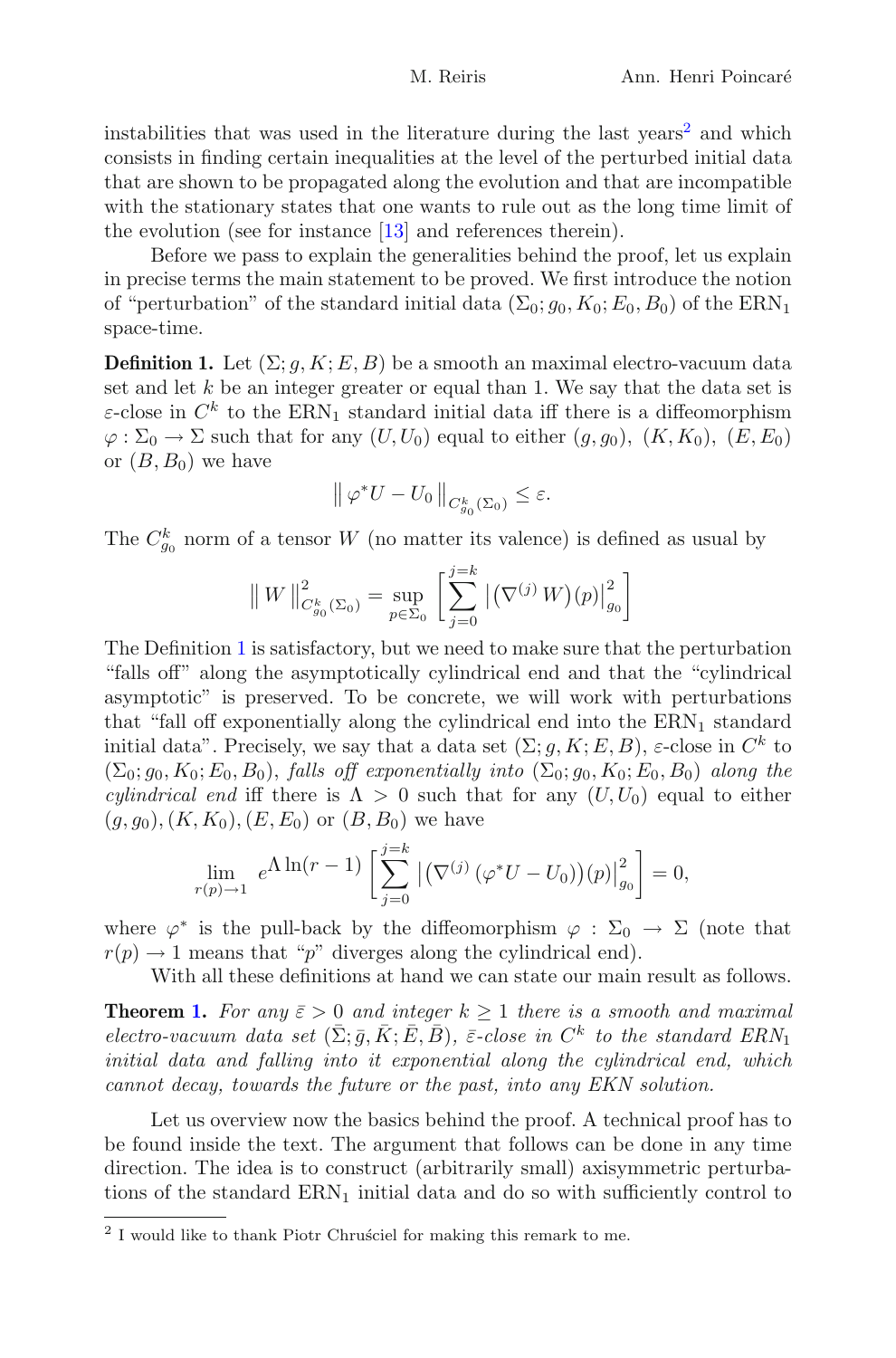instabilities that was used in the literature during the last years<sup>[2](#page-3-0)</sup> and which consists in finding certain inequalities at the level of the perturbed initial data that are shown to be propagated along the evolution and that are incompatible with the stationary states that one wants to rule out as the long time limit of the evolution (see for instance [\[13](#page-30-6)] and references therein).

Before we pass to explain the generalities behind the proof, let us explain in precise terms the main statement to be proved. We first introduce the notion of "perturbation" of the standard initial data  $(\Sigma_0; g_0, K_0; E_0, B_0)$  of the ERN<sub>1</sub> space-time.

<span id="page-3-1"></span>**Definition 1.** Let  $(\Sigma; q, K; E, B)$  be a smooth an maximal electro-vacuum data set and let  $k$  be an integer greater or equal than 1. We say that the data set is  $\varepsilon$ -close in  $C^k$  to the ERN<sub>1</sub> standard initial data iff there is a diffeomorphism  $\varphi : \Sigma_0 \to \Sigma$  such that for any  $(U, U_0)$  equal to either  $(g, g_0)$ ,  $(K, K_0)$ ,  $(E, E_0)$ or  $(B, B_0)$  we have

$$
\left\|\,\varphi^*U-U_0\,\right\|_{C^k_{g_0}(\Sigma_0)}\leq\varepsilon.
$$

The  $C_{g_0}^k$  norm of a tensor W (no matter its valence) is defined as usual by

$$
\|W\|_{C_{g_0}^k(\Sigma_0)}^2 = \sup_{p \in \Sigma_0} \left[ \sum_{j=0}^{j=k} |(\nabla^{(j)} W)(p)|_{g_0}^2 \right]
$$

The Definition [1](#page-3-1) is satisfactory, but we need to make sure that the perturbation "falls off" along the asymptotically cylindrical end and that the "cylindrical asymptotic" is preserved. To be concrete, we will work with perturbations that "fall off exponentially along the cylindrical end into the  $\text{ERN}_1$  standard initial data". Precisely, we say that a data set  $(\Sigma; g, K; E, B)$ ,  $\varepsilon$ -close in  $C^k$  to  $(\Sigma_0; g_0, K_0; E_0, B_0)$ , falls off exponentially into  $(\Sigma_0; g_0, K_0; E_0, B_0)$  along the *cylindrical end* iff there is  $\Lambda > 0$  such that for any  $(U, U_0)$  equal to either  $(g, g_0), (K, K_0), (E, E_0)$  or  $(B, B_0)$  we have

$$
\lim_{r(p)\to 1} e^{\Lambda \ln(r-1)} \left[ \sum_{j=0}^{j=k} |(\nabla^{(j)} (\varphi^* U - U_0)) (p)|_{g_0}^2 \right] = 0,
$$

where  $\varphi^*$  is the pull-back by the diffeomorphism  $\varphi : \Sigma_0 \to \Sigma$  (note that  $r(p) \rightarrow 1$  means that "p" diverges along the cylindrical end).

With all these definitions at hand we can state our main result as follows.

**Theorem [1.](#page-26-0)** For any  $\bar{\varepsilon} > 0$  and integer  $k \ge 1$  there is a smooth and maximal electro-vacuum data set  $(\bar{\Sigma}; \bar{g}, \bar{K}; \bar{E}, \bar{B})$ ,  $\bar{\varepsilon}$ -close in  $C^k$  to the standard  $ERN_1$ initial data and falling into it exponential along the cylindrical end, which cannot decay, towards the future or the past, into any EKN solution.

Let us overview now the basics behind the proof. A technical proof has to be found inside the text. The argument that follows can be done in any time direction. The idea is to construct (arbitrarily small) axisymmetric perturbations of the standard  $\text{ERN}_1$  initial data and do so with sufficiently control to

<span id="page-3-0"></span><sup>&</sup>lt;sup>2</sup> I would like to thank Piotr Chrusciel for making this remark to me.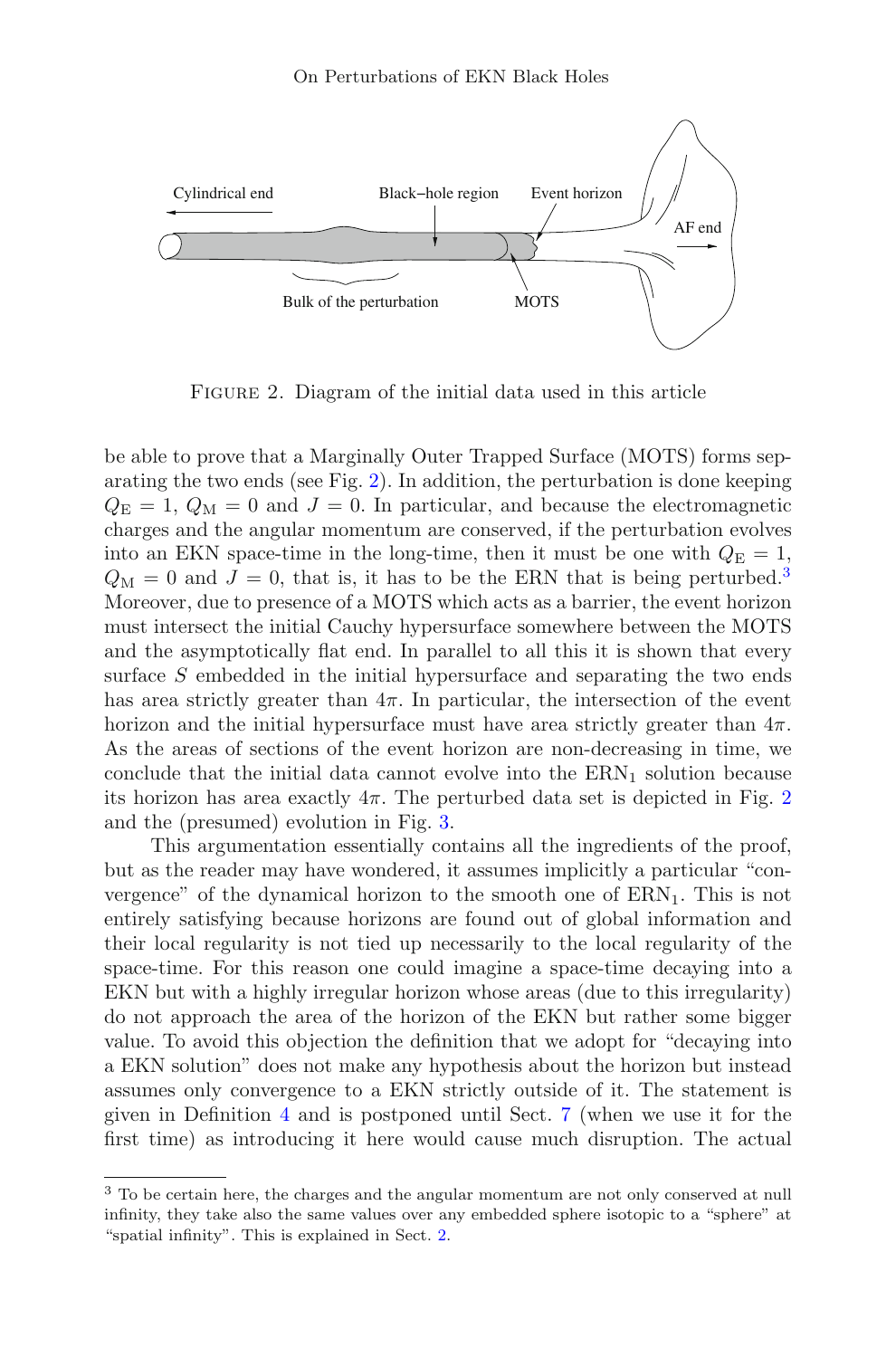

<span id="page-4-0"></span>FIGURE 2. Diagram of the initial data used in this article

be able to prove that a Marginally Outer Trapped Surface (MOTS) forms separating the two ends (see Fig. [2\)](#page-4-0). In addition, the perturbation is done keeping  $Q_{\rm E} = 1, Q_{\rm M} = 0$  and  $J = 0$ . In particular, and because the electromagnetic charges and the angular momentum are conserved, if the perturbation evolves into an EKN space-time in the long-time, then it must be one with  $Q_{\rm E} = 1$ ,  $Q_M = 0$  and  $J = 0$ , that is, it has to be the ERN that is being perturbed.<sup>[3](#page-4-1)</sup> Moreover, due to presence of a MOTS which acts as a barrier, the event horizon must intersect the initial Cauchy hypersurface somewhere between the MOTS and the asymptotically flat end. In parallel to all this it is shown that every surface S embedded in the initial hypersurface and separating the two ends has area strictly greater than  $4\pi$ . In particular, the intersection of the event horizon and the initial hypersurface must have area strictly greater than  $4\pi$ . As the areas of sections of the event horizon are non-decreasing in time, we conclude that the initial data cannot evolve into the  $\text{ERN}_1$  solution because its horizon has area exactly  $4\pi$ . The perturbed data set is depicted in Fig. [2](#page-4-0) and the (presumed) evolution in Fig. [3.](#page-5-0)

This argumentation essentially contains all the ingredients of the proof, but as the reader may have wondered, it assumes implicitly a particular "convergence" of the dynamical horizon to the smooth one of  $ERN_1$ . This is not entirely satisfying because horizons are found out of global information and their local regularity is not tied up necessarily to the local regularity of the space-time. For this reason one could imagine a space-time decaying into a EKN but with a highly irregular horizon whose areas (due to this irregularity) do not approach the area of the horizon of the EKN but rather some bigger value. To avoid this objection the definition that we adopt for "decaying into a EKN solution" does not make any hypothesis about the horizon but instead assumes only convergence to a EKN strictly outside of it. The statement is given in Definition [4](#page-27-0) and is postponed until Sect. [7](#page-26-1) (when we use it for the first time) as introducing it here would cause much disruption. The actual

<span id="page-4-1"></span><sup>3</sup> To be certain here, the charges and the angular momentum are not only conserved at null infinity, they take also the same values over any embedded sphere isotopic to a "sphere" at "spatial infinity". This is explained in Sect. [2.](#page-6-0)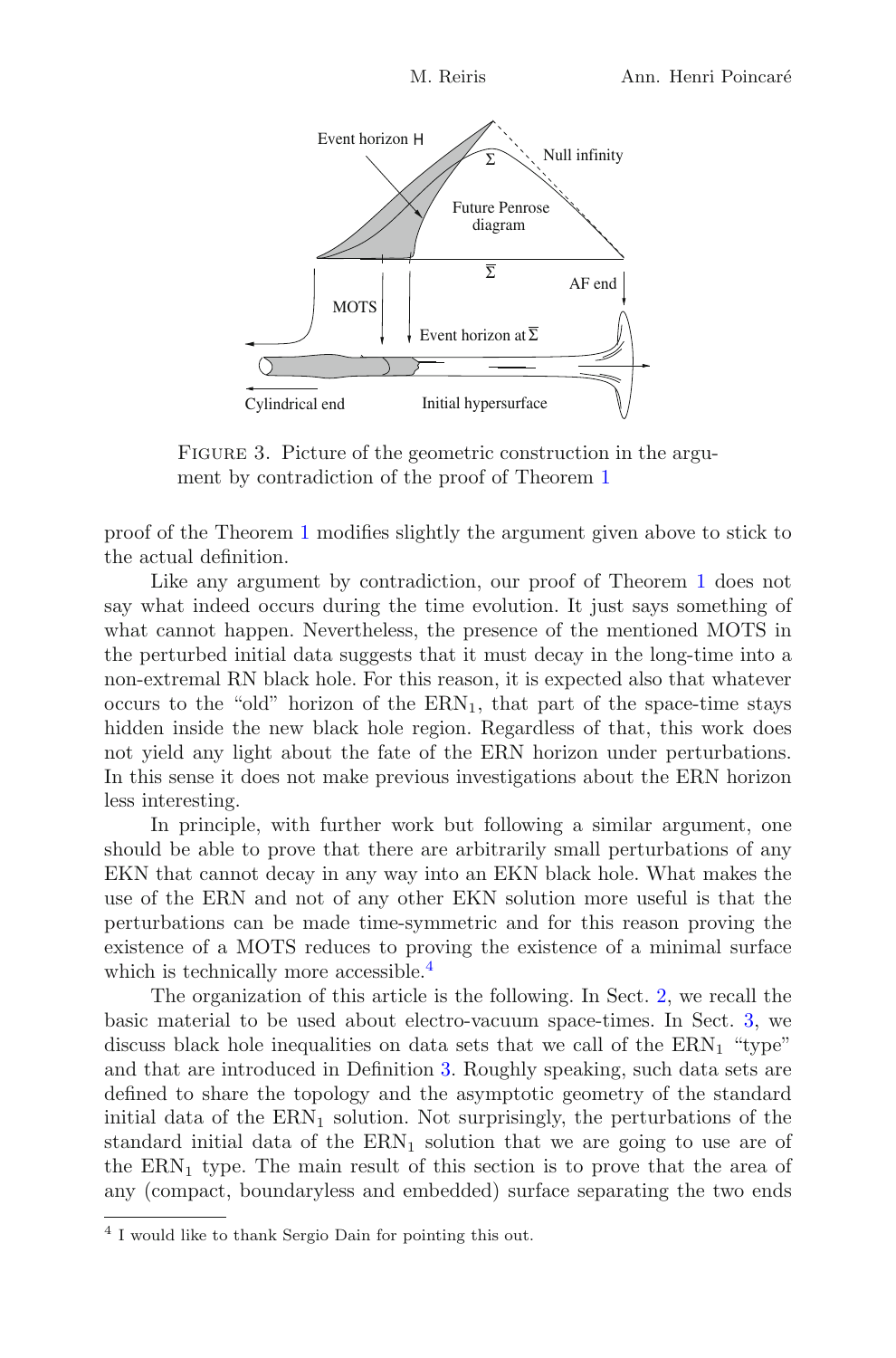

<span id="page-5-0"></span>FIGURE 3. Picture of the geometric construction in the argument by contradiction of the proof of Theorem [1](#page-26-0)

proof of the Theorem [1](#page-26-0) modifies slightly the argument given above to stick to the actual definition.

Like any argument by contradiction, our proof of Theorem [1](#page-26-0) does not say what indeed occurs during the time evolution. It just says something of what cannot happen. Nevertheless, the presence of the mentioned MOTS in the perturbed initial data suggests that it must decay in the long-time into a non-extremal RN black hole. For this reason, it is expected also that whatever occurs to the "old" horizon of the  $\text{ERN}_1$ , that part of the space-time stays hidden inside the new black hole region. Regardless of that, this work does not yield any light about the fate of the ERN horizon under perturbations. In this sense it does not make previous investigations about the ERN horizon less interesting.

In principle, with further work but following a similar argument, one should be able to prove that there are arbitrarily small perturbations of any EKN that cannot decay in any way into an EKN black hole. What makes the use of the ERN and not of any other EKN solution more useful is that the perturbations can be made time-symmetric and for this reason proving the existence of a MOTS reduces to proving the existence of a minimal surface which is technically more accessible.<sup>[4](#page-5-1)</sup>

The organization of this article is the following. In Sect. [2,](#page-6-0) we recall the basic material to be used about electro-vacuum space-times. In Sect. [3,](#page-9-0) we discuss black hole inequalities on data sets that we call of the  $\text{ERN}_1$  "type" and that are introduced in Definition [3.](#page-10-0) Roughly speaking, such data sets are defined to share the topology and the asymptotic geometry of the standard initial data of the  $\text{ERN}_1$  solution. Not surprisingly, the perturbations of the standard initial data of the  $\text{ERN}_1$  solution that we are going to use are of the  $\text{ERN}_1$  type. The main result of this section is to prove that the area of any (compact, boundaryless and embedded) surface separating the two ends

<span id="page-5-1"></span><sup>4</sup> I would like to thank Sergio Dain for pointing this out.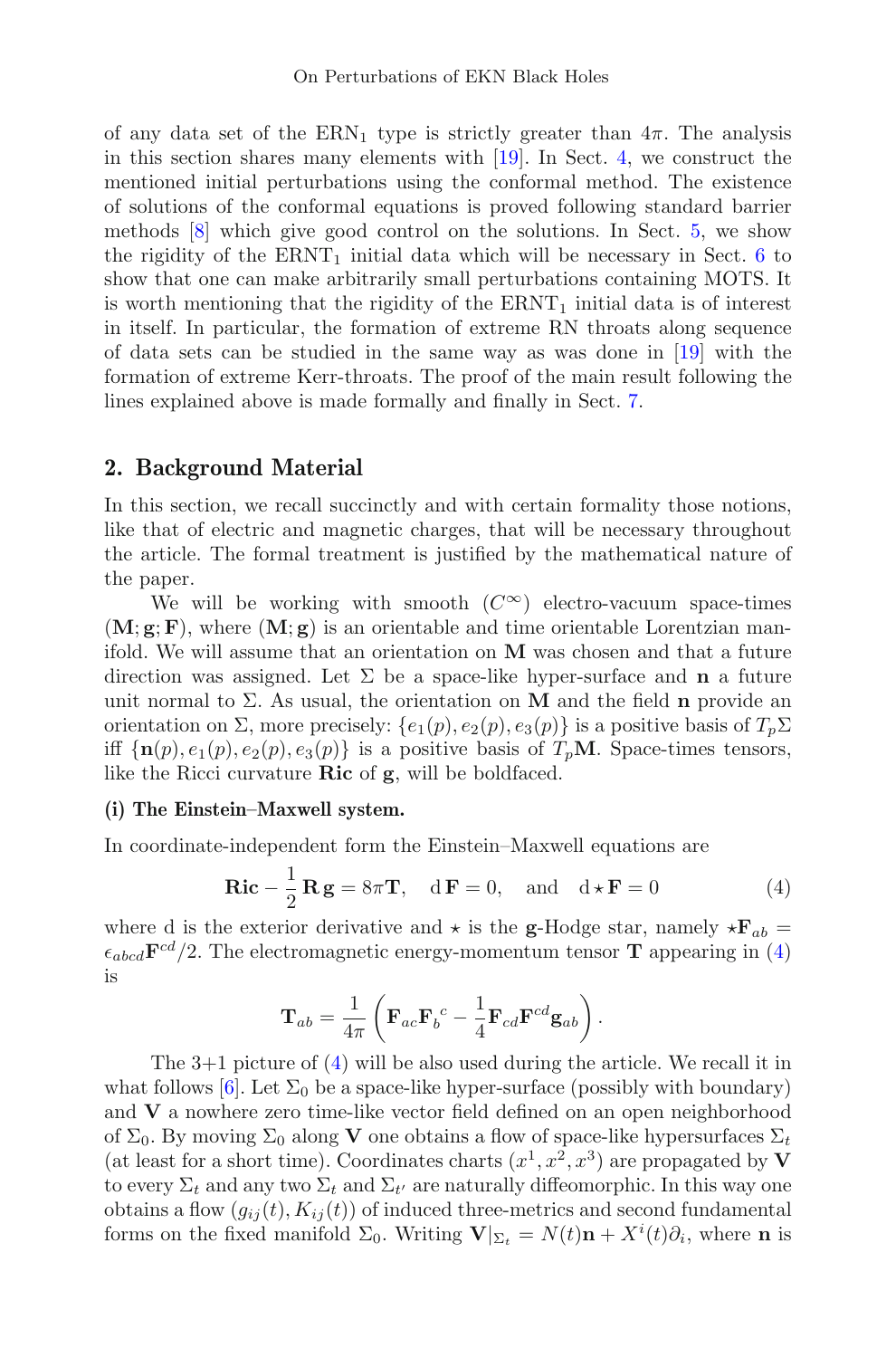of any data set of the  $\text{ERN}_1$  type is strictly greater than  $4\pi$ . The analysis in this section shares many elements with [\[19\]](#page-30-7). In Sect. [4,](#page-15-0) we construct the mentioned initial perturbations using the conformal method. The existence of solutions of the conformal equations is proved following standard barrier methods [\[8](#page-30-8)] which give good control on the solutions. In Sect. [5,](#page-18-0) we show the rigidity of the  $\text{ERNT}_1$  initial data which will be necessary in Sect. [6](#page-24-0) to show that one can make arbitrarily small perturbations containing MOTS. It is worth mentioning that the rigidity of the  $\text{ERNT}_1$  initial data is of interest in itself. In particular, the formation of extreme RN throats along sequence of data sets can be studied in the same way as was done in [\[19](#page-30-7)] with the formation of extreme Kerr-throats. The proof of the main result following the lines explained above is made formally and finally in Sect. [7.](#page-26-1)

# <span id="page-6-0"></span>2. Background Material

In this section, we recall succinctly and with certain formality those notions, like that of electric and magnetic charges, that will be necessary throughout the article. The formal treatment is justified by the mathematical nature of the paper.

We will be working with smooth  $(C^{\infty})$  electro-vacuum space-times  $(M; g; F)$ , where  $(M; g)$  is an orientable and time orientable Lorentzian manifold. We will assume that an orientation on M was chosen and that a future direction was assigned. Let  $\Sigma$  be a space-like hyper-surface and **n** a future unit normal to  $\Sigma$ . As usual, the orientation on M and the field **n** provide an orientation on Σ, more precisely:  $\{e_1(p), e_2(p), e_3(p)\}\$ is a positive basis of  $T_p \Sigma$ iff  $\{n(p), e_1(p), e_2(p), e_3(p)\}\$ is a positive basis of  $T_pM$ . Space-times tensors, like the Ricci curvature  $\rm{Ric}$  of  $\rm{g}$ , will be boldfaced.

#### (i) The Einstein–Maxwell system.

<span id="page-6-1"></span>In coordinate-independent form the Einstein–Maxwell equations are

$$
\mathbf{Ric} - \frac{1}{2}\mathbf{R}\mathbf{g} = 8\pi\mathbf{T}, \quad d\mathbf{F} = 0, \text{ and } d \star \mathbf{F} = 0
$$
 (4)

where d is the exterior derivative and  $\star$  is the g-Hodge star, namely  $\star \mathbf{F}_{ab}$  =  $\epsilon_{abcd}$ **F**<sup>cd</sup>/2. The electromagnetic energy-momentum tensor **T** appearing in [\(4\)](#page-6-1) is

$$
\mathbf{T}_{ab}=\frac{1}{4\pi}\left(\mathbf{F}_{ac}\mathbf{F}_{b}{}^{c}-\frac{1}{4}\mathbf{F}_{cd}\mathbf{F}^{cd}\mathbf{g}_{ab}\right).
$$

The 3+1 picture of [\(4\)](#page-6-1) will be also used during the article. We recall it in what follows [\[6](#page-29-4)]. Let  $\Sigma_0$  be a space-like hyper-surface (possibly with boundary) and V a nowhere zero time-like vector field defined on an open neighborhood of  $\Sigma_0$ . By moving  $\Sigma_0$  along **V** one obtains a flow of space-like hypersurfaces  $\Sigma_t$ (at least for a short time). Coordinates charts  $(x^1, x^2, x^3)$  are propagated by V to every  $\Sigma_t$  and any two  $\Sigma_t$  and  $\Sigma_{t'}$  are naturally diffeomorphic. In this way one obtains a flow  $(g_{ij}(t), K_{ij}(t))$  of induced three-metrics and second fundamental forms on the fixed manifold  $\Sigma_0$ . Writing  $\mathbf{V}|_{\Sigma_t} = N(t)\mathbf{n} + X^i(t)\partial_i$ , where **n** is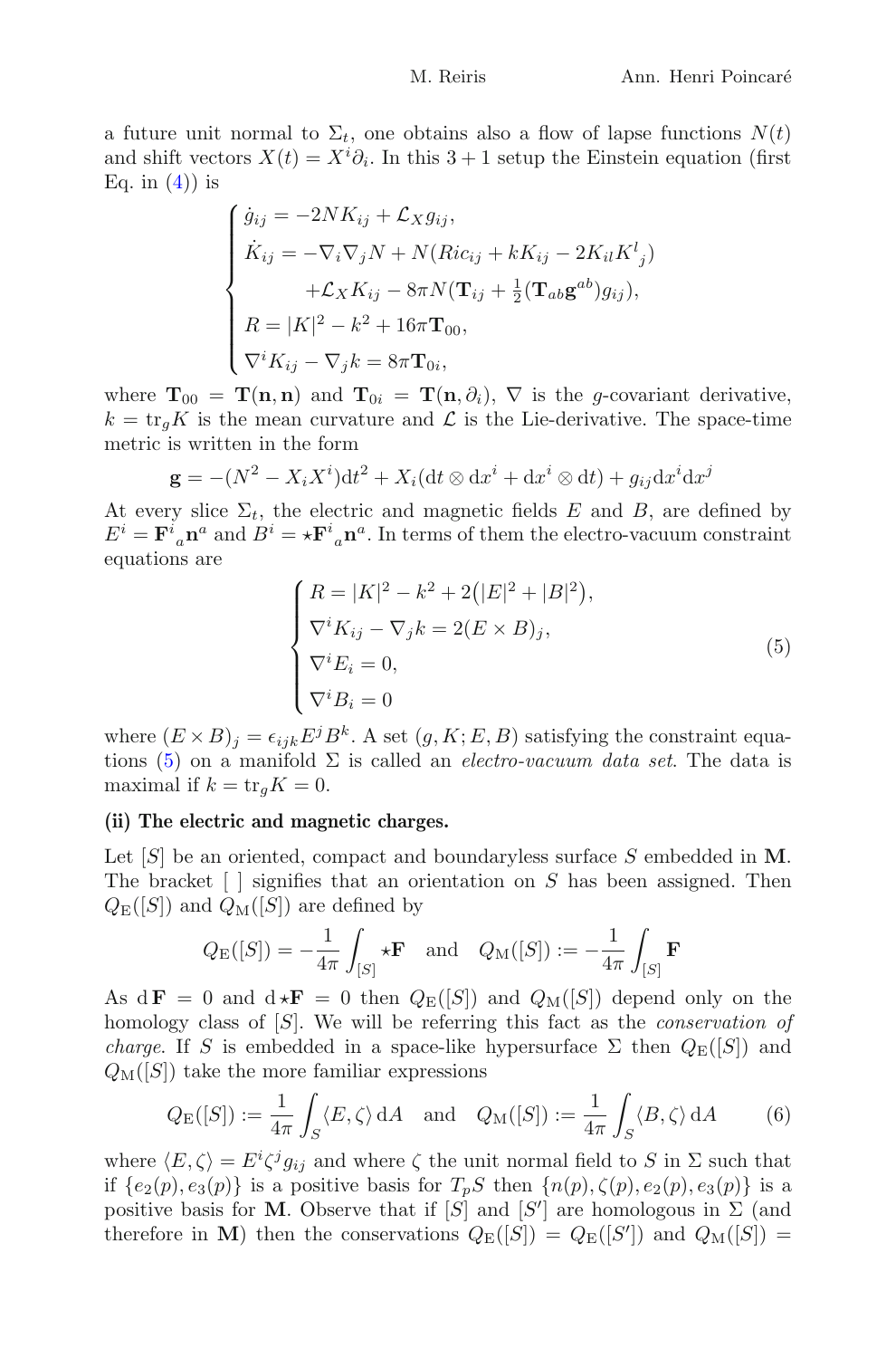a future unit normal to  $\Sigma_t$ , one obtains also a flow of lapse functions  $N(t)$ and shift vectors  $X(t) = X^i \partial_i$ . In this 3 + 1 setup the Einstein equation (first Eq. in  $(4)$  is

$$
\begin{cases}\n\dot{g}_{ij} = -2NK_{ij} + \mathcal{L}_X g_{ij}, \\
\dot{K}_{ij} = -\nabla_i \nabla_j N + N(Ric_{ij} + kK_{ij} - 2K_{il}K^l{}_j) \\
&+ \mathcal{L}_X K_{ij} - 8\pi N (\mathbf{T}_{ij} + \frac{1}{2}(\mathbf{T}_{ab}\mathbf{g}^{ab})g_{ij}), \\
R = |K|^2 - k^2 + 16\pi \mathbf{T}_{00}, \\
\nabla^i K_{ij} - \nabla_j k = 8\pi \mathbf{T}_{0i},\n\end{cases}
$$

where  $\mathbf{T}_{00} = \mathbf{T}(\mathbf{n}, \mathbf{n})$  and  $\mathbf{T}_{0i} = \mathbf{T}(\mathbf{n}, \partial_i), \nabla$  is the g-covariant derivative,  $k = \text{tr}_q K$  is the mean curvature and  $\mathcal L$  is the Lie-derivative. The space-time metric is written in the form

$$
\mathbf{g} = -(N^2 - X_i X^i) dt^2 + X_i (dt \otimes dx^i + dx^i \otimes dt) + g_{ij} dx^i dx^j
$$

At every slice  $\Sigma_t$ , the electric and magnetic fields E and B, are defined by  $E^i = \mathbf{F}^i{}_{a} \mathbf{n}^a$  and  $B^i = \star \mathbf{F}^i{}_{a} \mathbf{n}^a$ . In terms of them the electro-vacuum constraint equations are

$$
\begin{cases}\nR = |K|^2 - k^2 + 2(|E|^2 + |B|^2), \\
\nabla^i K_{ij} - \nabla_j k = 2(E \times B)_j, \\
\nabla^i E_i = 0, \\
\nabla^i B_i = 0\n\end{cases}
$$
\n(5)

<span id="page-7-0"></span>where  $(E \times B)_i = \epsilon_{ijk} E^j B^k$ . A set  $(g, K; E, B)$  satisfying the constraint equa-tions [\(5\)](#page-7-0) on a manifold  $\Sigma$  is called an *electro-vacuum data set*. The data is maximal if  $k = \text{tr}_q K = 0$ .

#### (ii) The electric and magnetic charges.

Let  $[S]$  be an oriented, compact and boundaryless surface S embedded in M. The bracket  $\lceil \cdot \rceil$  signifies that an orientation on S has been assigned. Then  $Q_{\text{E}}([S])$  and  $Q_{\text{M}}([S])$  are defined by

$$
Q_{\mathrm{E}}([S]) = -\frac{1}{4\pi} \int_{[S]} \star \mathbf{F} \quad \text{and} \quad Q_{\mathrm{M}}([S]) := -\frac{1}{4\pi} \int_{[S]} \mathbf{F}
$$

As  $d\mathbf{F} = 0$  and  $d \star \mathbf{F} = 0$  then  $Q_{\rm E}(|S|)$  and  $Q_{\rm M}(|S|)$  depend only on the homology class of  $[S]$ . We will be referring this fact as the *conservation of charge.* If S is embedded in a space-like hypersurface  $\Sigma$  then  $Q_{\text{E}}([S])$  and  $Q_M([S])$  take the more familiar expressions

$$
Q_{\mathcal{E}}([S]) := \frac{1}{4\pi} \int_{S} \langle E, \zeta \rangle \, dA \quad \text{and} \quad Q_{\mathcal{M}}([S]) := \frac{1}{4\pi} \int_{S} \langle B, \zeta \rangle \, dA \tag{6}
$$

<span id="page-7-1"></span>where  $\langle E,\zeta\rangle = E^i \zeta^j g_{ij}$  and where  $\zeta$  the unit normal field to S in  $\Sigma$  such that if  ${e_2(p), e_3(p)}$  is a positive basis for  $T_pS$  then  ${n(p), \zeta(p), e_2(p), e_3(p)}$  is a positive basis for M. Observe that if  $[S]$  and  $[S']$  are homologous in  $\Sigma$  (and therefore in M) then the conservations  $Q_{\text{E}}([S]) = Q_{\text{E}}([S'])$  and  $Q_{\text{M}}([S]) =$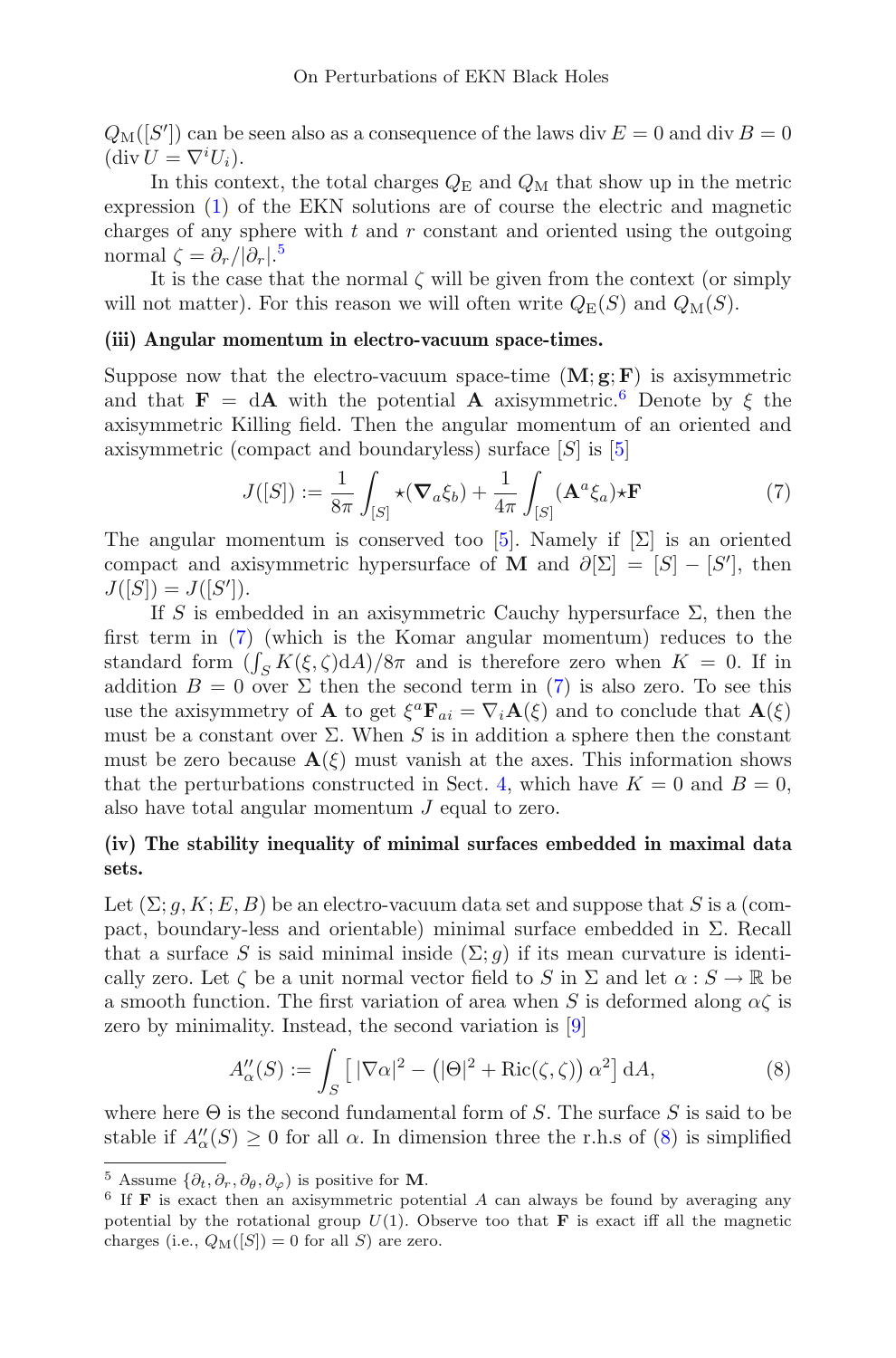$Q_{\text{M}}([S'])$  can be seen also as a consequence of the laws div  $E=0$  and div  $B=0$  $(\operatorname{div} U = \nabla^i U_i).$ 

In this context, the total charges  $Q_{\rm E}$  and  $Q_{\rm M}$  that show up in the metric expression [\(1\)](#page-1-2) of the EKN solutions are of course the electric and magnetic charges of any sphere with  $t$  and  $r$  constant and oriented using the outgoing normal  $\zeta = \partial_r/|\partial_r|$ .<sup>[5](#page-8-0)</sup>

It is the case that the normal  $\zeta$  will be given from the context (or simply will not matter). For this reason we will often write  $Q_E(S)$  and  $Q_M(S)$ .

#### (iii) Angular momentum in electro-vacuum space-times.

Suppose now that the electro-vacuum space-time  $(M; g; F)$  is axisymmetric and that  $\mathbf{F} = d\mathbf{A}$  with the potential **A** axisymmetric.<sup>[6](#page-8-1)</sup> Denote by  $\xi$  the axisymmetric Killing field. Then the angular momentum of an oriented and axisymmetric (compact and boundaryless) surface [S] is [\[5](#page-29-0)]

$$
J([S]) := \frac{1}{8\pi} \int_{[S]} \star (\nabla_a \xi_b) + \frac{1}{4\pi} \int_{[S]} (\mathbf{A}^a \xi_a) \star \mathbf{F}
$$
 (7)

<span id="page-8-2"></span>The angular momentum is conserved too [\[5\]](#page-29-0). Namely if  $[\Sigma]$  is an oriented compact and axisymmetric hypersurface of M and  $\partial[\Sigma] = [S] - [S']$ , then  $J([S]) = J([S'])$ .

If S is embedded in an axisymmetric Cauchy hypersurface  $\Sigma$ , then the first term in [\(7\)](#page-8-2) (which is the Komar angular momentum) reduces to the standard form  $(\int_S K(\xi, \zeta) dA)/8\pi$  and is therefore zero when  $K = 0$ . If in addition  $B = 0$  over  $\Sigma$  then the second term in [\(7\)](#page-8-2) is also zero. To see this use the axisymmetry of **A** to get  $\xi^a \mathbf{F}_{ai} = \nabla_i \mathbf{A}(\xi)$  and to conclude that  $\mathbf{A}(\xi)$ must be a constant over  $\Sigma$ . When S is in addition a sphere then the constant must be zero because  $\mathbf{A}(\xi)$  must vanish at the axes. This information shows that the perturbations constructed in Sect. [4,](#page-15-0) which have  $K = 0$  and  $B = 0$ , also have total angular momentum  $J$  equal to zero.

### (iv) The stability inequality of minimal surfaces embedded in maximal data sets.

Let  $(\Sigma; q, K; E, B)$  be an electro-vacuum data set and suppose that S is a (compact, boundary-less and orientable) minimal surface embedded in  $\Sigma$ . Recall that a surface S is said minimal inside  $(\Sigma; q)$  if its mean curvature is identically zero. Let  $\zeta$  be a unit normal vector field to S in  $\Sigma$  and let  $\alpha : S \to \mathbb{R}$  be a smooth function. The first variation of area when S is deformed along  $\alpha \zeta$  is zero by minimality. Instead, the second variation is [\[9](#page-30-9)]

$$
A''_{\alpha}(S) := \int_{S} \left[ |\nabla \alpha|^2 - \left( |\Theta|^2 + \text{Ric}(\zeta, \zeta) \right) \alpha^2 \right] dA,\tag{8}
$$

<span id="page-8-3"></span>where here  $\Theta$  is the second fundamental form of S. The surface S is said to be stable if  $A''_{\alpha}(S) \geq 0$  for all  $\alpha$ . In dimension three the r.h.s of [\(8\)](#page-8-3) is simplified

<span id="page-8-1"></span><span id="page-8-0"></span><sup>&</sup>lt;sup>5</sup> Assume  $\{\partial_t, \partial_r, \partial_\theta, \partial_\varphi\}$  is positive for **M**.<br><sup>6</sup> If **F** is exact then an axisymmetric potential A can always be found by averaging any potential by the rotational group  $U(1)$ . Observe too that **F** is exact iff all the magnetic charges (i.e.,  $Q_M([S]) = 0$  for all S) are zero.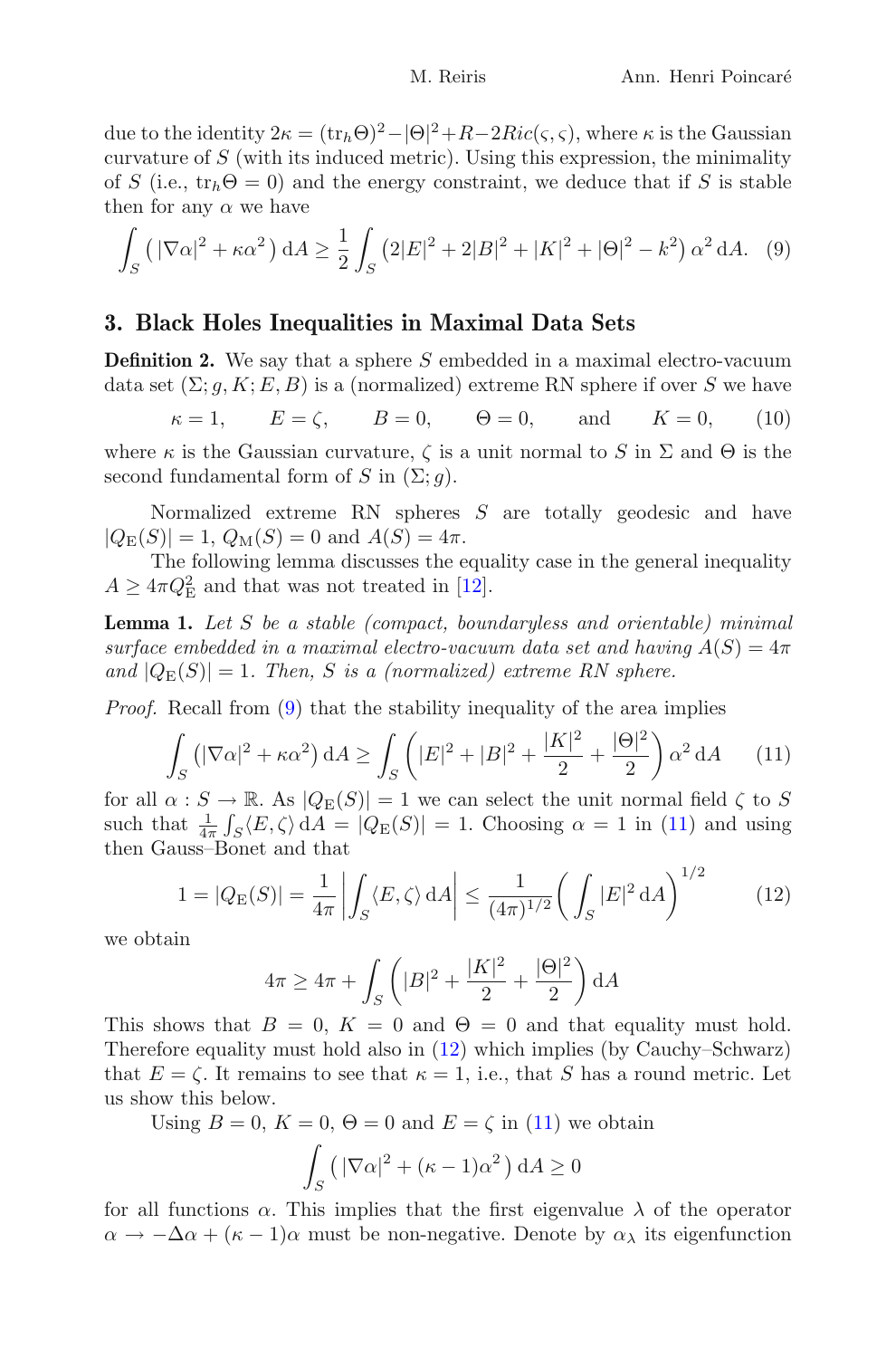due to the identity  $2\kappa = (\text{tr}_h \Theta)^2 - |\Theta|^2 + R - 2Ric(\varsigma, \varsigma)$ , where  $\kappa$  is the Gaussian curvature of  $S$  (with its induced metric). Using this expression, the minimality of S (i.e.,  $tr_b\Theta = 0$ ) and the energy constraint, we deduce that if S is stable then for any  $\alpha$  we have

<span id="page-9-1"></span>
$$
\int_{S} \left( |\nabla \alpha|^{2} + \kappa \alpha^{2} \right) dA \ge \frac{1}{2} \int_{S} \left( 2|E|^{2} + 2|B|^{2} + |K|^{2} + |\Theta|^{2} - k^{2} \right) \alpha^{2} dA. \tag{9}
$$

# <span id="page-9-0"></span>3. Black Holes Inequalities in Maximal Data Sets

**Definition 2.** We say that a sphere S embedded in a maximal electro-vacuum data set  $(\Sigma; q, K; E, B)$  is a (normalized) extreme RN sphere if over S we have

 $\kappa = 1$ ,  $E = \zeta$ ,  $B = 0$ ,  $\Theta = 0$ , and  $K = 0$ , (10)

<span id="page-9-5"></span>where  $\kappa$  is the Gaussian curvature,  $\zeta$  is a unit normal to S in  $\Sigma$  and  $\Theta$  is the second fundamental form of S in  $(\Sigma; g)$ .

Normalized extreme RN spheres  $S$  are totally geodesic and have  $|Q_{\rm E}(S)| = 1$ ,  $Q_{\rm M}(S) = 0$  and  $A(S) = 4\pi$ .

<span id="page-9-4"></span>The following lemma discusses the equality case in the general inequality  $A \geq 4\pi Q_{\rm E}^2$  and that was not treated in [\[12](#page-30-5)].

Lemma 1. Let S be a stable (compact, boundaryless and orientable) minimal surface embedded in a maximal electro-vacuum data set and having  $A(S)=4\pi$ and  $|Q_E(S)| = 1$ . Then, S is a (normalized) extreme RN sphere.

<span id="page-9-2"></span>Proof. Recall from [\(9\)](#page-9-1) that the stability inequality of the area implies

$$
\int_{S} \left( |\nabla \alpha|^2 + \kappa \alpha^2 \right) dA \ge \int_{S} \left( |E|^2 + |B|^2 + \frac{|K|^2}{2} + \frac{|\Theta|^2}{2} \right) \alpha^2 dA \tag{11}
$$

for all  $\alpha : S \to \mathbb{R}$ . As  $|Q_E(S)| = 1$  we can select the unit normal field  $\zeta$  to S such that  $\frac{1}{4\pi} \int_S \langle E, \zeta \rangle dA = |Q_E(S)| = 1$ . Choosing  $\alpha = 1$  in [\(11\)](#page-9-2) and using then Gauss–Bonet and that

$$
1 = |Q_{\mathcal{E}}(S)| = \frac{1}{4\pi} \left| \int_{S} \langle E, \zeta \rangle \, \mathrm{d}A \right| \le \frac{1}{(4\pi)^{1/2}} \left( \int_{S} |E|^2 \, \mathrm{d}A \right)^{1/2} \tag{12}
$$

<span id="page-9-3"></span>we obtain

$$
4\pi \ge 4\pi + \int_{S} \left( |B|^2 + \frac{|K|^2}{2} + \frac{|\Theta|^2}{2} \right) dA
$$

This shows that  $B = 0$ ,  $K = 0$  and  $\Theta = 0$  and that equality must hold. Therefore equality must hold also in [\(12\)](#page-9-3) which implies (by Cauchy–Schwarz) that  $E = \zeta$ . It remains to see that  $\kappa = 1$ , i.e., that S has a round metric. Let us show this below.

Using  $B = 0$ ,  $K = 0$ ,  $\Theta = 0$  and  $E = \zeta$  in [\(11\)](#page-9-2) we obtain

$$
\int_{S} \left( |\nabla \alpha|^2 + (\kappa - 1)\alpha^2 \right) dA \ge 0
$$

for all functions  $\alpha$ . This implies that the first eigenvalue  $\lambda$  of the operator  $\alpha \to -\Delta\alpha + (\kappa - 1)\alpha$  must be non-negative. Denote by  $\alpha_{\lambda}$  its eigenfunction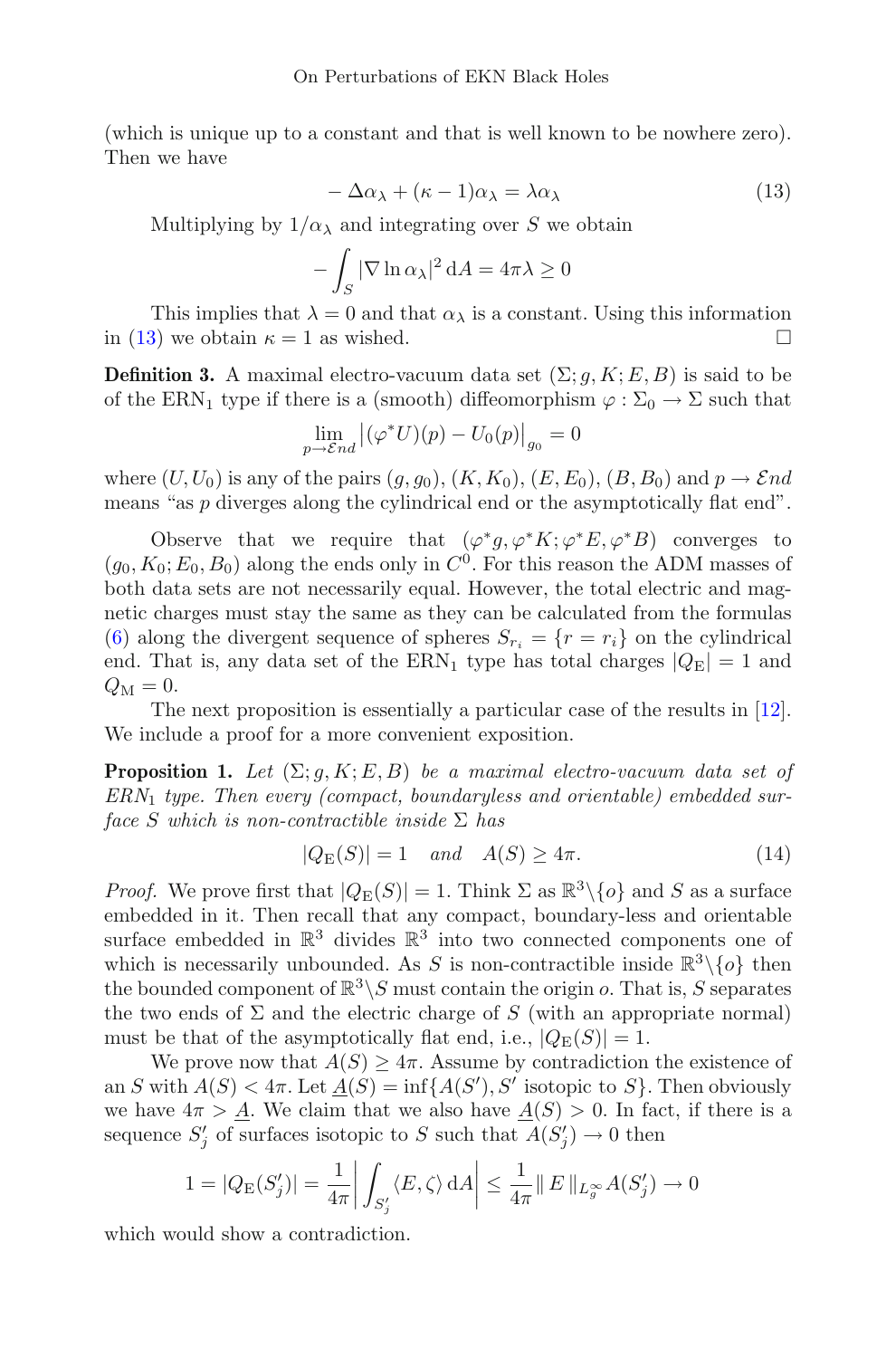(which is unique up to a constant and that is well known to be nowhere zero). Then we have

$$
-\Delta\alpha_{\lambda} + (\kappa - 1)\alpha_{\lambda} = \lambda\alpha_{\lambda} \tag{13}
$$

<span id="page-10-1"></span>Multiplying by  $1/\alpha_{\lambda}$  and integrating over S we obtain

$$
-\int_{S} |\nabla \ln \alpha_{\lambda}|^2 dA = 4\pi \lambda \ge 0
$$

This implies that  $\lambda = 0$  and that  $\alpha_{\lambda}$  is a constant. Using this information in [\(13\)](#page-10-1) we obtain  $\kappa = 1$  as wished.  $\square$ 

<span id="page-10-0"></span>**Definition 3.** A maximal electro-vacuum data set  $(\Sigma; g, K; E, B)$  is said to be of the ERN<sub>1</sub> type if there is a (smooth) diffeomorphism  $\varphi : \Sigma_0 \to \Sigma$  such that

$$
\lim_{p \to \mathcal{E}nd} |(\varphi^* U)(p) - U_0(p)|_{g_0} = 0
$$

where  $(U, U_0)$  is any of the pairs  $(g, g_0)$ ,  $(K, K_0)$ ,  $(E, E_0)$ ,  $(B, B_0)$  and  $p \rightarrow \mathcal{E} nd$ means "as p diverges along the cylindrical end or the asymptotically flat end".

Observe that we require that  $(\varphi^*g, \varphi^*K; \varphi^*E, \varphi^*B)$  converges to  $(g_0, K_0; E_0, B_0)$  along the ends only in  $C^0$ . For this reason the ADM masses of both data sets are not necessarily equal. However, the total electric and magnetic charges must stay the same as they can be calculated from the formulas [\(6\)](#page-7-1) along the divergent sequence of spheres  $S_{r_i} = \{r = r_i\}$  on the cylindrical end. That is, any data set of the ERN<sub>1</sub> type has total charges  $|Q_{\rm E}| = 1$  and  $Q_{\rm M} = 0.$ 

<span id="page-10-2"></span>The next proposition is essentially a particular case of the results in [\[12\]](#page-30-5). We include a proof for a more convenient exposition.

**Proposition 1.** Let  $(\Sigma; g, K; E, B)$  be a maximal electro-vacuum data set of  $ERN<sub>1</sub>$  type. Then every (compact, boundaryless and orientable) embedded surface S which is non-contractible inside  $\Sigma$  has

$$
|Q_{\mathcal{E}}(S)| = 1 \quad and \quad A(S) \ge 4\pi. \tag{14}
$$

<span id="page-10-3"></span>*Proof.* We prove first that  $|Q_E(S)| = 1$ . Think  $\Sigma$  as  $\mathbb{R}^3 \setminus \{o\}$  and S as a surface embedded in it. Then recall that any compact, boundary-less and orientable surface embedded in  $\mathbb{R}^3$  divides  $\mathbb{R}^3$  into two connected components one of which is necessarily unbounded. As S is non-contractible inside  $\mathbb{R}^3\backslash\{o\}$  then the bounded component of  $\mathbb{R}^3 \backslash S$  must contain the origin o. That is, S separates the two ends of  $\Sigma$  and the electric charge of S (with an appropriate normal) must be that of the asymptotically flat end, i.e.,  $|Q_E(S)| = 1$ .

We prove now that  $A(S) \geq 4\pi$ . Assume by contradiction the existence of an S with  $A(S) < 4\pi$ . Let  $\underline{A}(S) = \inf\{A(S'), S' \text{ isotopic to } S\}$ . Then obviously we have  $4\pi > A$ . We claim that we also have  $A(S) > 0$ . In fact, if there is a sequence  $S'_{j}$  of surfaces isotopic to S such that  $A(S'_{j}) \to 0$  then

$$
1 = |Q_{\mathcal{E}}(S'_j)| = \frac{1}{4\pi} \left| \int_{S'_j} \langle E, \zeta \rangle \, dA \right| \le \frac{1}{4\pi} \| E \|_{L_g^\infty} A(S'_j) \to 0
$$

which would show a contradiction.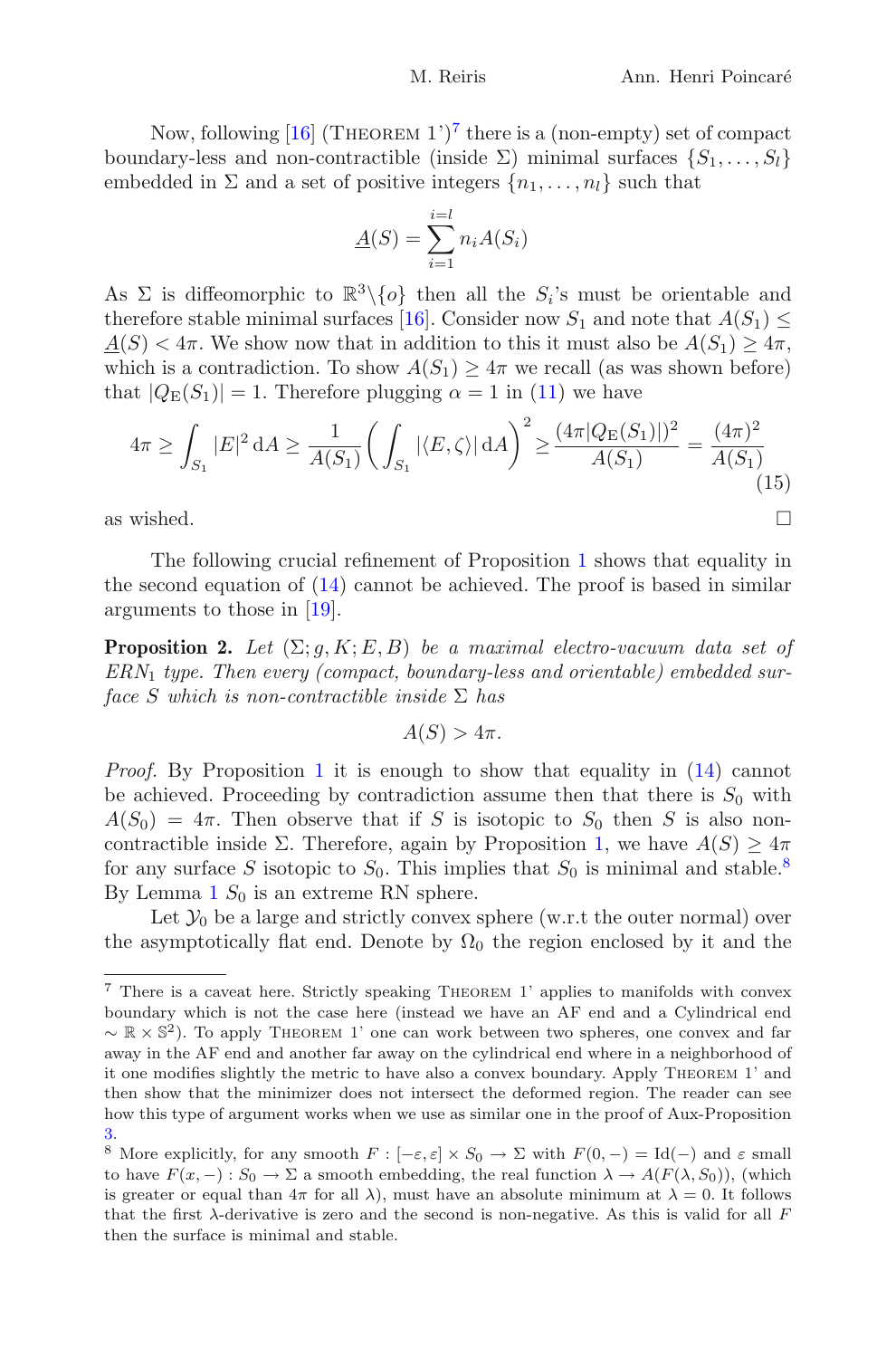Now, following  $[16]$  $[16]$  (THEOREM 1')<sup>[7](#page-11-0)</sup> there is a (non-empty) set of compact boundary-less and non-contractible (inside  $\Sigma$ ) minimal surfaces  $\{S_1, \ldots, S_l\}$ embedded in  $\Sigma$  and a set of positive integers  $\{n_1,\ldots,n_l\}$  such that

$$
\underline{A}(S) = \sum_{i=1}^{i=l} n_i A(S_i)
$$

As  $\Sigma$  is diffeomorphic to  $\mathbb{R}^3\backslash\{o\}$  then all the  $S_i$ 's must be orientable and therefore stable minimal surfaces [\[16](#page-30-10)]. Consider now  $S_1$  and note that  $A(S_1) \leq$  $A(S) < 4\pi$ . We show now that in addition to this it must also be  $A(S_1) \geq 4\pi$ , which is a contradiction. To show  $A(S_1) \geq 4\pi$  we recall (as was shown before) that  $|Q_E(S_1)| = 1$ . Therefore plugging  $\alpha = 1$  in [\(11\)](#page-9-2) we have

$$
4\pi \ge \int_{S_1} |E|^2 \, dA \ge \frac{1}{A(S_1)} \bigg( \int_{S_1} |\langle E, \zeta \rangle| \, dA \bigg)^2 \ge \frac{(4\pi |Q_E(S_1)|)^2}{A(S_1)} = \frac{(4\pi)^2}{A(S_1)} \tag{15}
$$

as wished.  $\Box$ 

The following crucial refinement of Proposition [1](#page-10-2) shows that equality in the second equation of [\(14\)](#page-10-3) cannot be achieved. The proof is based in similar arguments to those in [\[19](#page-30-7)].

<span id="page-11-2"></span>**Proposition 2.** Let  $(\Sigma; g, K; E, B)$  be a maximal electro-vacuum data set of  $ERN<sub>1</sub>$  type. Then every (compact, boundary-less and orientable) embedded surface S which is non-contractible inside  $\Sigma$  has

$$
A(S) > 4\pi.
$$

Proof. By Proposition [1](#page-10-2) it is enough to show that equality in [\(14\)](#page-10-3) cannot be achieved. Proceeding by contradiction assume then that there is  $S_0$  with  $A(S_0)=4\pi$ . Then observe that if S is isotopic to  $S_0$  then S is also non-contractible inside Σ. Therefore, again by Proposition [1,](#page-10-2) we have  $A(S) \geq 4\pi$ for any surface S isotopic to  $S_0$ . This implies that  $S_0$  is minimal and stable.<sup>[8](#page-11-1)</sup> By Lemma [1](#page-9-4)  $S_0$  is an extreme RN sphere.

Let  $\mathcal{Y}_0$  be a large and strictly convex sphere (w.r.t the outer normal) over the asymptotically flat end. Denote by  $\Omega_0$  the region enclosed by it and the

<span id="page-11-0"></span><sup>7</sup> There is a caveat here. Strictly speaking Theorem 1' applies to manifolds with convex boundary which is not the case here (instead we have an AF end and a Cylindrical end  $\sim \mathbb{R} \times \mathbb{S}^2$ ). To apply THEOREM 1' one can work between two spheres, one convex and far away in the AF end and another far away on the cylindrical end where in a neighborhood of it one modifies slightly the metric to have also a convex boundary. Apply Theorem 1' and then show that the minimizer does not intersect the deformed region. The reader can see how this type of argument works when we use as similar one in the proof of Aux-Proposition [3.](#page-19-0)

<span id="page-11-1"></span><sup>&</sup>lt;sup>8</sup> More explicitly, for any smooth  $F: [-\varepsilon, \varepsilon] \times S_0 \to \Sigma$  with  $F(0, -) = \text{Id}(-)$  and  $\varepsilon$  small to have  $F(x, -): S_0 \to \Sigma$  a smooth embedding, the real function  $\lambda \to A(F(\lambda, S_0))$ , (which is greater or equal than  $4\pi$  for all  $\lambda$ ), must have an absolute minimum at  $\lambda = 0$ . It follows that the first  $\lambda$ -derivative is zero and the second is non-negative. As this is valid for all F then the surface is minimal and stable.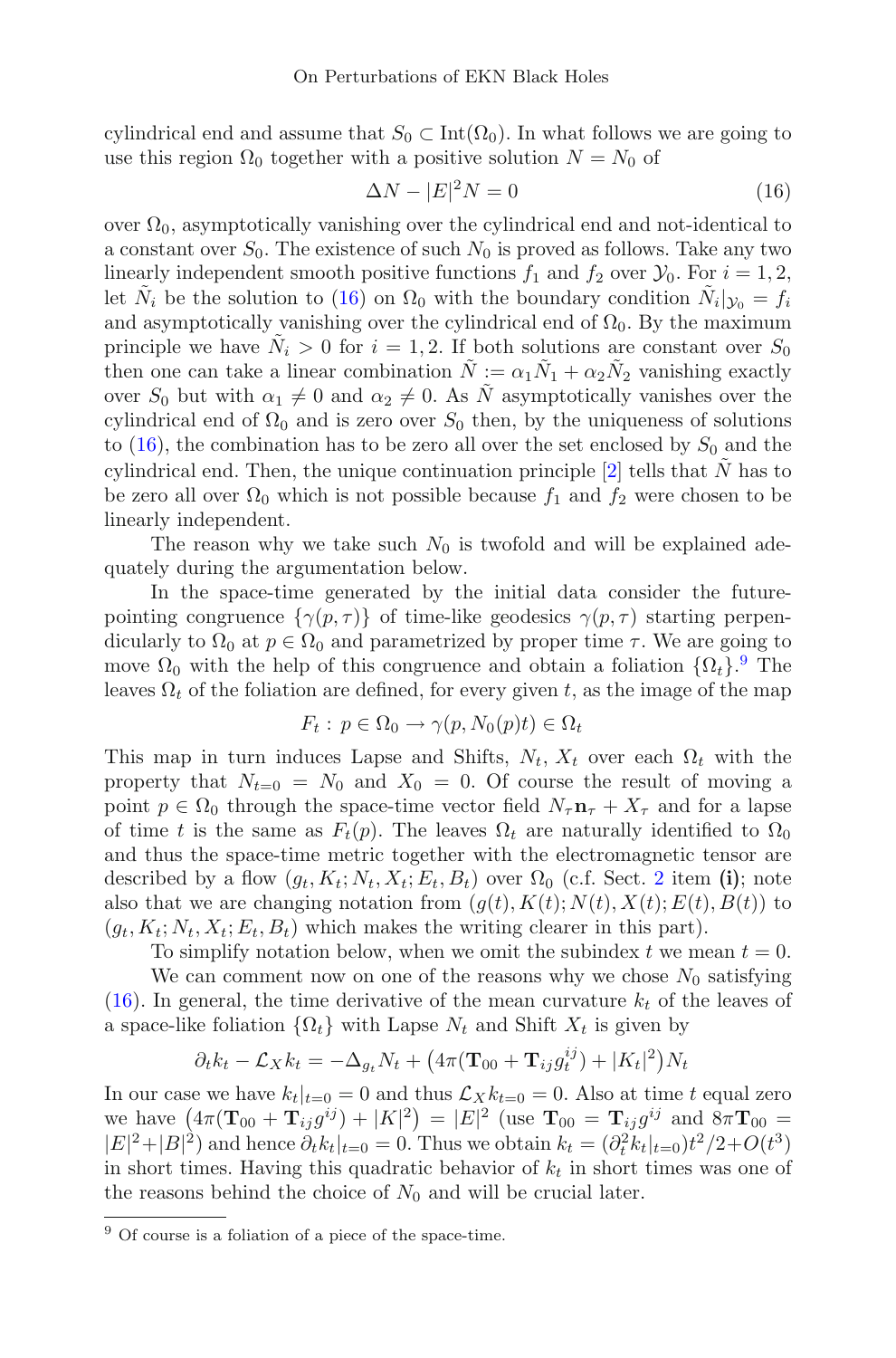cylindrical end and assume that  $S_0 \subset \text{Int}(\Omega_0)$ . In what follows we are going to use this region  $\Omega_0$  together with a positive solution  $N = N_0$  of

$$
\Delta N - |E|^2 N = 0 \tag{16}
$$

<span id="page-12-0"></span>over  $\Omega_0$ , asymptotically vanishing over the cylindrical end and not-identical to a constant over  $S_0$ . The existence of such  $N_0$  is proved as follows. Take any two linearly independent smooth positive functions  $f_1$  and  $f_2$  over  $\mathcal{Y}_0$ . For  $i = 1, 2$ , let  $\tilde{N}_i$  be the solution to [\(16\)](#page-12-0) on  $\Omega_0$  with the boundary condition  $\tilde{N}_i|_{\mathcal{Y}_0} = f_i$ and asymptotically vanishing over the cylindrical end of  $\Omega_0$ . By the maximum principle we have  $\tilde{N}_i > 0$  for  $i = 1, 2$ . If both solutions are constant over  $S_0$ then one can take a linear combination  $\tilde{N} := \alpha_1 \tilde{N}_1 + \alpha_2 \tilde{N}_2$  vanishing exactly over  $S_0$  but with  $\alpha_1 \neq 0$  and  $\alpha_2 \neq 0$ . As N asymptotically vanishes over the cylindrical end of  $\Omega_0$  and is zero over  $S_0$  then, by the uniqueness of solutions to [\(16\)](#page-12-0), the combination has to be zero all over the set enclosed by  $S_0$  and the cylindrical end. Then, the unique continuation principle  $[2]$  tells that N has to be zero all over  $\Omega_0$  which is not possible because  $f_1$  and  $f_2$  were chosen to be linearly independent.

The reason why we take such  $N_0$  is twofold and will be explained adequately during the argumentation below.

In the space-time generated by the initial data consider the futurepointing congruence  $\{\gamma(p,\tau)\}\$  of time-like geodesics  $\gamma(p,\tau)$  starting perpendicularly to  $\Omega_0$  at  $p \in \Omega_0$  and parametrized by proper time  $\tau$ . We are going to move  $\Omega_0$  with the help of this congruence and obtain a foliation  $\{\Omega_t\}$ . The leaves  $\Omega_t$  of the foliation are defined, for every given t, as the image of the map

$$
F_t: p \in \Omega_0 \to \gamma(p, N_0(p)t) \in \Omega_t
$$

This map in turn induces Lapse and Shifts,  $N_t$ ,  $X_t$  over each  $\Omega_t$  with the property that  $N_{t=0} = N_0$  and  $X_0 = 0$ . Of course the result of moving a point  $p \in \Omega_0$  through the space-time vector field  $N_{\tau} \mathbf{n}_{\tau} + X_{\tau}$  and for a lapse of time t is the same as  $F_t(p)$ . The leaves  $\Omega_t$  are naturally identified to  $\Omega_0$ and thus the space-time metric together with the electromagnetic tensor are described by a flow  $(g_t, K_t; N_t, X_t; E_t, B_t)$  over  $\Omega_0$  (c.f. Sect. [2](#page-6-0) item (i); note also that we are changing notation from  $(g(t), K(t); N(t), X(t); E(t), B(t))$  to  $(g_t, K_t; N_t, X_t; E_t, B_t)$  which makes the writing clearer in this part).

To simplify notation below, when we omit the subindex t we mean  $t = 0$ .

We can comment now on one of the reasons why we chose  $N_0$  satisfying [\(16\)](#page-12-0). In general, the time derivative of the mean curvature  $k_t$  of the leaves of a space-like foliation  $\{\Omega_t\}$  with Lapse  $N_t$  and Shift  $X_t$  is given by

$$
\partial_t k_t - \mathcal{L}_X k_t = -\Delta_{g_t} N_t + \left(4\pi (\mathbf{T}_{00} + \mathbf{T}_{ij} g_t^{ij}) + |K_t|^2\right)N_t
$$

In our case we have  $k_t|_{t=0} = 0$  and thus  $\mathcal{L}_X k_{t=0} = 0$ . Also at time t equal zero we have  $(4\pi(\mathbf{T}_{00} + \mathbf{T}_{ij}g^{ij}) + |K|^2) = |E|^2$  (use  $\mathbf{T}_{00} = \mathbf{T}_{ij}g^{ij}$  and  $8\pi \mathbf{T}_{00} =$  $|E|^2 + |B|^2$  and hence  $\partial_t k_t|_{t=0} = 0$ . Thus we obtain  $k_t = (\partial_t^2 k_t|_{t=0})t^2/2 + O(t^3)$ in short times. Having this quadratic behavior of  $k_t$  in short times was one of the reasons behind the choice of  $N_0$  and will be crucial later.

<span id="page-12-1"></span><sup>9</sup> Of course is a foliation of a piece of the space-time.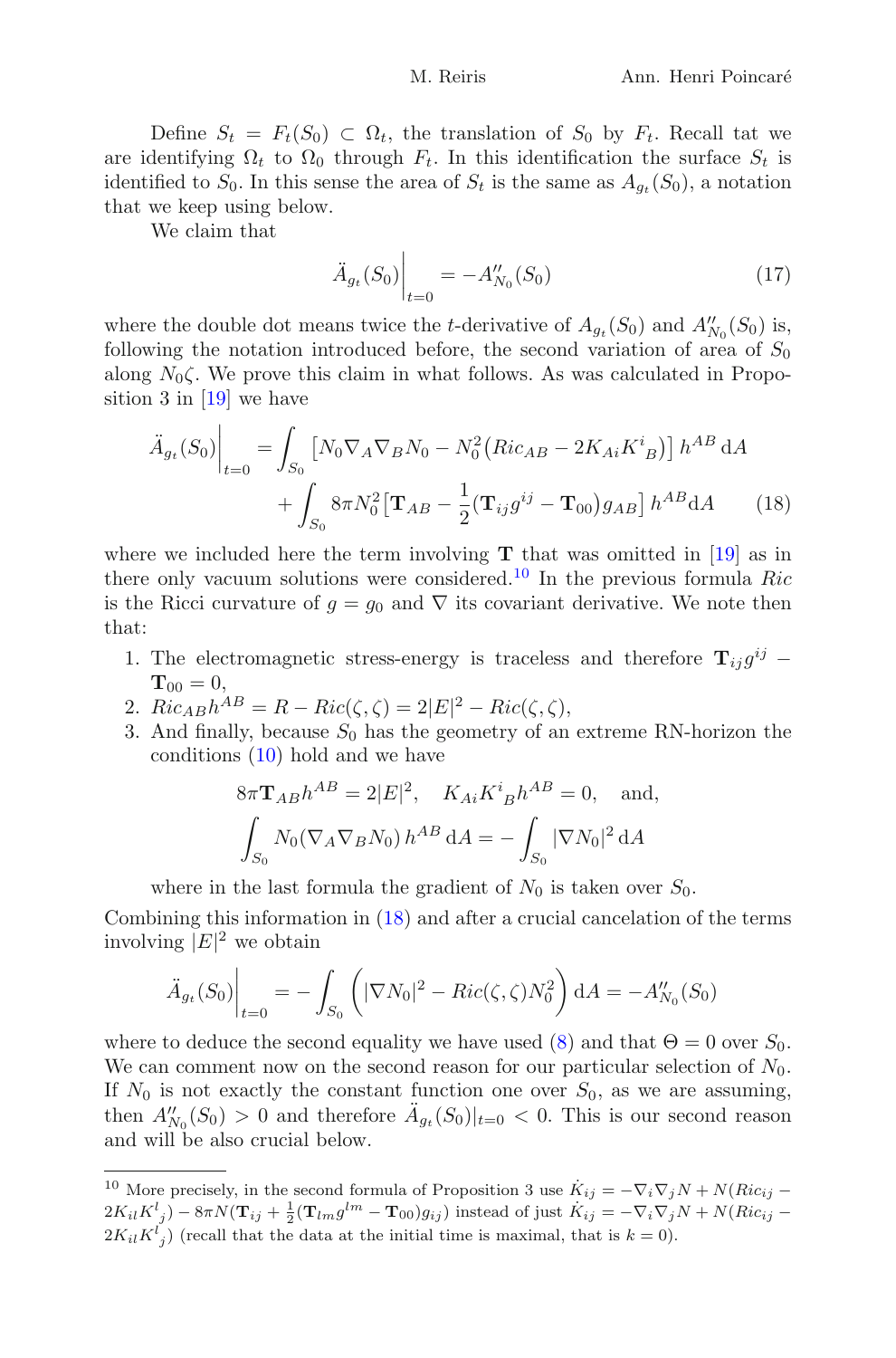Define  $S_t = F_t(S_0) \subset \Omega_t$ , the translation of  $S_0$  by  $F_t$ . Recall tat we are identifying  $\Omega_t$  to  $\Omega_0$  through  $F_t$ . In this identification the surface  $S_t$  is identified to  $S_0$ . In this sense the area of  $S_t$  is the same as  $A_{a_i}(S_0)$ , a notation that we keep using below.

We claim that

<span id="page-13-1"></span>
$$
\ddot{A}_{g_t}(S_0)\Big|_{t=0} = -A''_{N_0}(S_0)
$$
\n(17)

where the double dot means twice the *t*-derivative of  $A_{g_t}(S_0)$  and  $A''_{N_0}(S_0)$  is, following the notation introduced before, the second variation of area of  $S_0$ along  $N_0\zeta$ . We prove this claim in what follows. As was calculated in Proposition 3 in  $[19]$  we have

$$
\ddot{A}_{g_t}(S_0)\Big|_{t=0} = \int_{S_0} \left[ N_0 \nabla_A \nabla_B N_0 - N_0^2 \left( Ric_{AB} - 2K_{Ai} K^i{}_B \right) \right] h^{AB} dA + \int_{S_0} 8\pi N_0^2 \left[ \mathbf{T}_{AB} - \frac{1}{2} (\mathbf{T}_{ij} g^{ij} - \mathbf{T}_{00}) g_{AB} \right] h^{AB} dA \tag{18}
$$

where we included here the term involving  $T$  that was omitted in [\[19\]](#page-30-7) as in there only vacuum solutions were considered.<sup>[10](#page-13-0)</sup> In the previous formula Ric is the Ricci curvature of  $g = g_0$  and  $\nabla$  its covariant derivative. We note then that:

- 1. The electromagnetic stress-energy is traceless and therefore  $\mathbf{T}_{ij}q^{ij}$  −  $T_{00} = 0$ ,
- 2.  $Ric_{AB}h^{AB} = R Ric(\zeta, \zeta) = 2|E|^2 Ric(\zeta, \zeta),$
- 3. And finally, because  $S_0$  has the geometry of an extreme RN-horizon the conditions [\(10\)](#page-9-5) hold and we have

$$
8\pi \mathbf{T}_{AB} h^{AB} = 2|E|^2
$$
,  $K_{Ai} K^{i}_{B} h^{AB} = 0$ , and,  

$$
\int_{S_0} N_0 (\nabla_A \nabla_B N_0) h^{AB} dA = - \int_{S_0} |\nabla N_0|^2 dA
$$

where in the last formula the gradient of  $N_0$  is taken over  $S_0$ .

Combining this information in [\(18\)](#page-13-1) and after a crucial cancelation of the terms involving  $|E|^2$  we obtain

$$
\ddot{A}_{g_t}(S_0)\Big|_{t=0} = -\int_{S_0} \left( |\nabla N_0|^2 - Ric(\zeta, \zeta) N_0^2 \right) dA = -A''_{N_0}(S_0)
$$

where to deduce the second equality we have used [\(8\)](#page-8-3) and that  $\Theta = 0$  over  $S_0$ . We can comment now on the second reason for our particular selection of  $N_0$ . If  $N_0$  is not exactly the constant function one over  $S_0$ , as we are assuming, then  $A''_{N_0}(S_0) > 0$  and therefore  $A_{g_t}(S_0)|_{t=0} < 0$ . This is our second reason and will be also crucial below.

<span id="page-13-0"></span><sup>&</sup>lt;sup>10</sup> More precisely, in the second formula of Proposition 3 use  $\dot{K}_{ij} = -\nabla_i \nabla_j N + N(Ric_{ij} 2K_{il}K^{l}_{\;\;j})-8\pi N(\mathbf{T}_{ij}+\frac{1}{2}(\mathbf{T}_{lm}g^{lm}-\mathbf{T}_{00})g_{ij})$  instead of just  $\dot{K}_{ij}=-\nabla_{i}\nabla_{j}N+N(Ric_{ij}-\frac{1}{2}(\mathbf{T}_{lm}g^{lm}-\mathbf{T}_{00})g_{ij})$  $2K_{il}K^{l}_{j}$ ) (recall that the data at the initial time is maximal, that is  $k = 0$ ).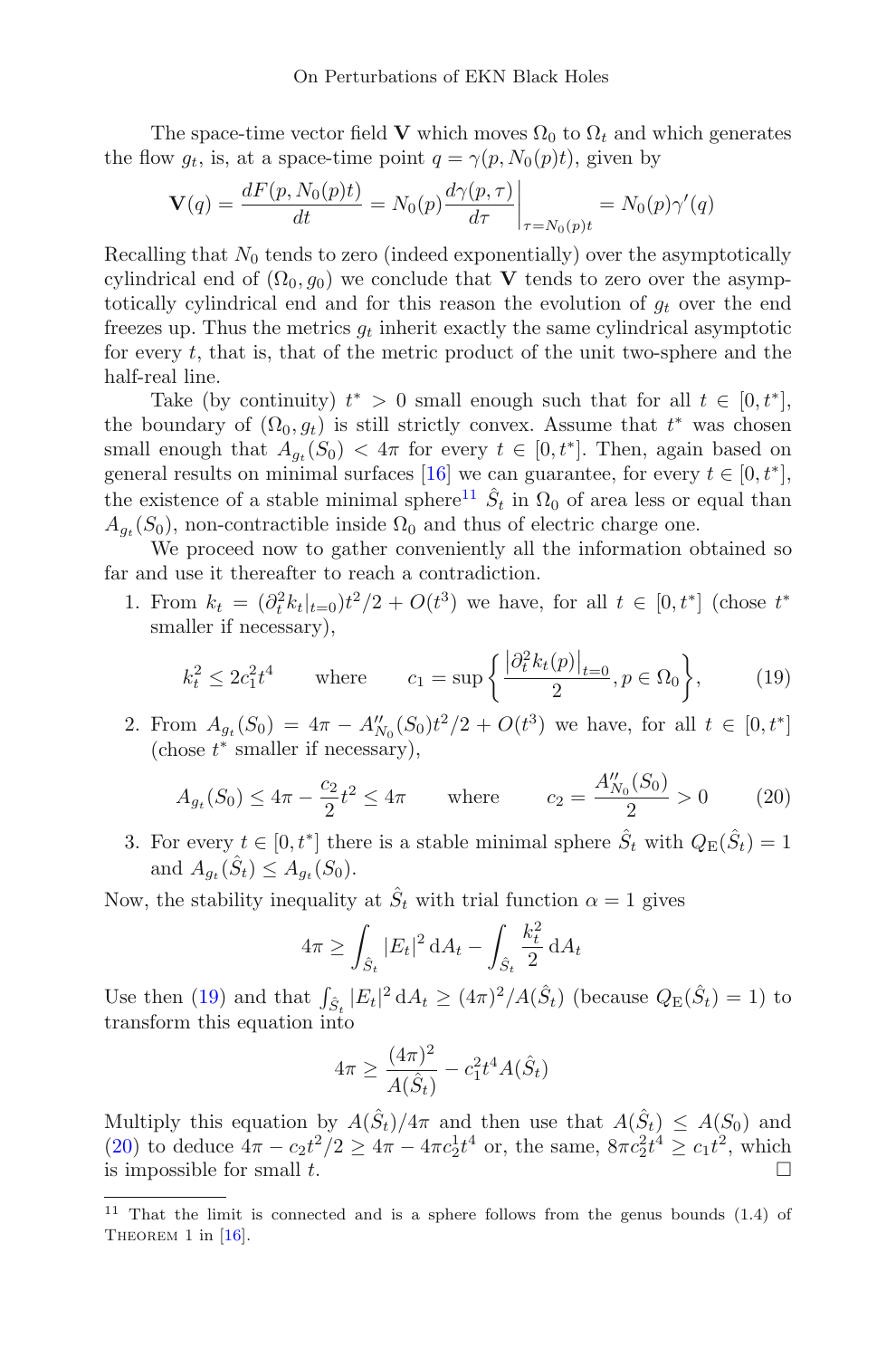The space-time vector field V which moves  $\Omega_0$  to  $\Omega_t$  and which generates the flow  $q_t$ , is, at a space-time point  $q = \gamma(p, N_0(p)t)$ , given by

$$
\mathbf{V}(q) = \frac{dF(p, N_0(p)t)}{dt} = N_0(p) \frac{d\gamma(p, \tau)}{d\tau} \bigg|_{\tau = N_0(p)t} = N_0(p)\gamma'(q)
$$

Recalling that  $N_0$  tends to zero (indeed exponentially) over the asymptotically cylindrical end of  $(\Omega_0, g_0)$  we conclude that V tends to zero over the asymptotically cylindrical end and for this reason the evolution of  $q_t$  over the end freezes up. Thus the metrics  $g_t$  inherit exactly the same cylindrical asymptotic for every  $t$ , that is, that of the metric product of the unit two-sphere and the half-real line.

Take (by continuity)  $t^* > 0$  small enough such that for all  $t \in [0, t^*]$ , the boundary of  $(\Omega_0, g_t)$  is still strictly convex. Assume that  $t^*$  was chosen small enough that  $A_{g_t}(S_0) < 4\pi$  for every  $t \in [0, t^*]$ . Then, again based on general results on minimal surfaces [\[16\]](#page-30-10) we can guarantee, for every  $t \in [0, t^*]$ , the existence of a stable minimal sphere<sup>[11](#page-14-0)</sup>  $\hat{S}_t$  in  $\Omega_0$  of area less or equal than  $A_{q_t}(S_0)$ , non-contractible inside  $\Omega_0$  and thus of electric charge one.

We proceed now to gather conveniently all the information obtained so far and use it thereafter to reach a contradiction.

1. From  $k_t = (\partial_t^2 k_t|_{t=0})t^2/2 + O(t^3)$  we have, for all  $t \in [0, t^*]$  (chose  $t^*$ smaller if necessary),

$$
k_t^2 \le 2c_1^2 t^4
$$
 where  $c_1 = \sup \left\{ \frac{|\partial_t^2 k_t(p)|_{t=0}}{2}, p \in \Omega_0 \right\},$  (19)

<span id="page-14-1"></span>2. From  $A_{g_t}(S_0) = 4\pi - A''_{N_0}(S_0)t^2/2 + O(t^3)$  we have, for all  $t \in [0, t^*]$  $(\text{choose } t^* \text{ smaller if necessary}),$ 

$$
A_{g_t}(S_0) \le 4\pi - \frac{c_2}{2}t^2 \le 4\pi \quad \text{where} \quad c_2 = \frac{A_{N_0}''(S_0)}{2} > 0 \quad (20)
$$

<span id="page-14-2"></span>3. For every  $t \in [0, t^*]$  there is a stable minimal sphere  $\hat{S}_t$  with  $Q_{\rm E}(\hat{S}_t)=1$ and  $A_{q_t}(\hat{S}_t) \leq A_{q_t}(S_0)$ .

Now, the stability inequality at  $\hat{S}_t$  with trial function  $\alpha = 1$  gives

$$
4\pi \ge \int_{\hat{S}_t} |E_t|^2 \, \mathrm{d}A_t - \int_{\hat{S}_t} \frac{k_t^2}{2} \, \mathrm{d}A_t
$$

Use then [\(19\)](#page-14-1) and that  $\int_{\hat{S}_t} |E_t|^2 dA_t \ge (4\pi)^2 / A(\hat{S}_t)$  (because  $Q_{\mathcal{E}}(\hat{S}_t) = 1$ ) to transform this equation into

$$
4\pi \ge \frac{(4\pi)^2}{A(\hat{S}_t)} - c_1^2 t^4 A(\hat{S}_t)
$$

Multiply this equation by  $A(\hat{S}_t)/4\pi$  and then use that  $A(\hat{S}_t) \leq A(S_0)$  and [\(20\)](#page-14-2) to deduce  $4\pi - c_2 t^2/2 \ge 4\pi - 4\pi c_2^1 t^4$  or, the same,  $8\pi c_2^2 t^4 \ge c_1 t^2$ , which is impossible for small t.  $\Box$ 

<span id="page-14-0"></span> $11$  That the limit is connected and is a sphere follows from the genus bounds (1.4) of THEOREM 1 in [\[16](#page-30-10)].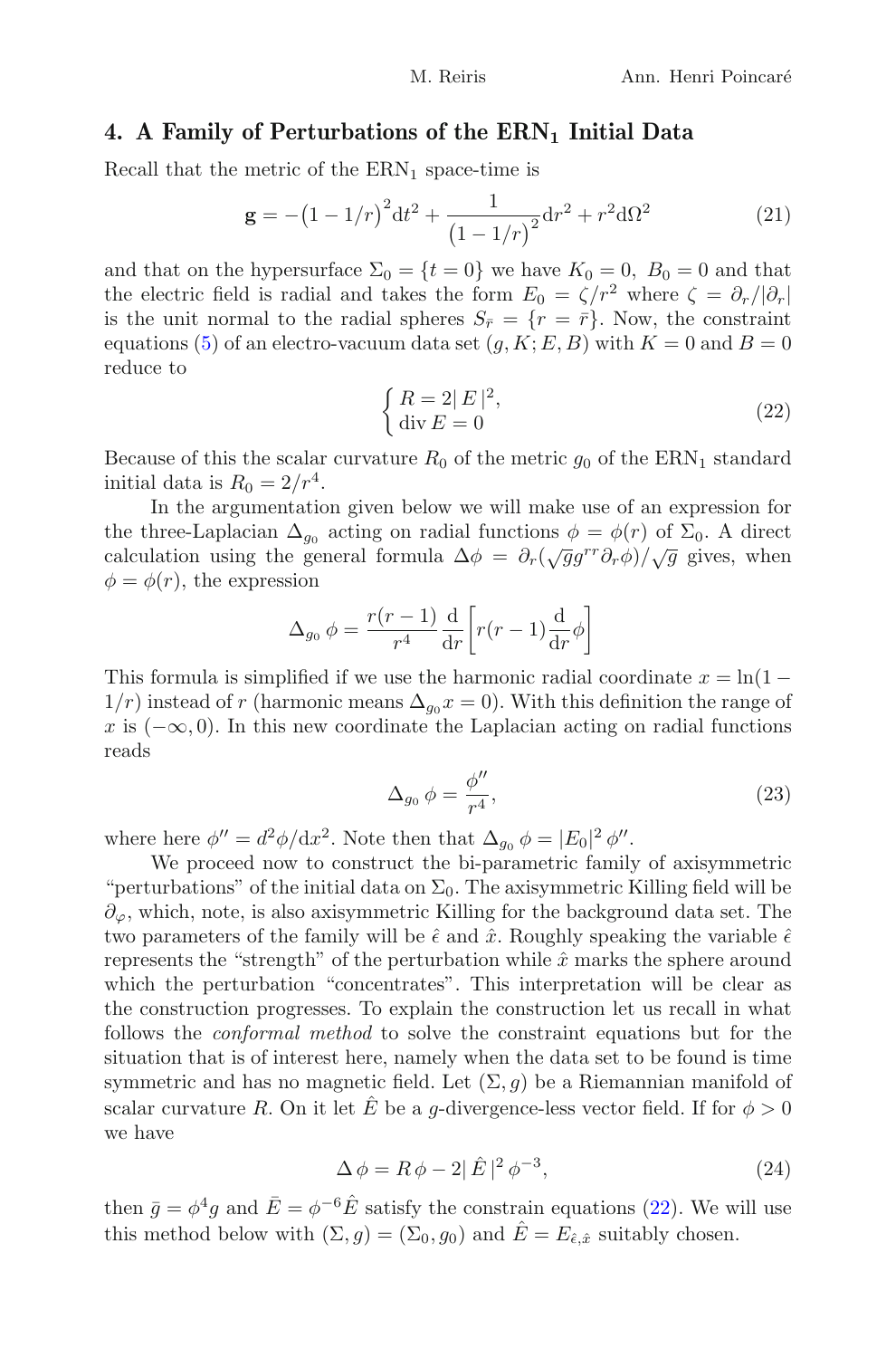#### <span id="page-15-0"></span>4. A Family of Perturbations of the  $\text{ERN}_1$  Initial Data

Recall that the metric of the  $\text{ERN}_1$  space-time is

$$
\mathbf{g} = -\left(1 - 1/r\right)^2 dt^2 + \frac{1}{\left(1 - 1/r\right)^2} dr^2 + r^2 d\Omega^2
$$
 (21)

and that on the hypersurface  $\Sigma_0 = \{t = 0\}$  we have  $K_0 = 0$ ,  $B_0 = 0$  and that the electric field is radial and takes the form  $E_0 = \zeta/r^2$  where  $\zeta = \partial_r/|\partial_r|$ is the unit normal to the radial spheres  $S_{\bar{r}} = \{r = \bar{r}\}\.$  Now, the constraint equations [\(5\)](#page-7-0) of an electro-vacuum data set  $(g, K; E, B)$  with  $K = 0$  and  $B = 0$ reduce to

$$
\begin{cases} R = 2|E|^2, \\ \operatorname{div} E = 0 \end{cases} \tag{22}
$$

<span id="page-15-1"></span>Because of this the scalar curvature  $R_0$  of the metric  $g_0$  of the ERN<sub>1</sub> standard initial data is  $R_0 = 2/r^4$ .

In the argumentation given below we will make use of an expression for the three-Laplacian  $\Delta_{q_0}$  acting on radial functions  $\phi = \phi(r)$  of  $\Sigma_0$ . A direct calculation using the general formula  $\Delta \phi = \partial_r(\sqrt{g}g^{rr}\partial_r\phi)/\sqrt{g}$  gives, when  $\phi = \phi(r)$ , the expression

$$
\Delta_{g_0} \phi = \frac{r(r-1)}{r^4} \frac{d}{dr} \left[ r(r-1) \frac{d}{dr} \phi \right]
$$

This formula is simplified if we use the harmonic radial coordinate  $x = \ln(1 - \frac{1}{x})$  $1/r$ ) instead of r (harmonic means  $\Delta_{q_0} x = 0$ ). With this definition the range of x is  $(-\infty, 0)$ . In this new coordinate the Laplacian acting on radial functions reads

$$
\Delta_{g_0} \phi = \frac{\phi''}{r^4},\tag{23}
$$

where here  $\phi'' = d^2\phi/dx^2$ . Note then that  $\Delta_{g_0} \phi = |E_0|^2 \phi''$ .

We proceed now to construct the bi-parametric family of axisymmetric "perturbations" of the initial data on  $\Sigma_0$ . The axisymmetric Killing field will be  $\partial_{\varphi}$ , which, note, is also axisymmetric Killing for the background data set. The two parameters of the family will be  $\hat{\epsilon}$  and  $\hat{x}$ . Roughly speaking the variable  $\hat{\epsilon}$ represents the "strength" of the perturbation while  $\hat{x}$  marks the sphere around which the perturbation "concentrates". This interpretation will be clear as the construction progresses. To explain the construction let us recall in what follows the conformal method to solve the constraint equations but for the situation that is of interest here, namely when the data set to be found is time symmetric and has no magnetic field. Let  $(\Sigma, g)$  be a Riemannian manifold of scalar curvature R. On it let E be a g-divergence-less vector field. If for  $\phi > 0$ we have

$$
\Delta \phi = R \phi - 2 |\hat{E}|^2 \phi^{-3}, \tag{24}
$$

<span id="page-15-2"></span>then  $\bar{g} = \phi^4 g$  and  $\bar{E} = \phi^{-6} \hat{E}$  satisfy the constrain equations [\(22\)](#page-15-1). We will use this method below with  $(\Sigma, g) = (\Sigma_0, g_0)$  and  $\hat{E} = E_{\hat{\epsilon}, \hat{x}}$  suitably chosen.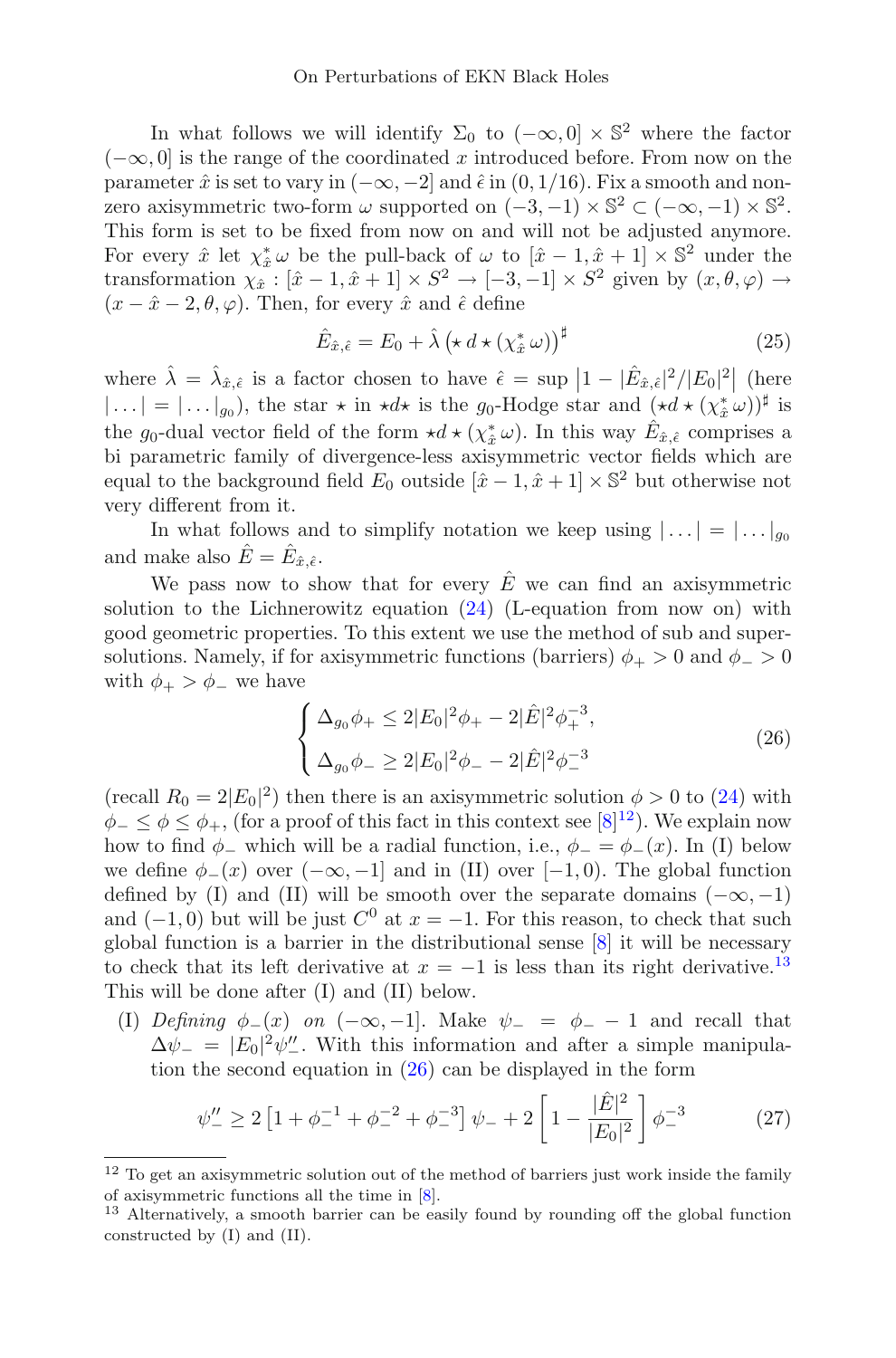In what follows we will identify  $\Sigma_0$  to  $(-\infty, 0] \times \mathbb{S}^2$  where the factor  $(-\infty, 0]$  is the range of the coordinated x introduced before. From now on the parameter  $\hat{x}$  is set to vary in  $(-\infty, -2]$  and  $\hat{\epsilon}$  in  $(0, 1/16)$ . Fix a smooth and nonzero axisymmetric two-form  $\omega$  supported on  $(-3,-1) \times \mathbb{S}^2 \subset (-\infty,-1) \times \mathbb{S}^2$ . This form is set to be fixed from now on and will not be adjusted anymore. For every  $\hat{x}$  let  $\chi^*_{\hat{x}} \omega$  be the pull-back of  $\omega$  to  $[\hat{x} - 1, \hat{x} + 1] \times \mathbb{S}^2$  under the transformation  $\chi_{\hat{x}}$ :  $[\hat{x} - 1, \hat{x} + 1] \times S^2 \rightarrow [-3, -1] \times S^2$  given by  $(x, \theta, \varphi) \rightarrow$  $(x - \hat{x} - 2, \theta, \varphi)$ . Then, for every  $\hat{x}$  and  $\hat{\epsilon}$  define

$$
\hat{E}_{\hat{x},\hat{\epsilon}} = E_0 + \hat{\lambda} \left( \star d \star (\chi_{\hat{x}}^* \omega) \right)^{\sharp} \tag{25}
$$

<span id="page-16-4"></span>where  $\hat{\lambda} = \hat{\lambda}_{\hat{x}, \hat{\epsilon}}$  is a factor chosen to have  $\hat{\epsilon} = \sup |1 - |\hat{E}_{\hat{x}, \hat{\epsilon}}|^2 / |E_0|^2|$  (here  $|\ldots| = |\ldots|_{g_0}$ , the star  $\star$  in  $\star d\star$  is the  $g_0$ -Hodge star and  $(\star d \star (\chi_x^* \omega))^{\sharp}$  is the g<sub>0</sub>-dual vector field of the form  $\star d \star (\chi_{\hat{x}}^* \omega)$ . In this way  $\hat{E}_{\hat{x}, \hat{\epsilon}}$  comprises a bi parametric family of divergence-less axisymmetric vector fields which are equal to the background field  $E_0$  outside  $[\hat{x} - 1, \hat{x} + 1] \times \mathbb{S}^2$  but otherwise not very different from it.

In what follows and to simplify notation we keep using  $|\ldots| = |\ldots|_{q_0}$ and make also  $\hat{E} = \hat{E}_{\hat{x}, \hat{\epsilon}}$ .

We pass now to show that for every  $\hat{E}$  we can find an axisymmetric solution to the Lichnerowitz equation  $(24)$  (L-equation from now on) with good geometric properties. To this extent we use the method of sub and supersolutions. Namely, if for axisymmetric functions (barriers)  $\phi_{+} > 0$  and  $\phi_{-} > 0$ with  $\phi_{+} > \phi_{-}$  we have

<span id="page-16-2"></span>
$$
\begin{cases} \Delta_{g_0}\phi_+ \le 2|E_0|^2\phi_+ - 2|\hat{E}|^2\phi_+^{-3}, \\ \Delta_{g_0}\phi_- \ge 2|E_0|^2\phi_- - 2|\hat{E}|^2\phi_-^{-3} \end{cases}
$$
(26)

(recall  $R_0 = 2|E_0|^2$ ) then there is an axisymmetric solution  $\phi > 0$  to [\(24\)](#page-15-2) with  $\phi_-\leq \phi\leq \phi_+$ , (for a proof of this fact in this context see [\[8](#page-30-8)]<sup>[12](#page-16-0)</sup>). We explain now how to find  $\phi_-$  which will be a radial function, i.e.,  $\phi_- = \phi_-(x)$ . In (I) below we define  $\phi_-(x)$  over  $(-\infty, -1]$  and in (II) over  $[-1, 0)$ . The global function defined by (I) and (II) will be smooth over the separate domains  $(-\infty, -1)$ and  $(-1, 0)$  but will be just  $C^0$  at  $x = -1$ . For this reason, to check that such global function is a barrier in the distributional sense [\[8\]](#page-30-8) it will be necessary to check that its left derivative at  $x = -1$  is less than its right derivative.<sup>[13](#page-16-1)</sup> This will be done after (I) and (II) below.

(I) Defining  $\phi_-(x)$  on  $(-\infty, -1]$ . Make  $\psi_- = \phi_- - 1$  and recall that  $\Delta \psi_{-} = |E_0|^2 \psi_{-}^{\prime\prime}$ . With this information and after a simple manipulation the second equation in [\(26\)](#page-16-2) can be displayed in the form

$$
\psi_{-}^{\prime\prime} \ge 2 \left[ 1 + \phi_{-}^{-1} + \phi_{-}^{-2} + \phi_{-}^{-3} \right] \psi_{-} + 2 \left[ 1 - \frac{|\hat{E}|^2}{|E_0|^2} \right] \phi_{-}^{-3} \tag{27}
$$

<span id="page-16-3"></span><span id="page-16-0"></span> $12$  To get an axisymmetric solution out of the method of barriers just work inside the family of axisymmetric functions all the time in [\[8\]](#page-30-8).

<span id="page-16-1"></span><sup>13</sup> Alternatively, a smooth barrier can be easily found by rounding off the global function constructed by (I) and (II).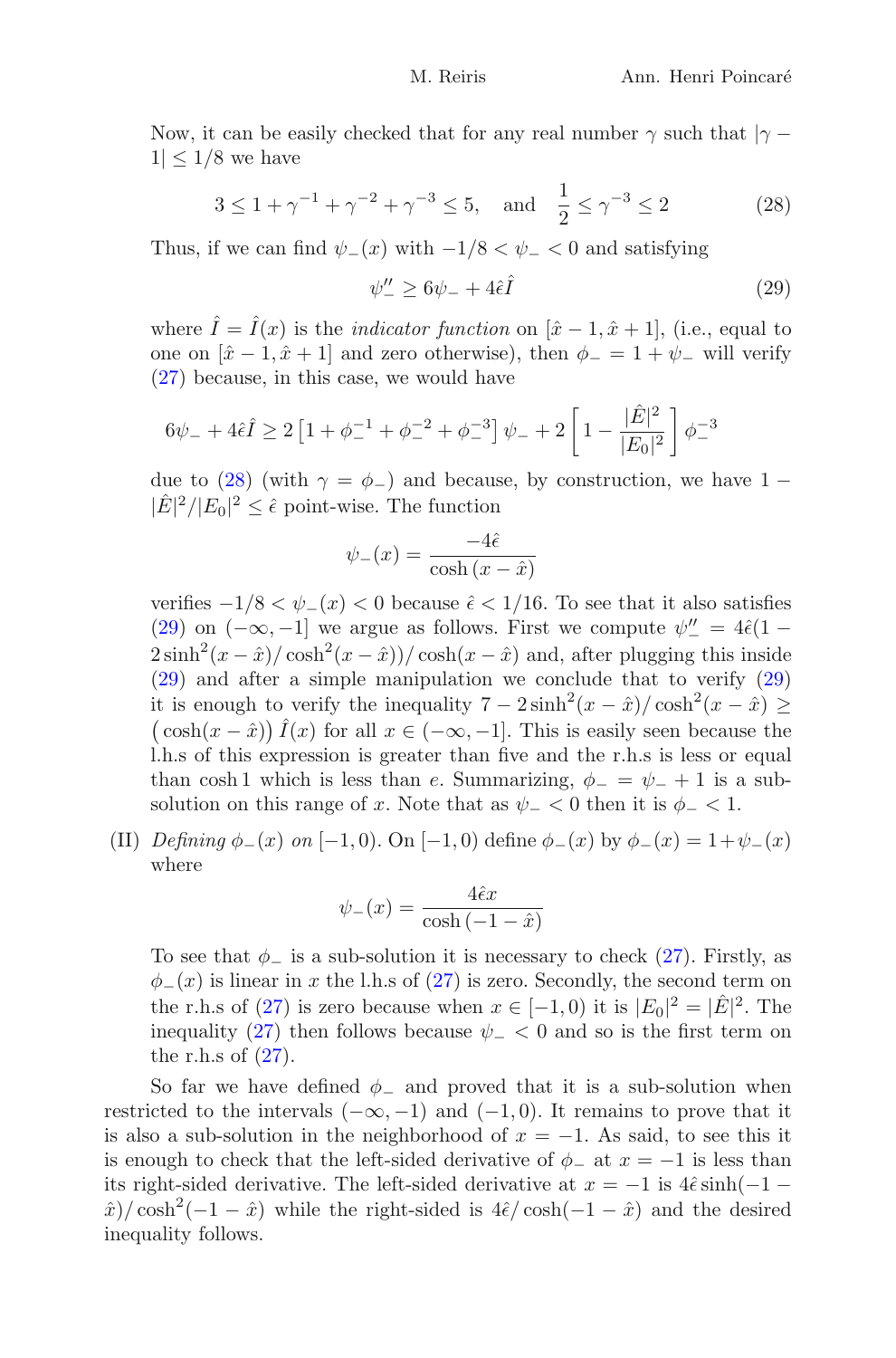Now, it can be easily checked that for any real number  $\gamma$  such that  $|\gamma - \rangle$  $1| < 1/8$  we have

$$
3 \le 1 + \gamma^{-1} + \gamma^{-2} + \gamma^{-3} \le 5
$$
, and  $\frac{1}{2} \le \gamma^{-3} \le 2$  (28)

<span id="page-17-1"></span><span id="page-17-0"></span>Thus, if we can find  $\psi_-(x)$  with  $-1/8 < \psi_- < 0$  and satisfying

$$
\psi_{-}^{\prime\prime} \ge 6\psi_{-} + 4\hat{\epsilon}\hat{I} \tag{29}
$$

where  $\hat{I} = \hat{I}(x)$  is the *indicator function* on  $[\hat{x} - 1, \hat{x} + 1]$ , (i.e., equal to one on  $[\hat{x} - 1, \hat{x} + 1]$  and zero otherwise), then  $\phi_- = 1 + \psi_-$  will verify [\(27\)](#page-16-3) because, in this case, we would have

$$
6\psi_- + 4\hat{\epsilon}\hat{I} \ge 2\left[1 + \phi_-^{-1} + \phi_-^{-2} + \phi_-^{-3}\right]\psi_- + 2\left[1 - \frac{|\hat{E}|^2}{|E_0|^2}\right]\phi_-^{-3}
$$

due to [\(28\)](#page-17-0) (with  $\gamma = \phi_+$ ) and because, by construction, we have 1 –  $|\hat{E}|^2/|E_0|^2 \leq \hat{\epsilon}$  point-wise. The function

$$
\psi_{-}(x) = \frac{-4\hat{\epsilon}}{\cosh(x - \hat{x})}
$$

verifies  $-1/8 < \psi_-(x) < 0$  because  $\hat{\epsilon} < 1/16$ . To see that it also satisfies [\(29\)](#page-17-1) on  $(-\infty, -1]$  we argue as follows. First we compute  $\psi'' = 4\hat{\epsilon}(1-\epsilon)$  $2\sinh^2(x-\hat{x})/\cosh^2(x-\hat{x})/\cosh(x-\hat{x})$  and, after plugging this inside [\(29\)](#page-17-1) and after a simple manipulation we conclude that to verify [\(29\)](#page-17-1) it is enough to verify the inequality  $7 - 2\sinh^2(x - \hat{x})/\cosh^2(x - \hat{x}) \ge$  $(\cosh(x - \hat{x})) \hat{I}(x)$  for all  $x \in (-\infty, -1]$ . This is easily seen because the l.h.s of this expression is greater than five and the r.h.s is less or equal than cosh 1 which is less than e. Summarizing,  $\phi_- = \psi_- + 1$  is a subsolution on this range of x. Note that as  $\psi$  –  $<$  0 then it is  $\phi$  –  $<$  1.

(II) Defining  $\phi_-(x)$  on [-1,0). On [-1,0) define  $\phi_-(x)$  by  $\phi_-(x) = 1+\psi_-(x)$ where

$$
\psi_{-}(x) = \frac{4\hat{\epsilon}x}{\cosh\left(-1 - \hat{x}\right)}
$$

To see that  $\phi_-$  is a sub-solution it is necessary to check [\(27\)](#page-16-3). Firstly, as  $\phi_-(x)$  is linear in x the l.h.s of [\(27\)](#page-16-3) is zero. Secondly, the second term on the r.h.s of [\(27\)](#page-16-3) is zero because when  $x \in [-1,0)$  it is  $|E_0|^2 = |\hat{E}|^2$ . The inequality [\(27\)](#page-16-3) then follows because  $\psi$  –  $\lt$  0 and so is the first term on the r.h.s of  $(27)$ .

So far we have defined  $\phi$  and proved that it is a sub-solution when restricted to the intervals  $(-\infty, -1)$  and  $(-1, 0)$ . It remains to prove that it is also a sub-solution in the neighborhood of  $x = -1$ . As said, to see this it is enough to check that the left-sided derivative of  $\phi_-$  at  $x = -1$  is less than its right-sided derivative. The left-sided derivative at  $x = -1$  is  $4\hat{\epsilon} \sinh(-1 \hat{x}$ / $\cosh^2(-1 - \hat{x})$  while the right-sided is  $4\hat{\epsilon}/\cosh(-1 - \hat{x})$  and the desired inequality follows.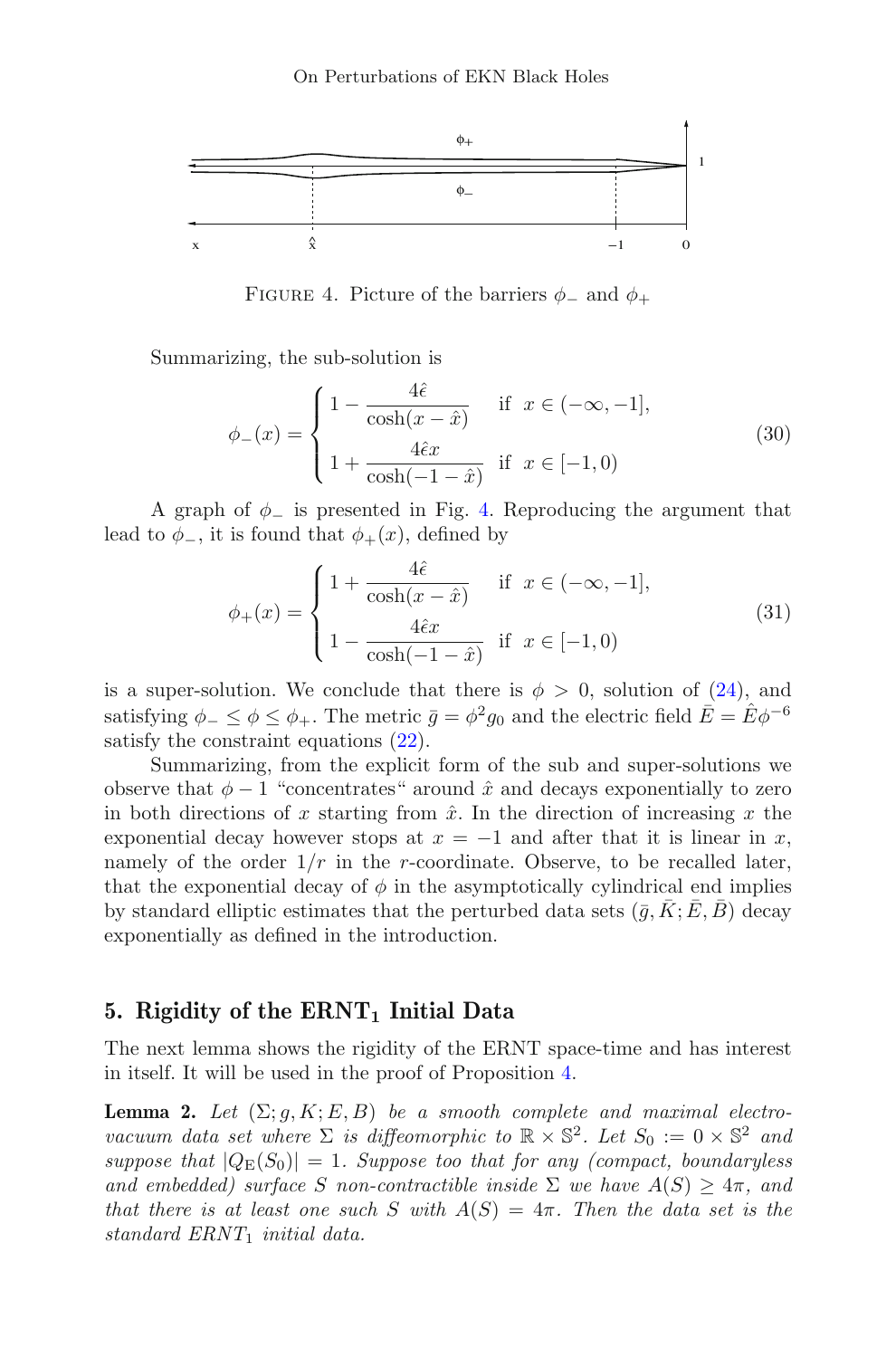

<span id="page-18-1"></span>FIGURE 4. Picture of the barriers  $\phi_-$  and  $\phi_+$ 

Summarizing, the sub-solution is

$$
\phi_{-}(x) = \begin{cases} 1 - \frac{4\hat{\epsilon}}{\cosh(x - \hat{x})} & \text{if } x \in (-\infty, -1], \\ 1 + \frac{4\hat{\epsilon}x}{\cosh(-1 - \hat{x})} & \text{if } x \in [-1, 0) \end{cases}
$$
(30)

<span id="page-18-3"></span>A graph of  $\phi$ <sub>-</sub> is presented in Fig. [4.](#page-18-1) Reproducing the argument that lead to  $\phi_-,$  it is found that  $\phi_+(x)$ , defined by

$$
\phi_{+}(x) = \begin{cases} 1 + \frac{4\hat{\epsilon}}{\cosh(x - \hat{x})} & \text{if } x \in (-\infty, -1], \\ 1 - \frac{4\hat{\epsilon}x}{\cosh(-1 - \hat{x})} & \text{if } x \in [-1, 0) \end{cases}
$$
(31)

<span id="page-18-4"></span>is a super-solution. We conclude that there is  $\phi > 0$ , solution of [\(24\)](#page-15-2), and satisfying  $\phi_- \leq \phi \leq \phi_+$ . The metric  $\bar{q} = \phi^2 q_0$  and the electric field  $\bar{E} = \bar{E} \phi^{-6}$ satisfy the constraint equations [\(22\)](#page-15-1).

Summarizing, from the explicit form of the sub and super-solutions we observe that  $\phi - 1$  "concentrates" around  $\hat{x}$  and decays exponentially to zero in both directions of x starting from  $\hat{x}$ . In the direction of increasing x the exponential decay however stops at  $x = -1$  and after that it is linear in x, namely of the order  $1/r$  in the r-coordinate. Observe, to be recalled later, that the exponential decay of  $\phi$  in the asymptotically cylindrical end implies by standard elliptic estimates that the perturbed data sets  $(\bar{g}, \bar{K}; E, \bar{B})$  decay exponentially as defined in the introduction.

### <span id="page-18-0"></span>5. Rigidity of the  $\text{ERNT}_1$  Initial Data

<span id="page-18-2"></span>The next lemma shows the rigidity of the ERNT space-time and has interest in itself. It will be used in the proof of Proposition [4.](#page-25-0)

**Lemma 2.** Let  $(\Sigma; g, K; E, B)$  be a smooth complete and maximal electrovacuum data set where  $\Sigma$  is diffeomorphic to  $\mathbb{R} \times \mathbb{S}^2$ . Let  $S_0 := 0 \times \mathbb{S}^2$  and suppose that  $|Q_E(S_0)| = 1$ . Suppose too that for any (compact, boundaryless and embedded) surface S non-contractible inside  $\Sigma$  we have  $A(S) \geq 4\pi$ , and that there is at least one such S with  $A(S)=4\pi$ . Then the data set is the standard  $ERNT_1$  initial data.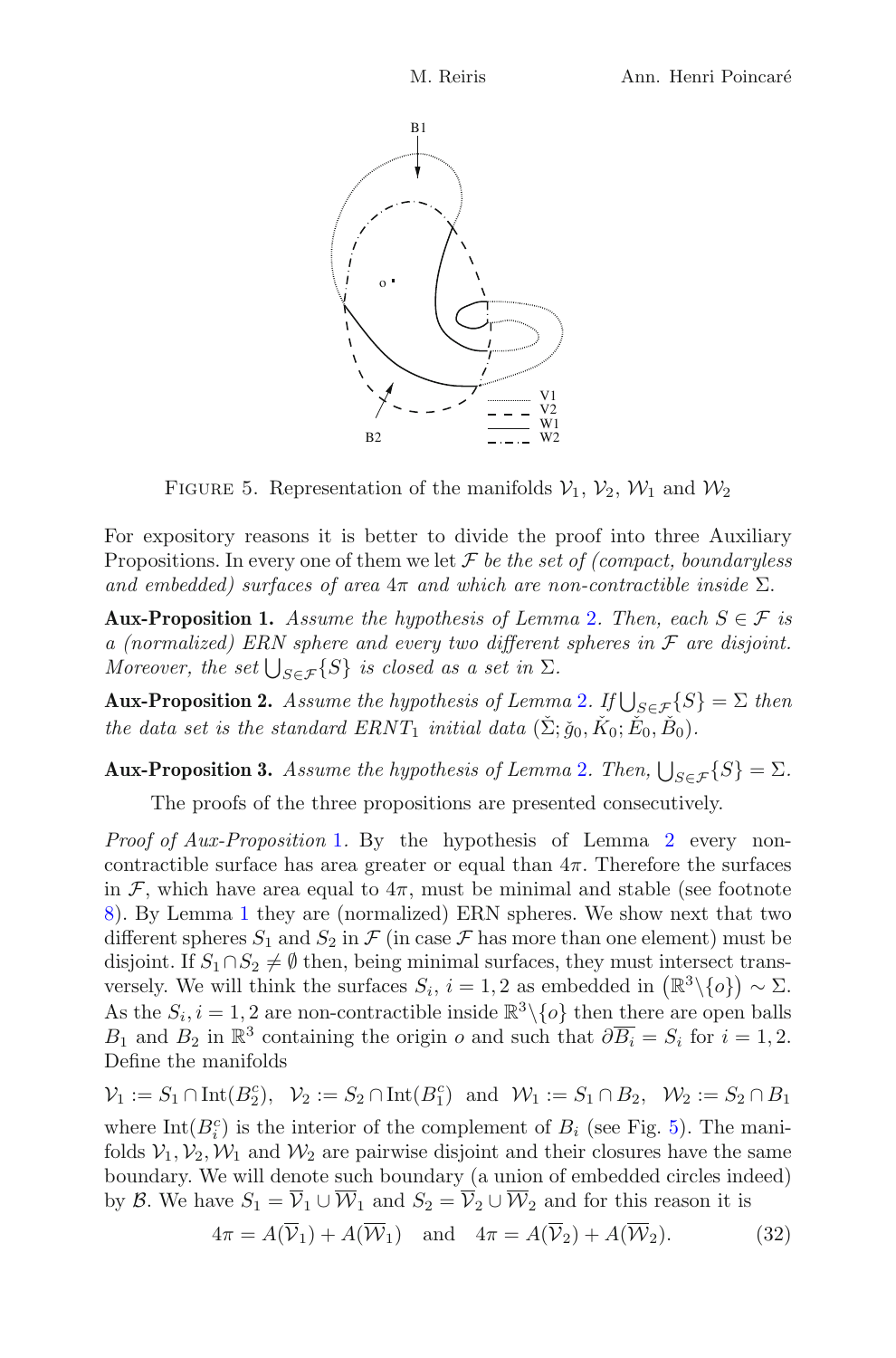

FIGURE 5. Representation of the manifolds  $V_1$ ,  $V_2$ ,  $W_1$  and  $W_2$ 

<span id="page-19-2"></span>For expository reasons it is better to divide the proof into three Auxiliary Propositions. In every one of them we let  $\mathcal F$  be the set of (compact, boundaryless and embedded) surfaces of area  $4\pi$  and which are non-contractible inside  $\Sigma$ .

<span id="page-19-1"></span>**Aux-Proposition 1.** Assume the hypothesis of Lemma [2](#page-18-2). Then, each  $S \in \mathcal{F}$  is a (normalized) ERN sphere and every two different spheres in  $\mathcal F$  are disjoint. Moreover, the set  $\bigcup_{S \in \mathcal{F}} \{S\}$  is closed as a set in  $\Sigma$ .

<span id="page-19-4"></span>**Aux-Proposition [2](#page-18-2).** Assume the hypothesis of Lemma 2. If  $\bigcup_{S \in \mathcal{F}} \{S\} = \Sigma$  then the data set is the standard  $ERNT_1$  initial data  $(\check{\Sigma}; \check{g}_0, \check{K}_0; \check{E}_0, \check{B}_0)$ .

<span id="page-19-0"></span>**Aux-Proposition 3.** Assume the hypothesis of Lemma [2](#page-18-2). Then,  $\bigcup_{S \in \mathcal{F}} \{S\} = \Sigma$ .

The proofs of the three propositions are presented consecutively.

Proof of Aux-Proposition [1](#page-19-1). By the hypothesis of Lemma [2](#page-18-2) every noncontractible surface has area greater or equal than  $4\pi$ . Therefore the surfaces in F, which have area equal to  $4\pi$ , must be minimal and stable (see footnote [8\)](#page-11-1). By Lemma [1](#page-9-4) they are (normalized) ERN spheres. We show next that two different spheres  $S_1$  and  $S_2$  in  $\mathcal F$  (in case  $\mathcal F$  has more than one element) must be disjoint. If  $S_1 \cap S_2 \neq \emptyset$  then, being minimal surfaces, they must intersect transversely. We will think the surfaces  $S_i$ ,  $i = 1, 2$  as embedded in  $(\mathbb{R}^3 \setminus \{o\}) \sim \Sigma$ . As the  $S_i$ ,  $i = 1, 2$  are non-contractible inside  $\mathbb{R}^3 \setminus \{o\}$  then there are open balls  $B_1$  and  $B_2$  in  $\mathbb{R}^3$  containing the origin  $o$  and such that  $\partial \overline{B_i} = S_i$  for  $i = 1, 2$ . Define the manifolds

<span id="page-19-3"></span> $\mathcal{V}_1 := S_1 \cap \text{Int}(B_2^c), \ \ \mathcal{V}_2 := S_2 \cap \text{Int}(B_1^c) \ \text{ and } \ \mathcal{W}_1 := S_1 \cap B_2, \ \ \mathcal{W}_2 := S_2 \cap B_1$ where  $Int(B_i^c)$  is the interior of the complement of  $B_i$  (see Fig. [5\)](#page-19-2). The manifolds  $V_1, V_2, W_1$  and  $W_2$  are pairwise disjoint and their closures have the same boundary. We will denote such boundary (a union of embedded circles indeed) by B. We have  $S_1 = \overline{V}_1 \cup \overline{W}_1$  and  $S_2 = \overline{V}_2 \cup \overline{W}_2$  and for this reason it is

$$
4\pi = A(\overline{\mathcal{V}}_1) + A(\overline{\mathcal{W}}_1) \quad \text{and} \quad 4\pi = A(\overline{\mathcal{V}}_2) + A(\overline{\mathcal{W}}_2). \tag{32}
$$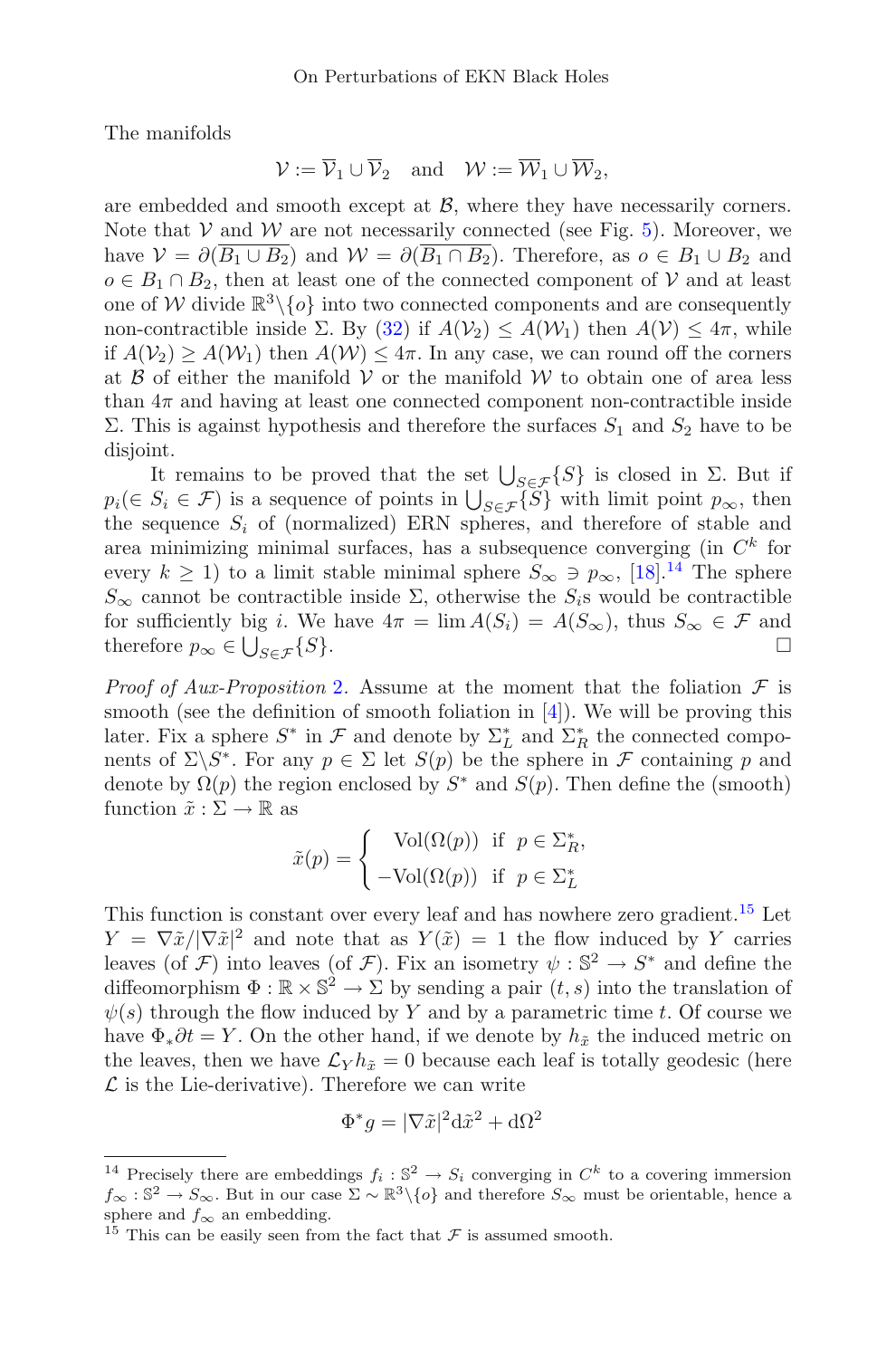The manifolds

$$
\mathcal{V} := \overline{\mathcal{V}}_1 \cup \overline{\mathcal{V}}_2 \quad \text{and} \quad \mathcal{W} := \overline{\mathcal{W}}_1 \cup \overline{\mathcal{W}}_2,
$$

are embedded and smooth except at  $\beta$ , where they have necessarily corners. Note that  $V$  and  $W$  are not necessarily connected (see Fig. [5\)](#page-19-2). Moreover, we have  $V = \partial(\overline{B_1 \cup B_2})$  and  $W = \partial(\overline{B_1 \cap B_2})$ . Therefore, as  $o \in B_1 \cup B_2$  and  $o \in B_1 \cap B_2$ , then at least one of the connected component of V and at least one of W divide  $\mathbb{R}^3 \setminus \{o\}$  into two connected components and are consequently non-contractible inside  $\Sigma$ . By [\(32\)](#page-19-3) if  $A(V_2) \leq A(W_1)$  then  $A(V) \leq 4\pi$ , while if  $A(V_2) \ge A(W_1)$  then  $A(W) \le 4\pi$ . In any case, we can round off the corners at  $\beta$  of either the manifold  $V$  or the manifold  $W$  to obtain one of area less than  $4\pi$  and having at least one connected component non-contractible inside Σ. This is against hypothesis and therefore the surfaces  $S_1$  and  $S_2$  have to be disjoint.

It remains to be proved that the set  $\bigcup_{S \in \mathcal{F}} \{S\}$  is closed in  $\Sigma$ . But if  $p_i(\in S_i \in \mathcal{F})$  is a sequence of points in  $\bigcup_{S \in \mathcal{F}} \{\widetilde{S}\}\$  with limit point  $p_{\infty}$ , then the sequence  $S_i$  of (normalized) ERN spheres, and therefore of stable and area minimizing minimal surfaces, has a subsequence converging (in  $C<sup>k</sup>$  for every  $k \ge 1$ ) to a limit stable minimal sphere  $S_{\infty} \ni p_{\infty}$ , [\[18\]](#page-30-11).<sup>[14](#page-20-0)</sup> The sphere  $S_{\infty}$  cannot be contractible inside  $\Sigma$ , otherwise the  $S_i$ s would be contractible for sufficiently big *i*. We have  $4\pi = \lim A(S_i) = A(S_{\infty})$ , thus  $S_{\infty} \in \mathcal{F}$  and therefore  $p_{\infty} \in \bigcup_{S \in \mathcal{F}} \{S\}$ . therefore  $p_{\infty} \in \bigcup_{S \in \mathcal{F}} \{S\}.$  $S \in \mathcal{F}$  {S}.  $\Box$ 

*Proof of Aux-Proposition [2](#page-19-4).* Assume at the moment that the foliation  $\mathcal F$  is smooth (see the definition of smooth foliation in [\[4\]](#page-29-6)). We will be proving this later. Fix a sphere  $S^*$  in  $\mathcal F$  and denote by  $\Sigma_L^*$  and  $\Sigma_R^*$  the connected components of  $\Sigma\backslash S^*$ . For any  $p \in \Sigma$  let  $S(p)$  be the sphere in F containing p and denote by  $\Omega(p)$  the region enclosed by  $S^*$  and  $S(p)$ . Then define the (smooth) function  $\tilde{x} : \Sigma \to \mathbb{R}$  as

$$
\tilde{x}(p) = \begin{cases} \text{Vol}(\Omega(p)) & \text{if } p \in \Sigma_R^*, \\ -\text{Vol}(\Omega(p)) & \text{if } p \in \Sigma_L^* \end{cases}
$$

This function is constant over every leaf and has nowhere zero gradient.<sup>[15](#page-20-1)</sup> Let  $Y = \nabla \tilde{x}/|\nabla \tilde{x}|^2$  and note that as  $Y(\tilde{x}) = 1$  the flow induced by Y carries leaves (of F) into leaves (of F). Fix an isometry  $\psi : \mathbb{S}^2 \to S^*$  and define the diffeomorphism  $\Phi : \mathbb{R} \times \mathbb{S}^2 \to \Sigma$  by sending a pair  $(t, s)$  into the translation of  $\psi(s)$  through the flow induced by Y and by a parametric time t. Of course we have  $\Phi_* \partial t = Y$ . On the other hand, if we denote by  $h_{\tilde{x}}$  the induced metric on the leaves, then we have  $\mathcal{L}_Y h_{\tilde{x}} = 0$  because each leaf is totally geodesic (here  $\mathcal L$  is the Lie-derivative). Therefore we can write

$$
\Phi^* g = |\nabla \tilde{x}|^2 d\tilde{x}^2 + d\Omega^2
$$

<span id="page-20-0"></span><sup>&</sup>lt;sup>14</sup> Precisely there are embeddings  $f_i : \mathbb{S}^2 \to S_i$  converging in  $C^k$  to a covering immersion  $f_{\infty}$  : S<sup>2</sup> →  $S_{\infty}$ . But in our case  $\Sigma \sim \mathbb{R}^3 \setminus \{o\}$  and therefore  $S_{\infty}$  must be orientable, hence a sphere and  $f_{\infty}$  an embedding.

<span id="page-20-1"></span><sup>&</sup>lt;sup>15</sup> This can be easily seen from the fact that  $\mathcal F$  is assumed smooth.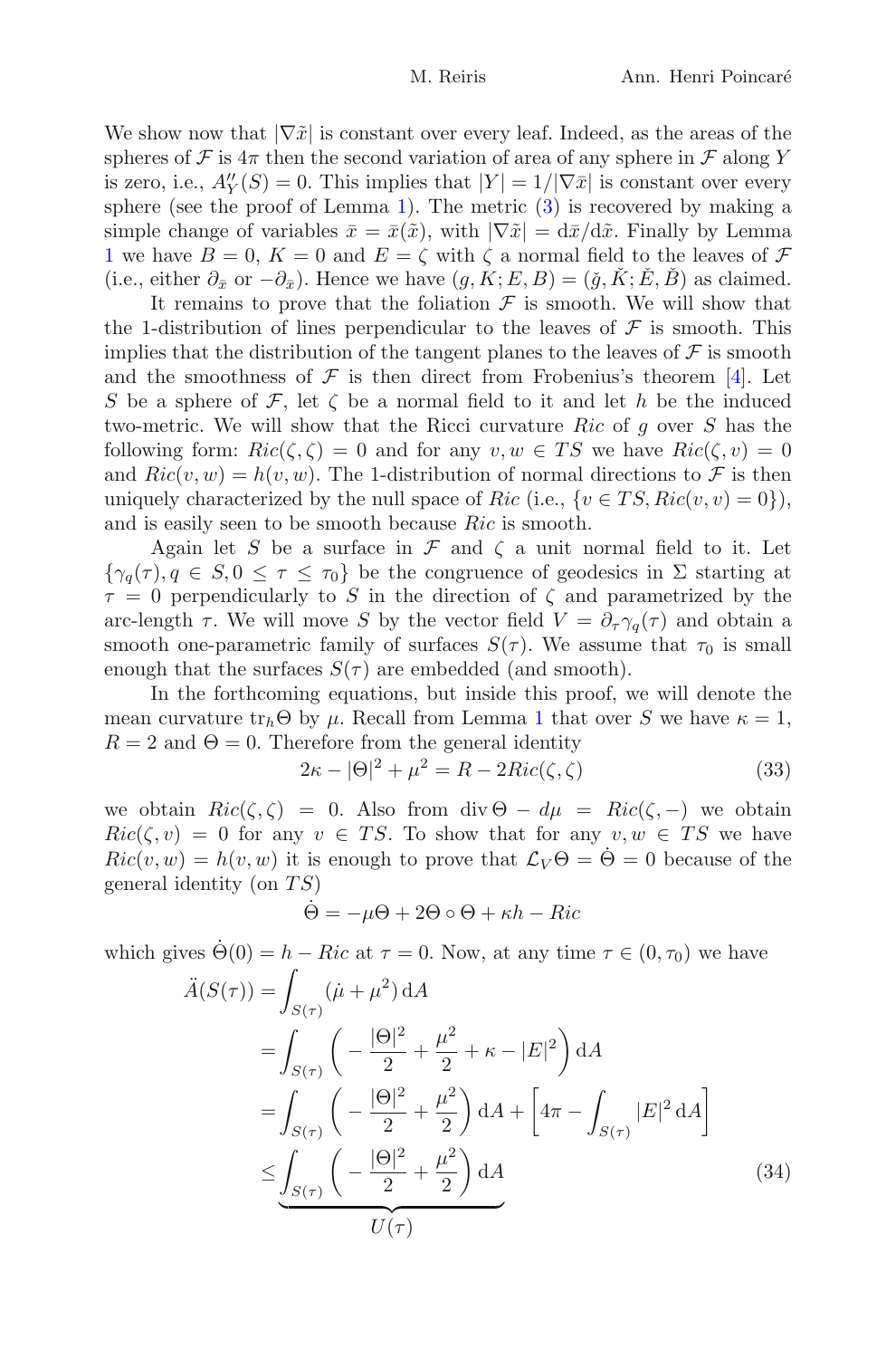We show now that  $|\nabla \tilde{x}|$  is constant over every leaf. Indeed, as the areas of the spheres of F is  $4\pi$  then the second variation of area of any sphere in F along Y is zero, i.e.,  $A''_Y(S) = 0$ . This implies that  $|Y| = 1/|\nabla \bar{x}|$  is constant over every sphere (see the proof of Lemma [1\)](#page-9-4). The metric  $(3)$  is recovered by making a simple change of variables  $\bar{x} = \bar{x}(\tilde{x})$ , with  $|\nabla \tilde{x}| = d\bar{x}/d\tilde{x}$ . Finally by Lemma [1](#page-9-4) we have  $B = 0$ ,  $K = 0$  and  $E = \zeta$  with  $\zeta$  a normal field to the leaves of  $\mathcal F$ (i.e., either  $\partial_{\bar{x}}$  or  $-\partial_{\bar{x}}$ ). Hence we have  $(g, K; E, B) = (\check{g}, \check{K}; \check{E}, \check{B})$  as claimed.

It remains to prove that the foliation  $\mathcal F$  is smooth. We will show that the 1-distribution of lines perpendicular to the leaves of  $\mathcal F$  is smooth. This implies that the distribution of the tangent planes to the leaves of  $\mathcal F$  is smooth and the smoothness of  $\mathcal F$  is then direct from Frobenius's theorem [\[4\]](#page-29-6). Let S be a sphere of F, let  $\zeta$  be a normal field to it and let h be the induced two-metric. We will show that the Ricci curvature  $Ric$  of g over S has the following form:  $Ric(\zeta, \zeta) = 0$  and for any  $v, w \in TS$  we have  $Ric(\zeta, v) = 0$ and  $Ric(v, w) = h(v, w)$ . The 1-distribution of normal directions to F is then uniquely characterized by the null space of Ric (i.e.,  $\{v \in TS, Ric(v, v) = 0\}\,$ ), and is easily seen to be smooth because Ric is smooth.

Again let S be a surface in  $\mathcal F$  and  $\zeta$  a unit normal field to it. Let  ${\gamma_a(\tau), q \in S, 0 \leq \tau \leq \tau_0}$  be the congruence of geodesics in  $\Sigma$  starting at  $\tau = 0$  perpendicularly to S in the direction of  $\zeta$  and parametrized by the arc-length  $\tau$ . We will move S by the vector field  $V = \partial_{\tau} \gamma_q(\tau)$  and obtain a smooth one-parametric family of surfaces  $S(\tau)$ . We assume that  $\tau_0$  is small enough that the surfaces  $S(\tau)$  are embedded (and smooth).

In the forthcoming equations, but inside this proof, we will denote the mean curvature  $tr_h\Theta$  by  $\mu$ . Recall from Lemma [1](#page-9-4) that over S we have  $\kappa = 1$ ,  $R = 2$  and  $\Theta = 0$ . Therefore from the general identity

$$
2\kappa - |\Theta|^2 + \mu^2 = R - 2Ric(\zeta, \zeta)
$$
\n(33)

<span id="page-21-0"></span>we obtain  $Ric(\zeta, \zeta) = 0$ . Also from div  $\Theta - d\mu = Ric(\zeta, -)$  we obtain  $Ric(\zeta, v) = 0$  for any  $v \in TS$ . To show that for any  $v, w \in TS$  we have  $Ric(v, w) = h(v, w)$  it is enough to prove that  $\mathcal{L}_V \Theta = \Theta = 0$  because of the general identity (on  $TS$ )

$$
\dot{\Theta} = -\mu\Theta + 2\Theta \circ \Theta + \kappa h - Ric
$$

which gives  $\Theta(0) = h - Ric$  at  $\tau = 0$ . Now, at any time  $\tau \in (0, \tau_0)$  we have

$$
\ddot{A}(S(\tau)) = \int_{S(\tau)} (\dot{\mu} + \mu^2) dA \n= \int_{S(\tau)} \left( -\frac{|\Theta|^2}{2} + \frac{\mu^2}{2} + \kappa - |E|^2 \right) dA \n= \int_{S(\tau)} \left( -\frac{|\Theta|^2}{2} + \frac{\mu^2}{2} \right) dA + \left[ 4\pi - \int_{S(\tau)} |E|^2 dA \right] \n\leq \underbrace{\int_{S(\tau)} \left( -\frac{|\Theta|^2}{2} + \frac{\mu^2}{2} \right) dA}_{U(\tau)} \tag{34}
$$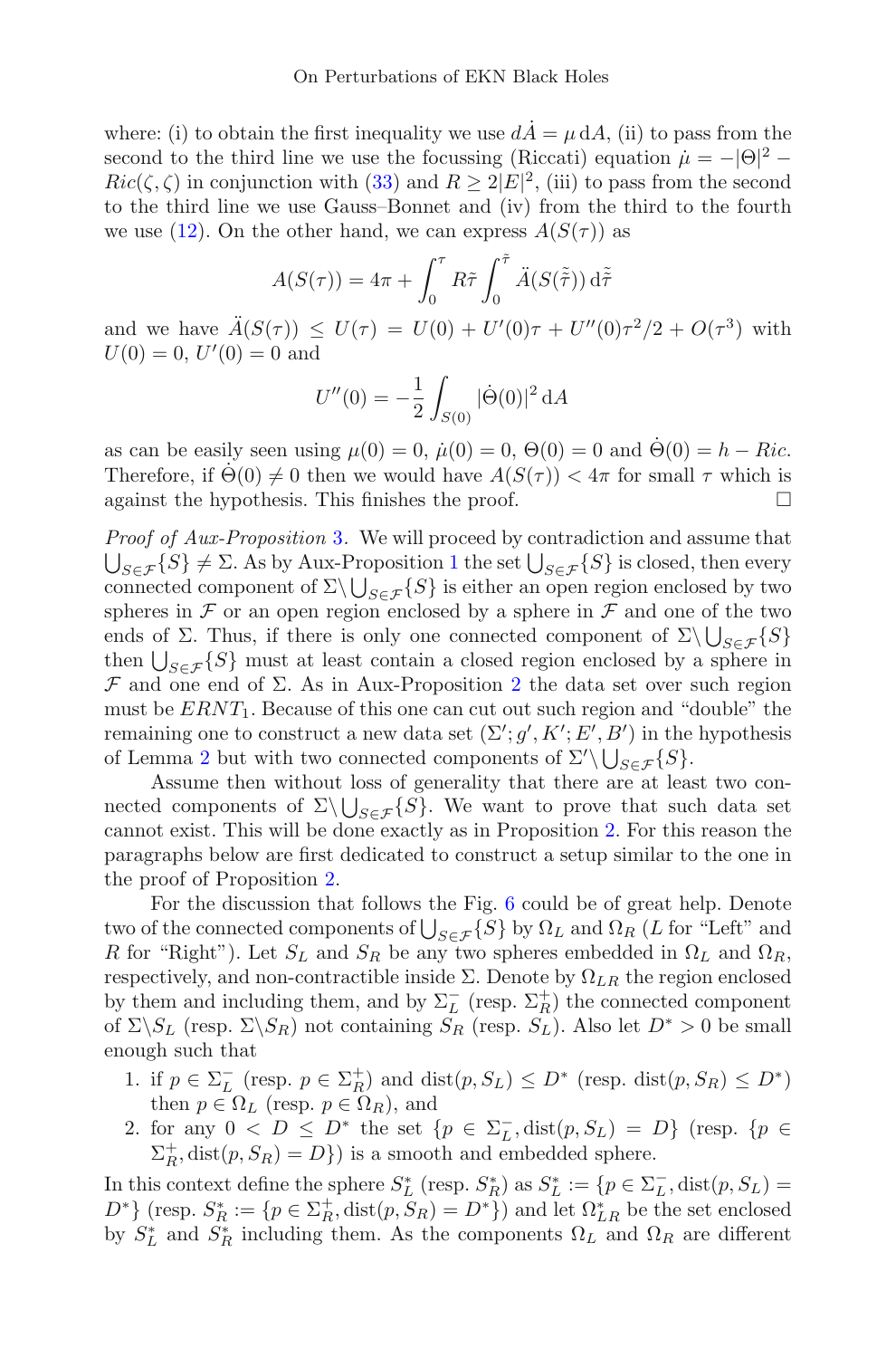where: (i) to obtain the first inequality we use  $dA = \mu dA$ , (ii) to pass from the second to the third line we use the focussing (Riccati) equation  $\mu = -|\Theta|^2$  –  $Ric(\zeta, \zeta)$  in conjunction with [\(33\)](#page-21-0) and  $R \geq 2|E|^2$ , (iii) to pass from the second to the third line we use Gauss–Bonnet and (iv) from the third to the fourth we use [\(12\)](#page-9-3). On the other hand, we can express  $A(S(\tau))$  as

$$
A(S(\tau)) = 4\pi + \int_0^{\tau} R\tilde{\tau} \int_0^{\tilde{\tau}} \ddot{A}(S(\tilde{\tilde{\tau}})) d\tilde{\tilde{\tau}}
$$

and we have  $\ddot{A}(S(\tau)) \leq U(\tau) = U(0) + U'(0)\tau + U''(0)\tau^2/2 + O(\tau^3)$  with  $U(0) = 0, U'(0) = 0$  and

$$
U''(0) = -\frac{1}{2} \int_{S(0)} |\dot{\Theta}(0)|^2 dA
$$

as can be easily seen using  $\mu(0) = 0$ ,  $\dot{\mu}(0) = 0$ ,  $\Theta(0) = 0$  and  $\dot{\Theta}(0) = h - Ric$ . Therefore, if  $\Theta(0) \neq 0$  then we would have  $A(S(\tau)) < 4\pi$  for small  $\tau$  which is against the hypothesis. This finishes the proof. against the hypothesis. This finishes the proof.

Proof of Aux-Proposition [3](#page-19-0). We will proceed by contradiction and assume that  $\bigcup_{S \in \mathcal{F}} \{S\} \neq \Sigma$ . As by Aux-Proposition [1](#page-19-1) the set  $\bigcup_{S \in \mathcal{F}} \{S\}$  is closed, then every connected component of  $\Sigma \setminus \bigcup_{S \in \mathcal{F}} \{S\}$  is either an open region enclosed by two spheres in  $\mathcal F$  or an open region enclosed by a sphere in  $\mathcal F$  and one of the two ends of Σ. Thus, if there is only one connected component of  $\Sigma \setminus \bigcup_{S \in \mathcal{F}} \{S\}$ then  $\bigcup_{S \in \mathcal{F}} \{S\}$  must at least contain a closed region enclosed by a sphere in  $\mathcal F$  and one end of  $\Sigma$ . As in Aux-Proposition [2](#page-19-4) the data set over such region must be  $ERNT_1$ . Because of this one can cut out such region and "double" the remaining one to construct a new data set  $(\Sigma'; g', K'; E', B')$  in the hypothesis of Lemma [2](#page-18-2) but with two connected components of  $\Sigma' \setminus \bigcup_{S \in \mathcal{F}} \{S\}.$ 

Assume then without loss of generality that there are at least two connected components of  $\Sigma \setminus \bigcup_{S \in \mathcal{F}} \{S\}$ . We want to prove that such data set cannot exist. This will be done exactly as in Proposition [2.](#page-11-2) For this reason the paragraphs below are first dedicated to construct a setup similar to the one in the proof of Proposition [2.](#page-11-2)

For the discussion that follows the Fig. [6](#page-23-0) could be of great help. Denote two of the connected components of  $\bigcup_{S \in \mathcal{F}} \{S\}$  by  $\Omega_L$  and  $\Omega_R$  (L for "Left" and R for "Right"). Let  $S_L$  and  $S_R$  be any two spheres embedded in  $\Omega_L$  and  $\Omega_R$ , respectively, and non-contractible inside  $\Sigma$ . Denote by  $\Omega_{LR}$  the region enclosed by them and including them, and by  $\Sigma_L^-$  (resp.  $\Sigma_R^+$ ) the connected component of  $\Sigma\backslash S_L$  (resp.  $\Sigma\backslash S_R$ ) not containing  $S_R$  (resp.  $S_L$ ). Also let  $D^* > 0$  be small enough such that

- 1. if  $p \in \Sigma_L^-$  (resp.  $p \in \Sigma_R^+$ ) and  $dist(p, S_L) \leq D^*$  (resp.  $dist(p, S_R) \leq D^*$ ) then  $p \in \Omega_L$  (resp.  $p \in \Omega_R$ ), and
- 2. for any  $0 \leq D \leq D^*$  the set  $\{p \in \Sigma_L^-, \text{dist}(p, S_L) = D\}$  (resp.  $\{p \in \Sigma_L^+, \text{dist}(p, S_L) = D\}$ )  $\Sigma_R^+$ , dist $(p, S_R) = D$ } is a smooth and embedded sphere.

In this context define the sphere  $S_L^*$  (resp.  $S_R^*$ ) as  $S_L^* := \{p \in \Sigma_L^-$ ,  $dist(p, S_L) =$  $D^*$ } (resp.  $S_R^* := \{p \in \Sigma_R^+, \text{dist}(p, S_R) = D^*\}$ ) and let  $\Omega_{LR}^*$  be the set enclosed by  $S_L^*$  and  $S_R^*$  including them. As the components  $\Omega_L$  and  $\Omega_R$  are different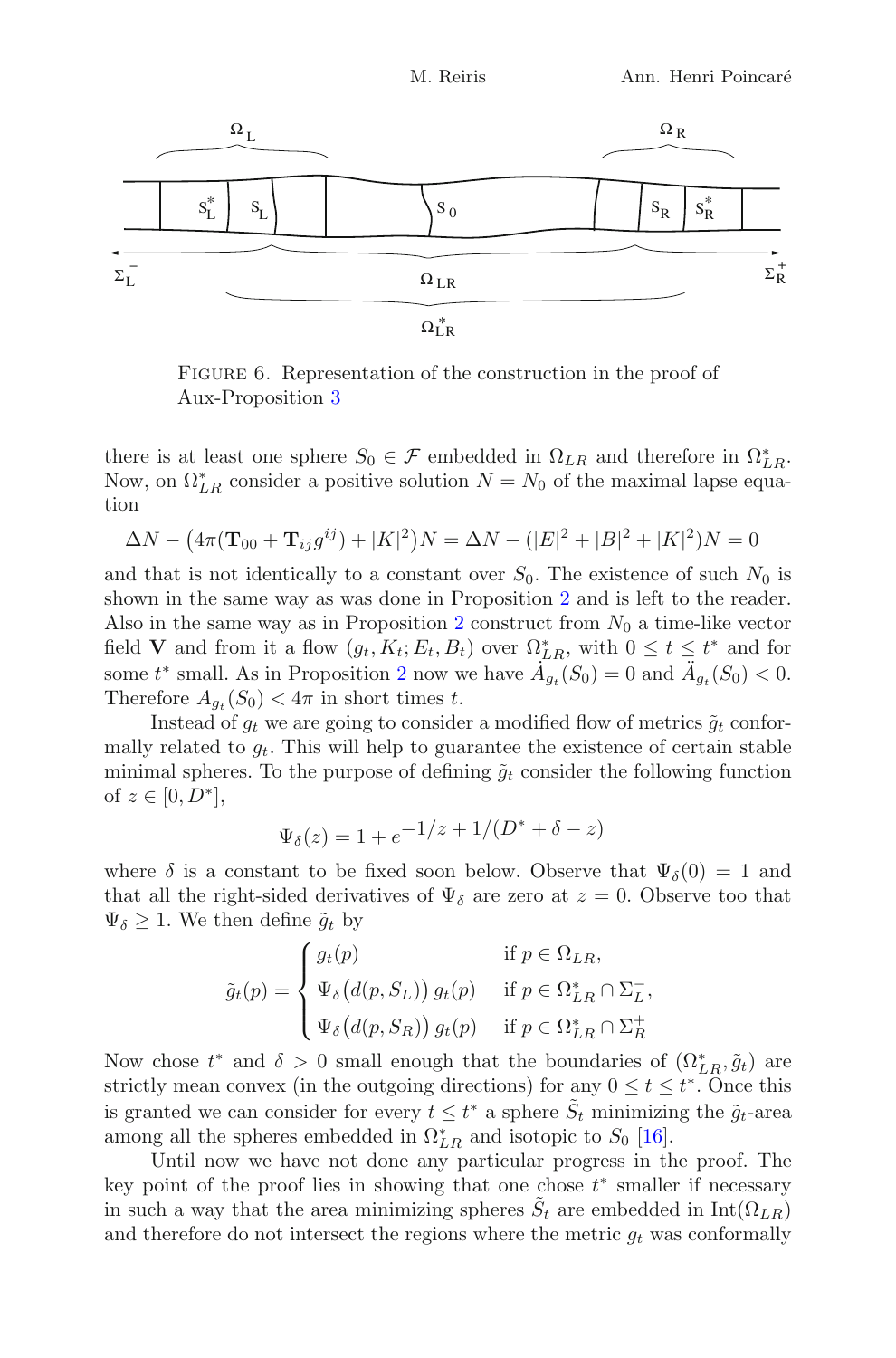

<span id="page-23-0"></span>FIGURE 6. Representation of the construction in the proof of Aux-Proposition [3](#page-19-0)

there is at least one sphere  $S_0 \in \mathcal{F}$  embedded in  $\Omega_{LR}$  and therefore in  $\Omega_{LR}^*$ . Now, on  $\Omega_{LR}^*$  consider a positive solution  $N = N_0$  of the maximal lapse equation

$$
\Delta N - (4\pi (\mathbf{T}_{00} + \mathbf{T}_{ij} g^{ij}) + |K|^2)N = \Delta N - (|E|^2 + |B|^2 + |K|^2)N = 0
$$

and that is not identically to a constant over  $S_0$ . The existence of such  $N_0$  is shown in the same way as was done in Proposition [2](#page-11-2) and is left to the reader. Also in the same way as in Proposition [2](#page-11-2) construct from  $N_0$  a time-like vector field **V** and from it a flow  $(g_t, K_t; E_t, B_t)$  over  $\Omega_{LR}^*$ , with  $0 \le t \le t^*$  and for some  $t^*$  small. As in Proposition [2](#page-11-2) now we have  $\dot{A}_{g_t}(S_0) = 0$  and  $\ddot{A}_{g_t}(S_0) < 0$ . Therefore  $A_{q_t}(S_0) < 4\pi$  in short times t.

Instead of  $g_t$  we are going to consider a modified flow of metrics  $\tilde{g}_t$  conformally related to  $g_t$ . This will help to guarantee the existence of certain stable minimal spheres. To the purpose of defining  $\tilde{q}_t$  consider the following function of  $z \in [0, D^*]$ ,

$$
\Psi_{\delta}(z) = 1 + e^{-1/z} + 1/(D^* + \delta - z)
$$

where  $\delta$  is a constant to be fixed soon below. Observe that  $\Psi_{\delta}(0) = 1$  and that all the right-sided derivatives of  $\Psi_{\delta}$  are zero at  $z = 0$ . Observe too that  $\Psi_{\delta} \geq 1$ . We then define  $\tilde{g}_t$  by

$$
\tilde{g}_t(p) = \begin{cases}\ng_t(p) & \text{if } p \in \Omega_{LR}, \\
\Psi_\delta\big(d(p, S_L)\big) g_t(p) & \text{if } p \in \Omega_{LR}^* \cap \Sigma_L^-, \\
\Psi_\delta\big(d(p, S_R)\big) g_t(p) & \text{if } p \in \Omega_{LR}^* \cap \Sigma_R^+ \n\end{cases}
$$

Now chose  $t^*$  and  $\delta > 0$  small enough that the boundaries of  $(\Omega_{LR}^*, \tilde{g}_t)$  are strictly mean convex (in the outgoing directions) for any  $0 \le t \le t^*$ . Once this is granted we can consider for every  $t \leq t^*$  a sphere  $\tilde{S}_t$  minimizing the  $\tilde{g}_t$ -area among all the spheres embedded in  $\Omega_{LR}^*$  and isotopic to  $S_0$  [\[16](#page-30-10)].

Until now we have not done any particular progress in the proof. The key point of the proof lies in showing that one chose  $t^*$  smaller if necessary in such a way that the area minimizing spheres  $\tilde{S}_t$  are embedded in Int( $\Omega_{LR}$ ) and therefore do not intersect the regions where the metric  $g_t$  was conformally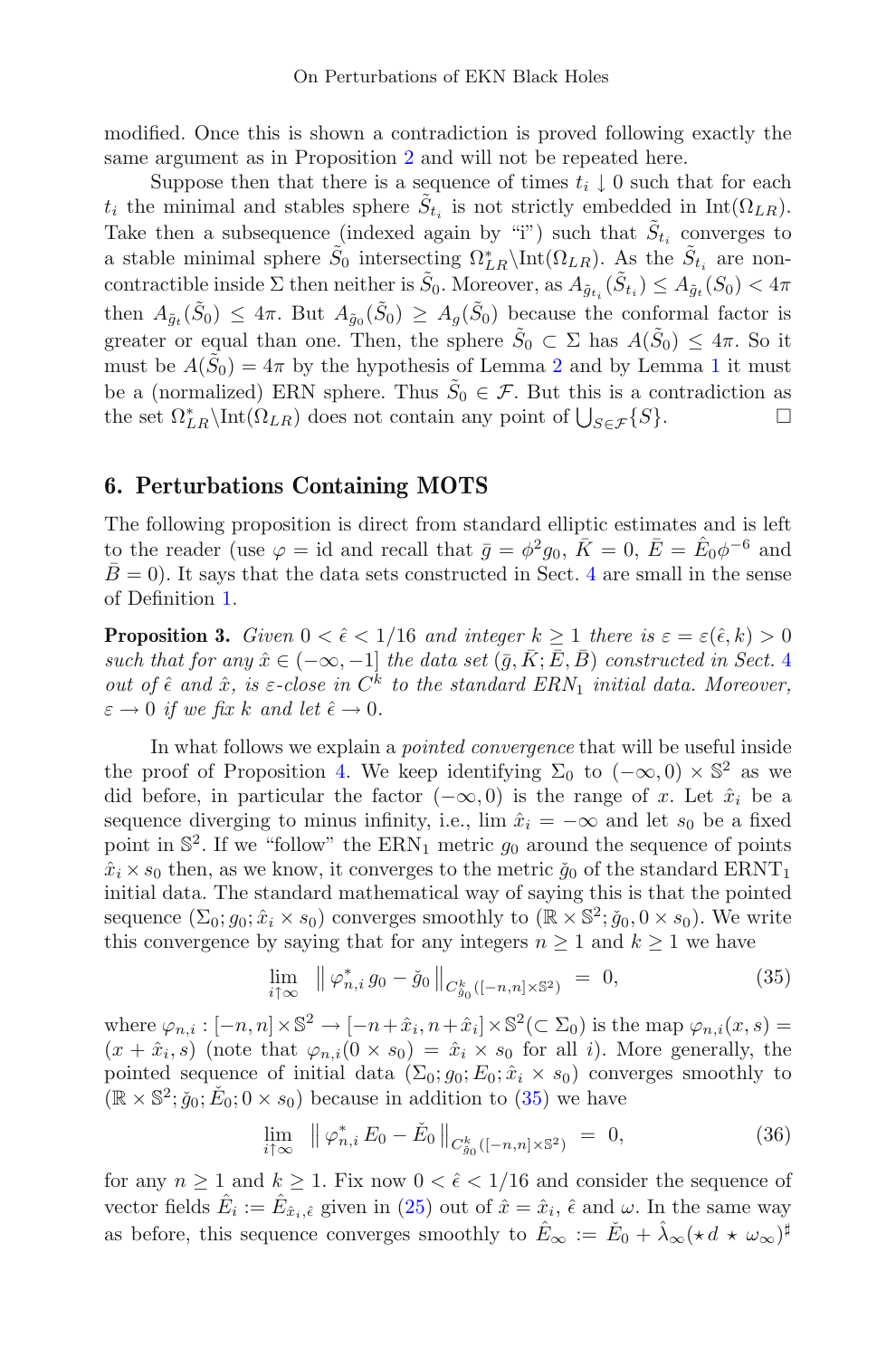modified. Once this is shown a contradiction is proved following exactly the same argument as in Proposition [2](#page-11-2) and will not be repeated here.

Suppose then that there is a sequence of times  $t_i \downarrow 0$  such that for each  $t_i$  the minimal and stables sphere  $\tilde{S}_{t_i}$  is not strictly embedded in Int( $\Omega_{LR}$ ). Take then a subsequence (indexed again by "i") such that  $\tilde{S}_{t_i}$  converges to a stable minimal sphere  $\tilde{S}_0$  intersecting  $\Omega_{LR}^* \setminus \text{Int}(\Omega_{LR})$ . As the  $\tilde{S}_{t_i}$  are noncontractible inside  $\Sigma$  then neither is  $\tilde{S}_0$ . Moreover, as  $A_{\tilde{g}_t}(\tilde{S}_{t_i}) \leq A_{\tilde{g}_t}(S_0) < 4\pi$ then  $A_{\tilde{g}_t}(\tilde{S}_0) \leq 4\pi$ . But  $A_{\tilde{g}_0}(\tilde{S}_0) \geq A_g(\tilde{S}_0)$  because the conformal factor is greater or equal than one. Then, the sphere  $\tilde{S}_0 \subset \Sigma$  has  $A(\tilde{S}_0) \leq 4\pi$ . So it must be  $A(\tilde{S}_0)=4\pi$  by the hypothesis of Lemma [2](#page-18-2) and by Lemma [1](#page-9-4) it must be a (normalized) ERN sphere. Thus  $\tilde{S}_0 \in \mathcal{F}$ . But this is a contradiction as the set  $\Omega_{tr}^* \cap \text{Int}(\Omega_{LR})$  does not contain any point of  $\bigcup_{c \in \mathcal{F}} \{S\}$ . the set  $\Omega_{LR}^* \backslash \text{Int}(\Omega_{LR})$  does not contain any point of  $\bigcup_{S \in \mathcal{F}} \{S\}.$ 

# <span id="page-24-0"></span>6. Perturbations Containing MOTS

The following proposition is direct from standard elliptic estimates and is left to the reader (use  $\varphi = id$  and recall that  $\bar{g} = \phi^2 g_0$ ,  $\bar{K} = 0$ ,  $\bar{E} = \hat{E}_0 \phi^{-6}$  and  $\bar{B} = 0$ ). It says that the data sets constructed in Sect. [4](#page-15-0) are small in the sense of Definition [1.](#page-3-1)

<span id="page-24-3"></span>**Proposition 3.** Given  $0 < \hat{\epsilon} < 1/16$  and integer  $k \ge 1$  there is  $\varepsilon = \varepsilon(\hat{\epsilon}, k) > 0$ such that for any  $\hat{x} \in (-\infty, -1]$  the data set  $(\bar{g}, \bar{K}; \bar{E}, \bar{B})$  constructed in Sect. [4](#page-15-0) out of  $\hat{\epsilon}$  and  $\hat{x}$ , is  $\epsilon$ -close in  $C^k$  to the standard ERN<sub>1</sub> initial data. Moreover,  $\varepsilon \to 0$  if we fix k and let  $\hat{\epsilon} \to 0$ .

In what follows we explain a *pointed convergence* that will be useful inside the proof of Proposition [4.](#page-25-0) We keep identifying  $\Sigma_0$  to  $(-\infty, 0) \times \mathbb{S}^2$  as we did before, in particular the factor  $(-\infty, 0)$  is the range of x. Let  $\hat{x}_i$  be a sequence diverging to minus infinity, i.e.,  $\lim \hat{x}_i = -\infty$  and let  $s_0$  be a fixed point in  $\mathbb{S}^2$ . If we "follow" the ERN<sub>1</sub> metric  $g_0$  around the sequence of points  $\hat{x}_i \times s_0$  then, as we know, it converges to the metric  $\check{g}_0$  of the standard ERNT<sub>1</sub> initial data. The standard mathematical way of saying this is that the pointed sequence  $(\Sigma_0; g_0; \hat{x}_i \times s_0)$  converges smoothly to  $(\mathbb{R} \times \mathbb{S}^2; \check{g}_0, 0 \times s_0)$ . We write this convergence by saying that for any integers  $n \geq 1$  and  $k \geq 1$  we have

$$
\lim_{i \uparrow \infty} \|\varphi_{n,i}^* g_0 - \check{g}_0\|_{C^k_{\check{g}_0}([-n,n] \times \mathbb{S}^2)} = 0, \tag{35}
$$

<span id="page-24-1"></span>where  $\varphi_{n,i} : [-n,n] \times \mathbb{S}^2 \to [-n+\hat{x}_i, n+\hat{x}_i] \times \mathbb{S}^2(\subset \Sigma_0)$  is the map  $\varphi_{n,i}(x,s) =$  $(x + \hat{x}_i, s)$  (note that  $\varphi_{n,i}(0 \times s_0) = \hat{x}_i \times s_0$  for all i). More generally, the pointed sequence of initial data  $(\Sigma_0; g_0; E_0; \hat{x}_i \times s_0)$  converges smoothly to  $(\mathbb{R} \times \mathbb{S}^2; \check{g}_0; \check{E}_0; 0 \times s_0)$  because in addition to [\(35\)](#page-24-1) we have

$$
\lim_{i \uparrow \infty} \|\varphi_{n,i}^* E_0 - \check{E}_0 \|_{C^k_{\check{g}_0}([-n,n] \times \mathbb{S}^2)} = 0, \tag{36}
$$

<span id="page-24-2"></span>for any  $n \geq 1$  and  $k \geq 1$ . Fix now  $0 < \hat{\epsilon} < 1/16$  and consider the sequence of vector fields  $\hat{E}_i := \hat{E}_{\hat{x}_i,\hat{\epsilon}}$  given in [\(25\)](#page-16-4) out of  $\hat{x} = \hat{x}_i$ ,  $\hat{\epsilon}$  and  $\omega$ . In the same way as before, this sequence converges smoothly to  $\hat{E}_{\infty} := \check{E}_0 + \hat{\lambda}_{\infty} (\star d \star \omega_{\infty})^{\sharp}$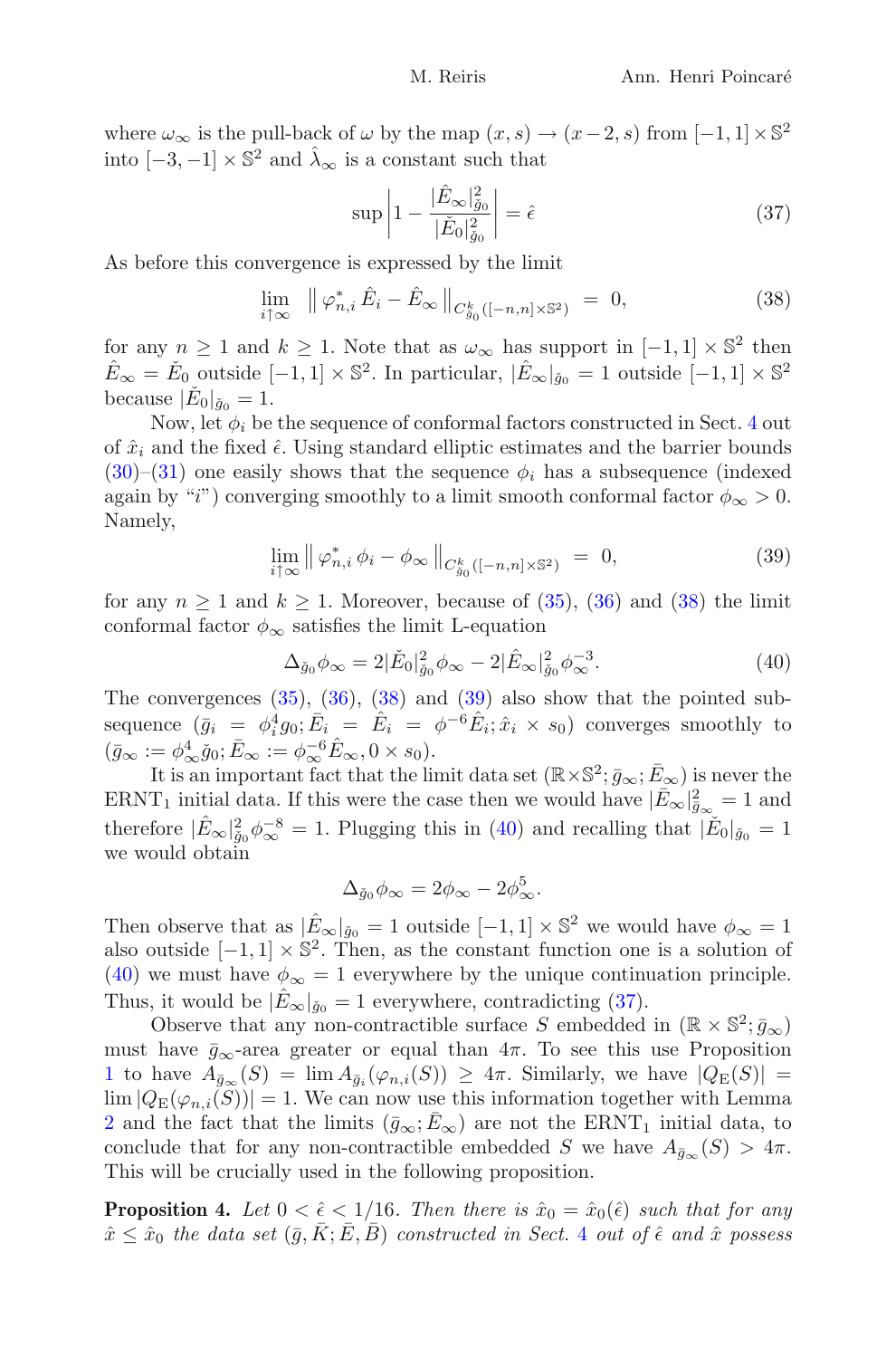where  $\omega_{\infty}$  is the pull-back of  $\omega$  by the map  $(x, s) \rightarrow (x-2, s)$  from  $[-1, 1] \times \mathbb{S}^2$ into  $[-3, -1] \times \mathbb{S}^2$  and  $\hat{\lambda}_{\infty}$  is a constant such that

$$
\sup \left| 1 - \frac{|\hat{E}_{\infty}|_{\tilde{g}_0}^2}{|\check{E}_0|_{\tilde{g}_0}^2} \right| = \hat{\epsilon}
$$
\n(37)

<span id="page-25-1"></span>As before this convergence is expressed by the limit

<span id="page-25-4"></span>
$$
\lim_{i \uparrow \infty} \|\varphi_{n,i}^* \hat{E}_i - \hat{E}_{\infty}\|_{C_{g_0}^k([-n,n] \times \mathbb{S}^2)} = 0,
$$
\n(38)

for any  $n \geq 1$  and  $k \geq 1$ . Note that as  $\omega_{\infty}$  has support in  $[-1, 1] \times \mathbb{S}^2$  then  $\hat{E}_{\infty} = \check{E}_0$  outside  $[-1, 1] \times \mathbb{S}^2$ . In particular,  $|\hat{E}_{\infty}|_{\check{g}_0} = 1$  outside  $[-1, 1] \times \mathbb{S}^2$ because  $|\check{E}_0|_{\check{q}_0} = 1$ .

Now, let  $\phi_i$  be the sequence of conformal factors constructed in Sect. [4](#page-15-0) out of  $\hat{x}_i$  and the fixed  $\hat{\epsilon}$ . Using standard elliptic estimates and the barrier bounds  $(30)$ – $(31)$  one easily shows that the sequence  $\phi_i$  has a subsequence (indexed again by "i") converging smoothly to a limit smooth conformal factor  $\phi_{\infty} > 0$ . Namely,

$$
\lim_{i \uparrow \infty} \left\| \varphi_{n,i}^* \phi_i - \phi_\infty \right\|_{C^k_{g_0}([-n,n] \times \mathbb{S}^2)} = 0,
$$
\n(39)

<span id="page-25-2"></span>for any  $n \geq 1$  and  $k \geq 1$ . Moreover, because of [\(35\)](#page-24-1), [\(36\)](#page-24-2) and [\(38\)](#page-25-1) the limit conformal factor  $\phi_{\infty}$  satisfies the limit L-equation

$$
\Delta_{\check{g}_0} \phi_{\infty} = 2|\check{E}_0|^2_{\check{g}_0} \phi_{\infty} - 2|\hat{E}_{\infty}|^2_{\check{g}_0} \phi_{\infty}^{-3}.
$$
\n
$$
\tag{40}
$$

<span id="page-25-3"></span>The convergences  $(35)$ ,  $(36)$ ,  $(38)$  and  $(39)$  also show that the pointed subsequence  $(\bar{g}_i = \phi_i^4 g_0; \bar{E}_i = \hat{E}_i = \phi^{-6} \hat{E}_i; \hat{x}_i \times s_0)$  converges smoothly to  $(\bar{g}_{\infty} := \phi_{\infty}^4 \check{g}_0; \bar{E}_{\infty} := \phi_{\infty}^{-6} \hat{E}_{\infty}, 0 \times s_0).$ 

It is an important fact that the limit data set  $(\mathbb{R} \times \mathbb{S}^2; \bar{g}_{\infty}; \bar{E}_{\infty})$  is never the ERNT<sub>1</sub> initial data. If this were the case then we would have  $|\bar{E}_{\infty}|_{\bar{g}_{\infty}}^2 = 1$  and therefore  $|\hat{E}_{\infty}|^2_{\tilde{g}_0}\phi_{\infty}^{-8} = 1$ . Plugging this in [\(40\)](#page-25-3) and recalling that  $|\check{E}_0|_{\tilde{g}_0} = 1$ we would obtain

$$
\Delta_{\check{g}_0}\phi_{\infty}=2\phi_{\infty}-2\phi_{\infty}^5.
$$

Then observe that as  $|\hat{E}_{\infty}|_{\check{g}_0} = 1$  outside  $[-1, 1] \times \mathbb{S}^2$  we would have  $\phi_{\infty} = 1$ also outside  $[-1, 1] \times \mathbb{S}^2$ . Then, as the constant function one is a solution of [\(40\)](#page-25-3) we must have  $\phi_{\infty} = 1$  everywhere by the unique continuation principle. Thus, it would be  $|E_{\infty}|_{\check{g}_0} = 1$  everywhere, contradicting [\(37\)](#page-25-4).

Observe that any non-contractible surface S embedded in  $(\mathbb{R} \times \mathbb{S}^2; \bar{g}_{\infty})$ must have  $\bar{g}_{\infty}$ -area greater or equal than  $4\pi$ . To see this use Proposition [1](#page-10-2) to have  $A_{\bar{g}_{\infty}}(S) = \lim_{\bar{g}_i} A_{\bar{g}_i}(\varphi_{n,i}(S)) \geq 4\pi$ . Similarly, we have  $|Q_E(S)| =$  $\lim |Q_{\mathrm{E}}(\varphi_{n,i}(S))| = 1.$  We can now use this information together with Lemma [2](#page-18-2) and the fact that the limits  $(\bar{g}_{\infty}; E_{\infty})$  are not the ERNT<sub>1</sub> initial data, to conclude that for any non-contractible embedded S we have  $A_{\bar{q}_\infty}(S) > 4\pi$ . This will be crucially used in the following proposition.

<span id="page-25-0"></span>**Proposition 4.** Let  $0 < \hat{\epsilon} < 1/16$ . Then there is  $\hat{x}_0 = \hat{x}_0(\hat{\epsilon})$  such that for any  $\hat{x} \leq \hat{x}_0$  the data set  $(\bar{g}, K; E, B)$  constructed in Sect. [4](#page-15-0) out of  $\hat{\epsilon}$  and  $\hat{x}$  possess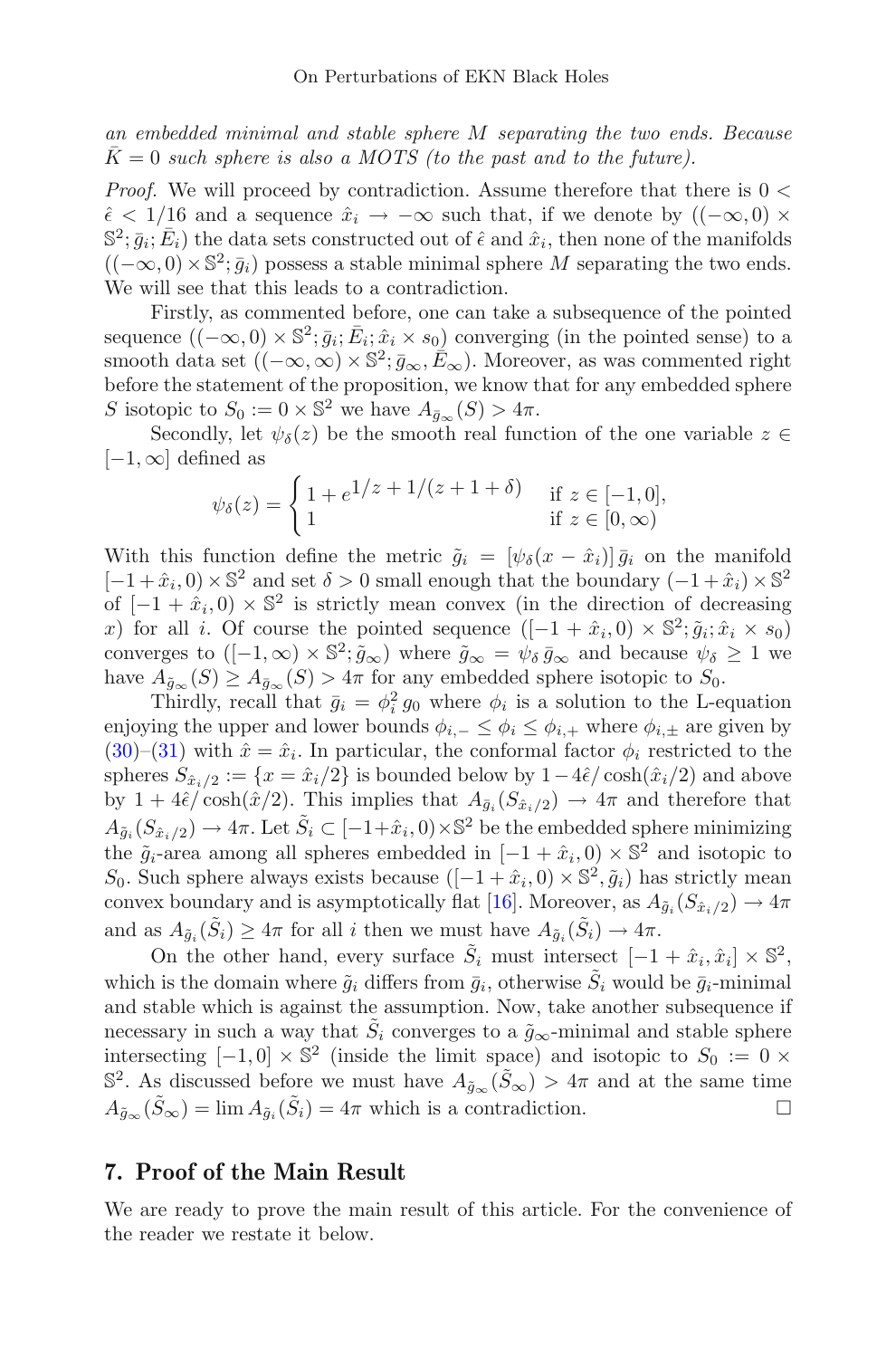an embedded minimal and stable sphere M separating the two ends. Because  $\overline{K} = 0$  such sphere is also a MOTS (to the past and to the future).

*Proof.* We will proceed by contradiction. Assume therefore that there is  $0 <$  $\hat{\epsilon}$  < 1/16 and a sequence  $\hat{x}_i \rightarrow -\infty$  such that, if we denote by  $((-\infty,0) \times$  $\mathbb{S}^2$ ;  $\bar{q}_i$ ;  $\bar{E}_i$ ) the data sets constructed out of  $\hat{\epsilon}$  and  $\hat{x}_i$ , then none of the manifolds  $((-\infty,0)\times\mathbb{S}^2;\bar{g}_i)$  possess a stable minimal sphere M separating the two ends. We will see that this leads to a contradiction.

Firstly, as commented before, one can take a subsequence of the pointed sequence  $((-\infty, 0) \times \mathbb{S}^2; \bar{g}_i; \bar{E}_i; \hat{x}_i \times s_0)$  converging (in the pointed sense) to a smooth data set  $((-\infty,\infty) \times \mathbb{S}^2; \bar{g}_{\infty}, \bar{E}_{\infty})$ . Moreover, as was commented right before the statement of the proposition, we know that for any embedded sphere S isotopic to  $S_0 := 0 \times \mathbb{S}^2$  we have  $A_{\bar{q}_{\infty}}(S) > 4\pi$ .

Secondly, let  $\psi_{\delta}(z)$  be the smooth real function of the one variable  $z \in \mathbb{R}$  $[-1,\infty]$  defined as

$$
\psi_{\delta}(z) = \begin{cases} 1 + e^{1/z} + 1/(z + 1 + \delta) & \text{if } z \in [-1, 0], \\ 1 & \text{if } z \in [0, \infty) \end{cases}
$$

With this function define the metric  $\tilde{q}_i = [\psi_{\delta}(x - \hat{x}_i)] \bar{q}_i$  on the manifold  $[-1+\hat{x}_i, 0) \times \mathbb{S}^2$  and set  $\delta > 0$  small enough that the boundary  $(-1+\hat{x}_i) \times \mathbb{S}^2$ of  $[-1+\hat{x}_i, 0] \times \mathbb{S}^2$  is strictly mean convex (in the direction of decreasing x) for all i. Of course the pointed sequence  $([-1+\hat{x}_i, 0) \times \mathbb{S}^2; \tilde{g}_i; \hat{x}_i \times s_0]$ converges to  $([-1,\infty) \times \mathbb{S}^2$ ;  $\tilde{g}_{\infty}$ ) where  $\tilde{g}_{\infty} = \psi_{\delta} \bar{g}_{\infty}$  and because  $\psi_{\delta} \geq 1$  we have  $A_{\tilde{g}_{\infty}}(S) \geq A_{\bar{g}_{\infty}}(S) > 4\pi$  for any embedded sphere isotopic to  $S_0$ .

Thirdly, recall that  $\bar{g}_i = \phi_i^2 g_0$  where  $\phi_i$  is a solution to the L-equation enjoying the upper and lower bounds  $\phi_{i,-} \leq \phi_i \leq \phi_{i,+}$  where  $\phi_{i,\pm}$  are given by [\(30\)](#page-18-3)–[\(31\)](#page-18-4) with  $\hat{x} = \hat{x}_i$ . In particular, the conformal factor  $\phi_i$  restricted to the spheres  $S_{\hat{x}_i/2} := \{x = \hat{x}_i/2\}$  is bounded below by  $1-4\hat{\epsilon}/\cosh(\hat{x}_i/2)$  and above by  $1 + 4\hat{\epsilon}/\cosh(\hat{x}/2)$ . This implies that  $A_{\bar{q}_i}(S_{\hat{x}_i/2}) \to 4\pi$  and therefore that  $A_{\tilde{g}_i}(S_{\hat{x}_i/2}) \to 4\pi$ . Let  $\tilde{S}_i \subset [-1+\hat{x}_i, 0) \times \mathbb{S}^2$  be the embedded sphere minimizing the  $\tilde{g}_i$ -area among all spheres embedded in  $[-1+\hat{x}_i, 0] \times \mathbb{S}^2$  and isotopic to S<sub>0</sub>. Such sphere always exists because  $([-1+\hat{x}_i, 0) \times \mathbb{S}^2, \tilde{g}_i)$  has strictly mean convex boundary and is asymptotically flat [\[16](#page-30-10)]. Moreover, as  $A_{\tilde{q}_i}(S_{\hat{x}_i/2}) \to 4\pi$ and as  $A_{\tilde{q}_i}(\tilde{S}_i) \geq 4\pi$  for all i then we must have  $A_{\tilde{q}_i}(\tilde{S}_i) \to 4\pi$ .

On the other hand, every surface  $\tilde{S}_i$  must intersect  $[-1+\hat{x}_i, \hat{x}_i] \times \mathbb{S}^2$ , which is the domain where  $\tilde{q}_i$  differs from  $\bar{q}_i$ , otherwise  $\tilde{S}_i$  would be  $\bar{q}_i$ -minimal and stable which is against the assumption. Now, take another subsequence if necessary in such a way that  $\tilde{S}_i$  converges to a  $\tilde{g}_{\infty}$ -minimal and stable sphere intersecting  $[-1, 0] \times \mathbb{S}^2$  (inside the limit space) and isotopic to  $S_0 := 0 \times$  $\mathbb{S}^2$ . As discussed before we must have  $A_{\tilde{q}_{\infty}}(\tilde{S}_{\infty}) > 4\pi$  and at the same time  $A_{\tilde{q}_{\infty}}(\tilde{S}_{\infty}) = \lim A_{\tilde{q}_i}(\tilde{S}_i) = 4\pi$  which is a contradiction.

### <span id="page-26-1"></span>7. Proof of the Main Result

<span id="page-26-0"></span>We are ready to prove the main result of this article. For the convenience of the reader we restate it below.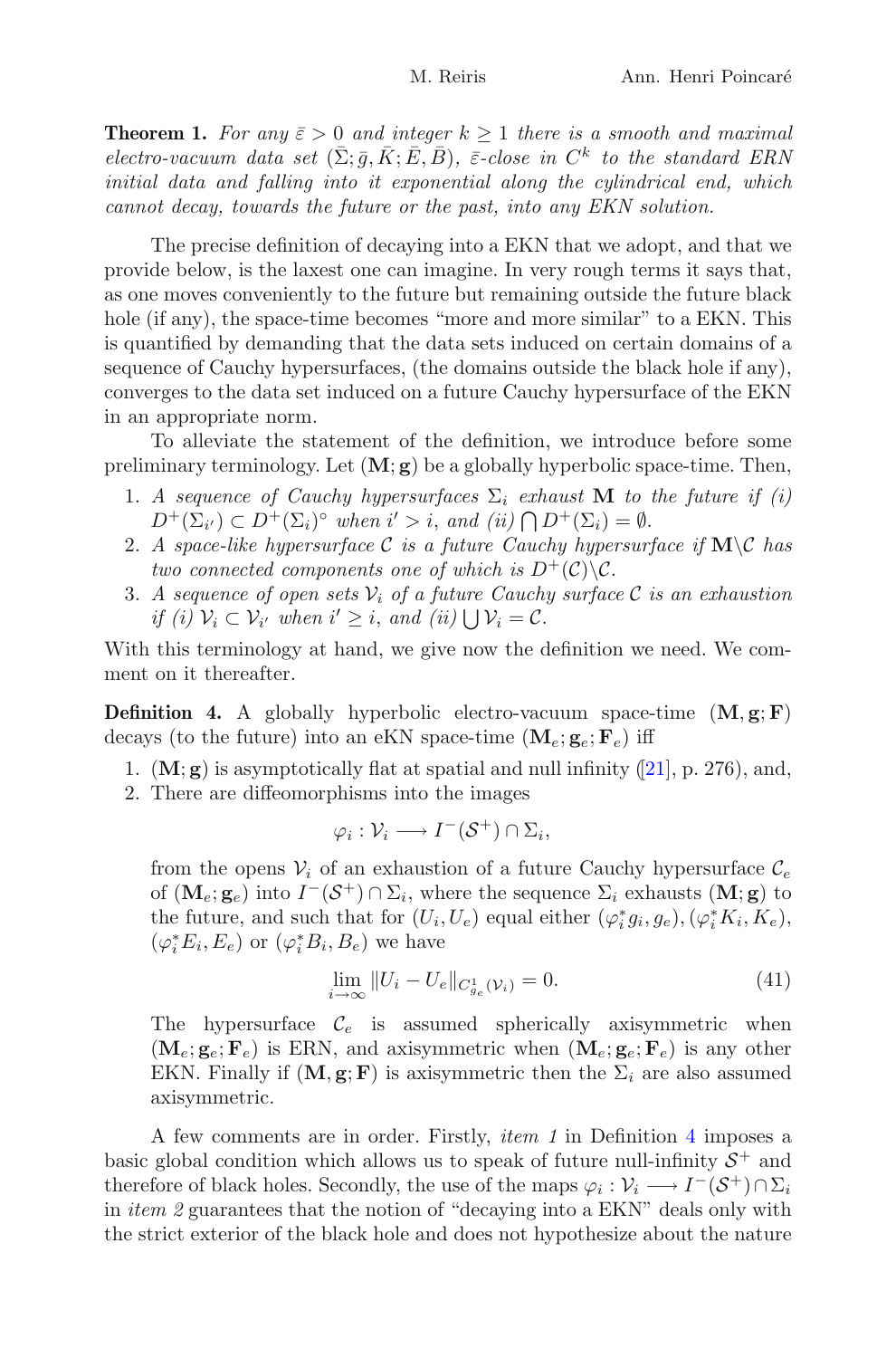**Theorem 1.** For any  $\bar{\varepsilon} > 0$  and integer  $k \ge 1$  there is a smooth and maximal electro-vacuum data set  $(\bar{\Sigma}; \bar{q}, \bar{K}; \bar{E}, \bar{B})$ ,  $\bar{\varepsilon}$ -close in  $C^k$  to the standard ERN initial data and falling into it exponential along the cylindrical end, which cannot decay, towards the future or the past, into any EKN solution.

The precise definition of decaying into a EKN that we adopt, and that we provide below, is the laxest one can imagine. In very rough terms it says that, as one moves conveniently to the future but remaining outside the future black hole (if any), the space-time becomes "more and more similar" to a EKN. This is quantified by demanding that the data sets induced on certain domains of a sequence of Cauchy hypersurfaces, (the domains outside the black hole if any), converges to the data set induced on a future Cauchy hypersurface of the EKN in an appropriate norm.

To alleviate the statement of the definition, we introduce before some preliminary terminology. Let  $(M; g)$  be a globally hyperbolic space-time. Then,

- 1. A sequence of Cauchy hypersurfaces  $\Sigma_i$  exhaust **M** to the future if (i)  $D^+(\Sigma_{i'}) \subset D^+(\Sigma_i)^\circ$  when  $i' > i$ , and  $(ii) \bigcap D^+(\Sigma_i) = \emptyset$ .
- 2. A space-like hypersurface C is a future Cauchy hypersurface if  $M\ C$  has two connected components one of which is  $D^+(\mathcal{C})\backslash\mathcal{C}$ .
- 3. A sequence of open sets  $V_i$  of a future Cauchy surface C is an exhaustion if (i)  $V_i \subset V_{i'}$  when  $i' \geq i$ , and (ii)  $\bigcup V_i = C$ .

<span id="page-27-0"></span>With this terminology at hand, we give now the definition we need. We comment on it thereafter.

**Definition 4.** A globally hyperbolic electro-vacuum space-time  $(M, g; F)$ decays (to the future) into an eKN space-time  $(\mathbf{M}_e; \mathbf{g}_e; \mathbf{F}_e)$  iff

- 1.  $(M; g)$  is asymptotically flat at spatial and null infinity ([\[21\]](#page-30-12), p. 276), and,
- 2. There are diffeomorphisms into the images

$$
\varphi_i: \mathcal{V}_i \longrightarrow I^-(\mathcal{S}^+) \cap \Sigma_i,
$$

from the opens  $V_i$  of an exhaustion of a future Cauchy hypersurface  $\mathcal{C}_e$ of  $(\mathbf{M}_{e}; \mathbf{g}_{e})$  into  $I^{-}(\mathcal{S}^{+}) \cap \Sigma_{i}$ , where the sequence  $\Sigma_{i}$  exhausts  $(\mathbf{M}; \mathbf{g})$  to the future, and such that for  $(U_i, U_e)$  equal either  $(\varphi_i^* g_i, g_e), (\varphi_i^* K_i, K_e)$ ,  $(\varphi_i^* E_i, E_e)$  or  $(\varphi_i^* B_i, B_e)$  we have

$$
\lim_{i \to \infty} ||U_i - U_e||_{C_{g_e}^1(\mathcal{V}_i)} = 0.
$$
\n(41)

<span id="page-27-1"></span>The hypersurface  $\mathcal{C}_e$  is assumed spherically axisymmetric when  $(\mathbf{M}_e; \mathbf{g}_e; \mathbf{F}_e)$  is ERN, and axisymmetric when  $(\mathbf{M}_e; \mathbf{g}_e; \mathbf{F}_e)$  is any other EKN. Finally if  $(M, g; F)$  is axisymmetric then the  $\Sigma_i$  are also assumed axisymmetric.

A few comments are in order. Firstly, item 1 in Definition [4](#page-27-0) imposes a basic global condition which allows us to speak of future null-infinity  $S^+$  and therefore of black holes. Secondly, the use of the maps  $\varphi_i : \mathcal{V}_i \longrightarrow I^-(\mathcal{S}^+) \cap \Sigma_i$ in *item 2* guarantees that the notion of "decaying into a  $EKN$ " deals only with the strict exterior of the black hole and does not hypothesize about the nature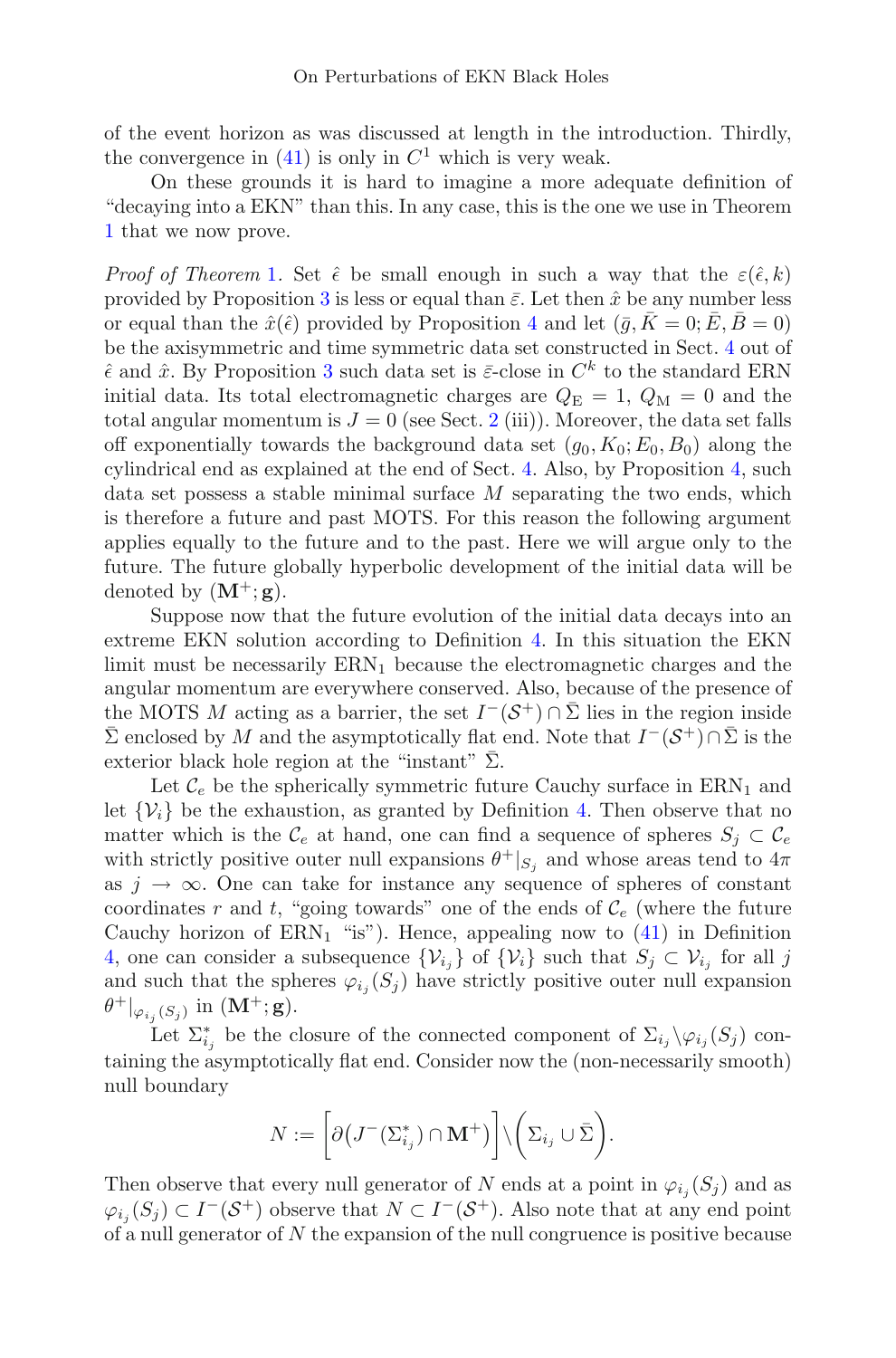of the event horizon as was discussed at length in the introduction. Thirdly, the convergence in  $(41)$  is only in  $C<sup>1</sup>$  which is very weak.

On these grounds it is hard to imagine a more adequate definition of "decaying into a EKN" than this. In any case, this is the one we use in Theorem [1](#page-26-0) that we now prove.

Proof of Theorem [1](#page-26-0). Set  $\hat{\epsilon}$  be small enough in such a way that the  $\varepsilon(\hat{\epsilon}, k)$ provided by Proposition [3](#page-24-3) is less or equal than  $\bar{\varepsilon}$ . Let then  $\hat{x}$  be any number less or equal than the  $\hat{x}(\hat{\epsilon})$  provided by Proposition [4](#page-25-0) and let  $(\bar{q}, \bar{K} = 0; \bar{E}, \bar{B} = 0)$ be the axisymmetric and time symmetric data set constructed in Sect. [4](#page-15-0) out of  $\hat{\epsilon}$  and  $\hat{x}$ . By Proposition [3](#page-24-3) such data set is  $\bar{\epsilon}$ -close in  $C^k$  to the standard ERN initial data. Its total electromagnetic charges are  $Q_{\rm E} = 1, Q_{\rm M} = 0$  and the total angular momentum is  $J = 0$  (see Sect. [2](#page-6-0) (iii)). Moreover, the data set falls off exponentially towards the background data set  $(q_0, K_0; E_0, B_0)$  along the cylindrical end as explained at the end of Sect. [4.](#page-15-0) Also, by Proposition [4,](#page-25-0) such data set possess a stable minimal surface  $M$  separating the two ends, which is therefore a future and past MOTS. For this reason the following argument applies equally to the future and to the past. Here we will argue only to the future. The future globally hyperbolic development of the initial data will be denoted by  $(M^+; g)$ .

Suppose now that the future evolution of the initial data decays into an extreme EKN solution according to Definition [4.](#page-27-0) In this situation the EKN limit must be necessarily  $\text{ERN}_1$  because the electromagnetic charges and the angular momentum are everywhere conserved. Also, because of the presence of the MOTS M acting as a barrier, the set  $I^-(\mathcal{S}^+) \cap \overline{\Sigma}$  lies in the region inside  $\overline{\Sigma}$  enclosed by M and the asymptotically flat end. Note that  $I^-(\mathcal{S}^+) \cap \overline{\Sigma}$  is the exterior black hole region at the "instant"  $\Sigma$ .

Let  $\mathcal{C}_e$  be the spherically symmetric future Cauchy surface in  $\text{ERN}_1$  and let  $\{V_i\}$  be the exhaustion, as granted by Definition [4.](#page-27-0) Then observe that no matter which is the  $\mathcal{C}_e$  at hand, one can find a sequence of spheres  $S_j \subset \mathcal{C}_e$ with strictly positive outer null expansions  $\theta^+|_{S_i}$  and whose areas tend to  $4\pi$ as  $j \to \infty$ . One can take for instance any sequence of spheres of constant coordinates r and t, "going towards" one of the ends of  $\mathcal{C}_e$  (where the future Cauchy horizon of  $\text{ERN}_1$  "is"). Hence, appealing now to [\(41\)](#page-27-1) in Definition [4,](#page-27-0) one can consider a subsequence  $\{\mathcal{V}_{i_j}\}\$  of  $\{\mathcal{V}_i\}$  such that  $S_j \subset \mathcal{V}_{i_j}$  for all j and such that the spheres  $\varphi_{i_j}(S_j)$  have strictly positive outer null expansion  $\theta^+|_{\varphi_{i,j}(S_j)}$  in  $(M^+; g)$ .

Let  $\Sigma_{i_j}^*$  be the closure of the connected component of  $\Sigma_{i_j} \backslash \varphi_{i_j}(S_j)$  containing the asymptotically flat end. Consider now the (non-necessarily smooth) null boundary

$$
N:=\bigg[\partial\big(J^-\big(\Sigma_{i_j}^*\big)\cap \mathbf{M}^+\big)\bigg]\backslash\bigg(\Sigma_{i_j}\cup\bar{\Sigma}\bigg).
$$

Then observe that every null generator of N ends at a point in  $\varphi_{i_j}(S_j)$  and as  $\varphi_{i_j}(S_j) \subset I^-(\mathcal{S}^+)$  observe that  $N \subset I^-(\mathcal{S}^+)$ . Also note that at any end point of a null generator of  $N$  the expansion of the null congruence is positive because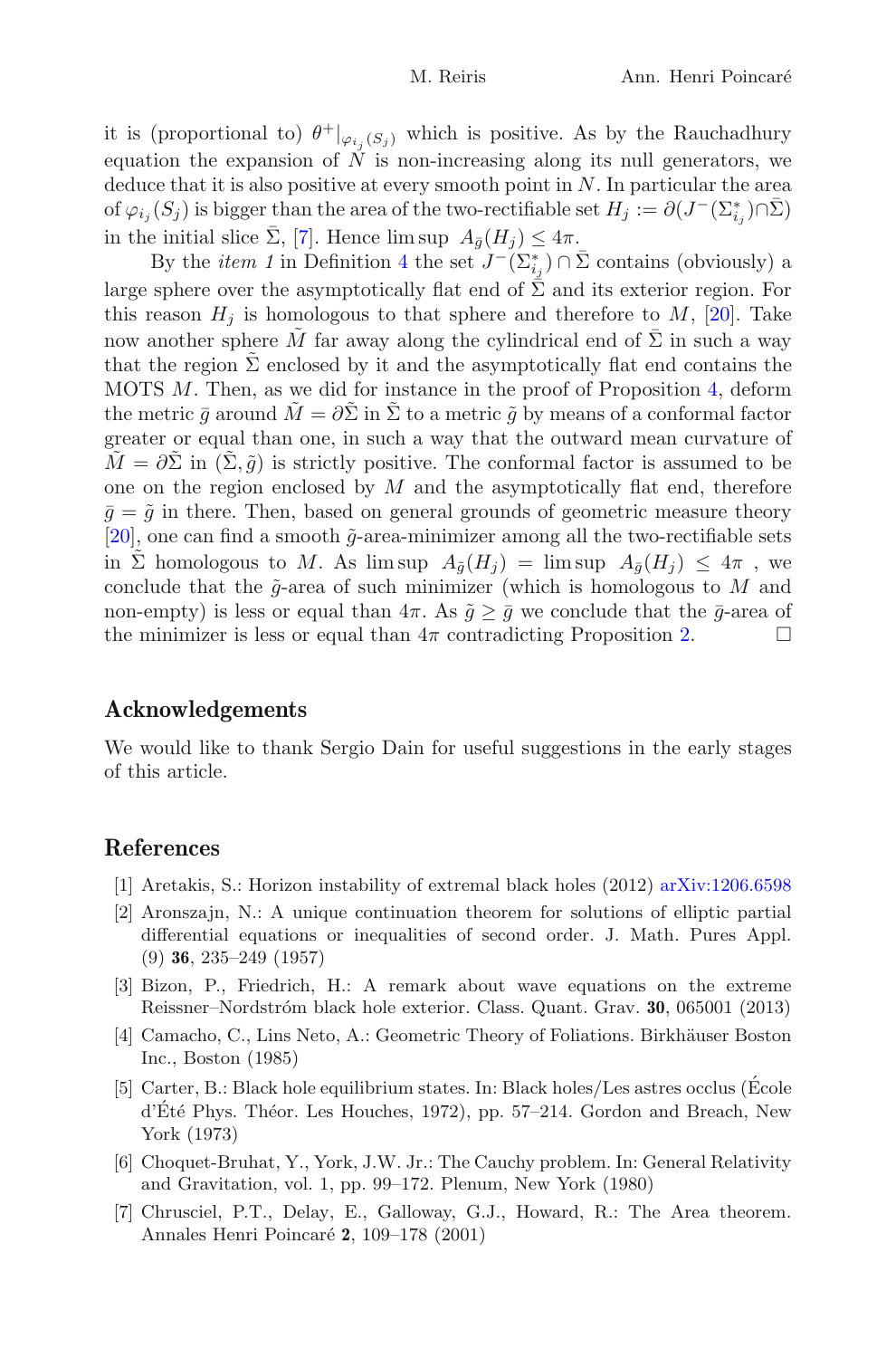it is (proportional to)  $\theta^+|_{\varphi_{i,j}(S_j)}$  which is positive. As by the Rauchadhury equation the expansion of  $\tilde{N}$  is non-increasing along its null generators, we deduce that it is also positive at every smooth point in  $N$ . In particular the area of  $\varphi_{i_j}(S_j)$  is bigger than the area of the two-rectifiable set  $H_j := \partial(J^-(\Sigma_{i_j}^*)\cap \bar{\Sigma})$ in the initial slice  $\bar{\Sigma}$ , [\[7](#page-29-3)]. Hence lim sup  $A_{\bar{q}}(H_i) \leq 4\pi$ .

By the *item 1* in Definition [4](#page-27-0) the set  $J^{-}(\Sigma_{i_j}^*) \cap \bar{\Sigma}$  contains (obviously) a large sphere over the asymptotically flat end of  $\overline{\Sigma}$  and its exterior region. For this reason  $H_i$  is homologous to that sphere and therefore to  $M$ , [\[20](#page-30-13)]. Take now another sphere M far away along the cylindrical end of  $\Sigma$  in such a way that the region  $\Sigma$  enclosed by it and the asymptotically flat end contains the MOTS M. Then, as we did for instance in the proof of Proposition [4,](#page-25-0) deform the metric  $\bar{q}$  around  $\tilde{M} = \partial \tilde{\Sigma}$  in  $\tilde{\Sigma}$  to a metric  $\tilde{q}$  by means of a conformal factor greater or equal than one, in such a way that the outward mean curvature of  $M = \partial \Sigma$  in  $(\Sigma, \tilde{q})$  is strictly positive. The conformal factor is assumed to be one on the region enclosed by  $M$  and the asymptotically flat end, therefore  $\bar{q} = \tilde{q}$  in there. Then, based on general grounds of geometric measure theory [\[20\]](#page-30-13), one can find a smooth  $\tilde{g}$ -area-minimizer among all the two-rectifiable sets in Σ homologous to M. As lim sup  $A_{\tilde{a}}(H_i) = \limsup A_{\tilde{a}}(H_i) \leq 4\pi$ , we conclude that the  $\tilde{g}$ -area of such minimizer (which is homologous to M and non-empty) is less or equal than  $4\pi$ . As  $\tilde{g} \geq \bar{g}$  we conclude that the  $\bar{g}$ -area of the minimizer is less or equal than  $4\pi$  contradicting Proposition 2. the minimizer is less or equal than  $4\pi$  contradicting Proposition [2.](#page-11-2)

# Acknowledgements

We would like to thank Sergio Dain for useful suggestions in the early stages of this article.

# <span id="page-29-1"></span>References

- [1] Aretakis, S.: Horizon instability of extremal black holes (2012) [arXiv:1206.6598](http://arxiv.org/abs/1206.6598)
- <span id="page-29-5"></span>[2] Aronszajn, N.: A unique continuation theorem for solutions of elliptic partial differential equations or inequalities of second order. J. Math. Pures Appl. (9) 36, 235–249 (1957)
- <span id="page-29-2"></span>[3] Bizon, P., Friedrich, H.: A remark about wave equations on the extreme Reissner–Nordstr´om black hole exterior. Class. Quant. Grav. 30, 065001 (2013)
- <span id="page-29-6"></span>[4] Camacho, C., Lins Neto, A.: Geometric Theory of Foliations. Birkhäuser Boston Inc., Boston (1985)
- <span id="page-29-0"></span>[5] Carter, B.: Black hole equilibrium states. In: Black holes/Les astres occlus (Ecole ´ d'Eté Phys. Théor. Les Houches, 1972), pp. 57–214. Gordon and Breach, New York (1973)
- <span id="page-29-4"></span>[6] Choquet-Bruhat, Y., York, J.W. Jr.: The Cauchy problem. In: General Relativity and Gravitation, vol. 1, pp. 99–172. Plenum, New York (1980)
- <span id="page-29-3"></span>[7] Chrusciel, P.T., Delay, E., Galloway, G.J., Howard, R.: The Area theorem. Annales Henri Poincaré 2, 109–178 (2001)